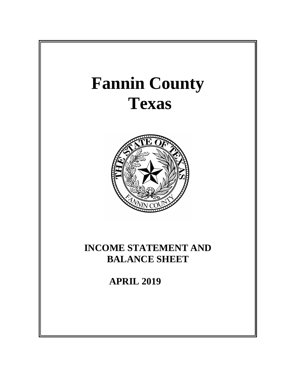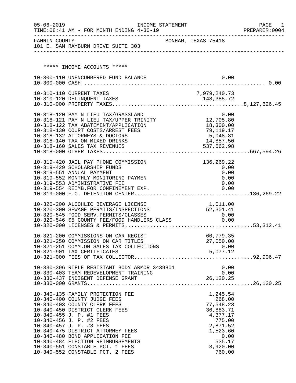| $05 - 06 - 2019$ | TIME: 08:41 AM - FOR MONTH ENDING 4-30-19                                                     | INCOME STATEMENT    |                  |                       |      | PAGE<br>1<br>PREPARER: 0004 |
|------------------|-----------------------------------------------------------------------------------------------|---------------------|------------------|-----------------------|------|-----------------------------|
| FANNIN COUNTY    | 101 E. SAM RAYBURN DRIVE SUITE 303                                                            | BONHAM, TEXAS 75418 |                  |                       |      |                             |
|                  | ***** INCOME ACCOUNTS *****                                                                   |                     |                  |                       |      |                             |
|                  |                                                                                               |                     |                  |                       |      |                             |
|                  | 10-300-110 UNENCUMBERED FUND BALANCE                                                          |                     |                  |                       | 0.00 |                             |
|                  |                                                                                               |                     |                  |                       |      |                             |
|                  | 10-310-110 CURRENT TAXES                                                                      |                     | 7,979,240.73     |                       |      |                             |
|                  |                                                                                               |                     |                  |                       |      |                             |
|                  |                                                                                               |                     |                  |                       |      |                             |
|                  |                                                                                               |                     |                  |                       |      |                             |
|                  | 10-318-120 PAY N LIEU TAX/GRASSLAND 0.00<br>10-318-121 PAY N LIEU TAX/UPPER TRINITY 12,705.80 |                     |                  |                       |      |                             |
|                  | 10-318-122 TAX ABATEMENT/APPLICATION                                                          |                     |                  | 18,300.00             |      |                             |
|                  | 10-318-130 COURT COSTS/ARREST FEES<br>10-318-132 ATTORNEYS & DOCTORS                          |                     |                  | 79,119.17<br>5,048.81 |      |                             |
|                  | 10-318-140 TAX ON MIXED DRINKS                                                                |                     |                  | 14,857.50             |      |                             |
|                  | 10-318-160 SALES TAX REVENUES                                                                 |                     |                  | 537,562.98            |      |                             |
|                  |                                                                                               |                     |                  |                       |      |                             |
|                  | 10-319-420 JAIL PAY PHONE COMMISSION                                                          |                     |                  | 136,269.22            |      |                             |
|                  | 10-319-429 SCHOLARSHIP FUNDS                                                                  |                     |                  | 0.00                  |      |                             |
|                  | 10-319-551 ANNUAL PAYMENT                                                                     |                     |                  |                       | 0.00 |                             |
|                  | 10-319-552 MONTHLY MONITORING PAYMEN                                                          |                     |                  |                       | 0.00 |                             |
|                  | 10-319-553 ADMINISTRATIVE FEE                                                                 |                     |                  |                       | 0.00 |                             |
|                  | 10-319-554 REIMB.FOR CONFINEMENT EXP.                                                         |                     |                  | 0.00                  |      |                             |
|                  |                                                                                               |                     |                  |                       |      |                             |
|                  | 10-320-200 ALCOHLIC BEVERAGE LICENSE                                                          |                     | 1,011.00         |                       |      |                             |
|                  | 10-320-300 SEWAGE PERMITS/INSPECTIONS                                                         |                     | 52,301.41        |                       |      |                             |
|                  | 10-320-545 FOOD SERV.PERMITS/CLASSES<br>10-320-546 \$5 COUNTY FEE/FOOD HANDLERS CLASS         |                     |                  | 0.00<br>0.00          |      |                             |
|                  |                                                                                               |                     |                  |                       |      |                             |
|                  |                                                                                               |                     |                  |                       |      |                             |
|                  | 10-321-200 COMMISSIONS ON CAR REGIST                                                          |                     |                  | 60,779.35             |      |                             |
|                  | 10-321-250 COMMISSION ON CAR TITLES<br>10-321-251 COMM.ON SALES TAX COLLECTIONS               |                     |                  | 27,050.00             | 0.00 |                             |
|                  | 10-321-901 TAX CERTIFICATES                                                                   |                     | 0.00<br>5,077.12 |                       |      |                             |
|                  |                                                                                               |                     |                  |                       |      |                             |
|                  |                                                                                               |                     |                  |                       | 0.00 |                             |
|                  |                                                                                               |                     |                  |                       |      |                             |
|                  |                                                                                               |                     |                  |                       |      |                             |
|                  |                                                                                               |                     |                  |                       |      |                             |
|                  | 10-340-135 FAMILY PROTECTION FEE                                                              |                     |                  | 1,245.54              |      |                             |
|                  | 10-340-400 COUNTY JUDGE FEES                                                                  |                     |                  | 268.00                |      |                             |
|                  | 10-340-403 COUNTY CLERK FEES                                                                  |                     |                  | 77,548.23             |      |                             |
|                  | 10-340-450 DISTRICT CLERK FEES                                                                |                     |                  | 36,883.71             |      |                             |
|                  | 10-340-455 J. P. #1 FEES                                                                      |                     |                  | 4,377.17              |      |                             |
|                  | 10-340-456 J. P. #2 FEES<br>10-340-457 J. P. #3 FEES                                          |                     |                  | 775.00<br>2,871.52    |      |                             |
|                  | 10-340-475 DISTRICT ATTORNEY FEES                                                             |                     |                  | 1,523.60              |      |                             |
|                  | 10-340-480 BOND APPLICATION FEE                                                               |                     |                  |                       | 0.00 |                             |
|                  | 10-340-484 ELECTION REIMBURSEMENTS                                                            |                     |                  | 535.17                |      |                             |
|                  | 10-340-551 CONSTABLE PCT. 1 FEES                                                              |                     |                  | 3,920.00              |      |                             |
|                  | 10-340-552 CONSTABLE PCT. 2 FEES                                                              |                     |                  | 760.00                |      |                             |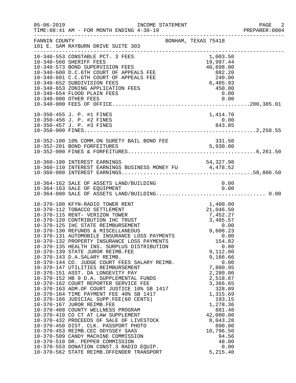|               | $05 - 06 - 2019$<br>INCOME STATEMENT<br>TIME: 08:41 AM - FOR MONTH ENDING 4-30-19                                                                                                                                                                                                                                                                                                                                                                                                                                                                                                                                                                                                                                                                                                                                                                                                                                                                                                                                                              |                                                                                                                                                                                                                                                        | PAGE 2<br>PREPARER: 0004 |
|---------------|------------------------------------------------------------------------------------------------------------------------------------------------------------------------------------------------------------------------------------------------------------------------------------------------------------------------------------------------------------------------------------------------------------------------------------------------------------------------------------------------------------------------------------------------------------------------------------------------------------------------------------------------------------------------------------------------------------------------------------------------------------------------------------------------------------------------------------------------------------------------------------------------------------------------------------------------------------------------------------------------------------------------------------------------|--------------------------------------------------------------------------------------------------------------------------------------------------------------------------------------------------------------------------------------------------------|--------------------------|
| FANNIN COUNTY | 101 E. SAM RAYBURN DRIVE SUITE 303                                                                                                                                                                                                                                                                                                                                                                                                                                                                                                                                                                                                                                                                                                                                                                                                                                                                                                                                                                                                             | BONHAM, TEXAS 75418                                                                                                                                                                                                                                    |                          |
|               | 10-340-553 CONSTABLE PCT. 3 FEES<br>10-340-553 CONSTABLE FOR ACT CONSTANT CONSTANT CONSTANT OF APPEALS FEE<br>10-340-573 BOND SUPERVISION FEES<br>10-340-600 D.C.6TH COURT OF APPEALS FEE 882.20<br>10-340-601 C.C.6TH COURT OF APPEALS FEE 240.00<br>10-340-652 SUBDIVISI<br>10-340-900 OTHER FEES                                                                                                                                                                                                                                                                                                                                                                                                                                                                                                                                                                                                                                                                                                                                            | 0.00                                                                                                                                                                                                                                                   |                          |
|               | 10-350-455 J. P. #1 FINES<br>10-350-456 J. P. #2 FINES<br>10-350-457 J. P. #3 FINES                                                                                                                                                                                                                                                                                                                                                                                                                                                                                                                                                                                                                                                                                                                                                                                                                                                                                                                                                            | 1,414.70<br>0.00<br>843.85                                                                                                                                                                                                                             |                          |
|               |                                                                                                                                                                                                                                                                                                                                                                                                                                                                                                                                                                                                                                                                                                                                                                                                                                                                                                                                                                                                                                                |                                                                                                                                                                                                                                                        |                          |
|               | 10-360-100 INTEREST EARNINGS<br>10-360-110 INTEREST EARNINGS BUSINESS MONEY FU 4,478.52                                                                                                                                                                                                                                                                                                                                                                                                                                                                                                                                                                                                                                                                                                                                                                                                                                                                                                                                                        |                                                                                                                                                                                                                                                        |                          |
|               | 10-364-162 SALE OF ASSETS LAND/BUILDING                                                                                                                                                                                                                                                                                                                                                                                                                                                                                                                                                                                                                                                                                                                                                                                                                                                                                                                                                                                                        | 0.00                                                                                                                                                                                                                                                   |                          |
|               | 10-370-100 KFYN-RADIO TOWER RENT<br>10-370-132 PROPERTY INSURANCE LOSS PAYMENTS<br>10-370-135 HEALTH INS. SURPLUS DISTRIBUTION<br>10-370-139 STATE JUROR REIMB.FEE<br>10-370-143 D.A.SALARY REIMB.<br>10-370-144 CO. JUDGE COURT FEES SALARY REIMB.<br>10-370-147 UTILITIES REIMBURSEMENT<br>10-370-151 ASST. DA LONGEVITY PAY<br>10-370-152 HB 9 D.A. SUPPLEMENTAL FUNDS<br>10-370-162 COURT REPORTER SERVICE FEE<br>10-370-163 ADM.OF COURT JUSTICE 10% SB 1417<br>10-370-164 TIME PAYMENT FEE 40% SB 1417<br>10-370-164 TIME PAYMENT FEE 40% SB 1417<br>10-370-166 JUDICIAL SUPP.FEE(60 CENTS)<br>10-370-167 JUROR REIMB.FEE<br>10-370-408 COUNTY WELLNESS PROGRAM<br>10-370-410 CO CT AT LAW SUPPLEMENT<br>10-370-410 CO CT AT LAW SUPPLEMENT<br>10-370-432 PROCEEDS OF SALE OF LIVESTOCK<br>10-370-450 DIST. CLK. PASSPORT PHOTO<br>10-370-453 REIMB.CEC ODYSSEY SAAS<br>10-370-509 CANDY MACHINE COMMISSION<br>10-370-510 DR. PEPPER COMMISSION<br>10-370-553 DONATION CONST.3 RADIO EQUIP.<br>10-370-562 STATE REIMB.OFFENDER TRANSPORT | 1,400.00<br>154.82<br>0.00<br>9,112.00<br>9,166.66<br>0.00<br>7,800.95<br>2,280.00<br>2,518.67<br>3,366.65<br>328.89<br>1,315.69<br>193.15<br>1,278.36<br>881.48<br>42,000.00<br>8,043.28<br>890.00<br>10,796.50<br>94.56<br>48.00<br>0.00<br>5,215.40 |                          |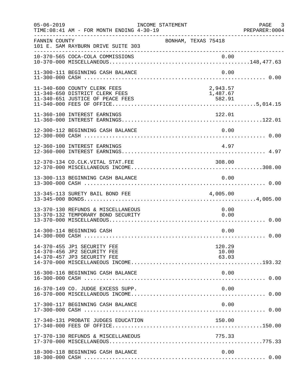| $05 - 06 - 2019$ | TIME: 08:41 AM - FOR MONTH ENDING 4-30-19                                                          | INCOME STATEMENT |                                |                 | PAGE 3<br>PREPARER:0004 |
|------------------|----------------------------------------------------------------------------------------------------|------------------|--------------------------------|-----------------|-------------------------|
| FANNIN COUNTY    | 101 E. SAM RAYBURN DRIVE SUITE 303<br>______________________________                               |                  | BONHAM, TEXAS 75418            |                 |                         |
|                  |                                                                                                    |                  |                                |                 |                         |
|                  | 11-300-111 BEGINNING CASH BALANCE                                                                  |                  |                                | 0.00            |                         |
|                  | 11-340-600 COUNTY CLERK FEES<br>11-340-650 DISTRICT CLERK FEES<br>11-340-651 JUSTICE OF PEACE FEES |                  | 2,943.57<br>1,487.67<br>582.91 |                 |                         |
|                  | 11-360-100 INTEREST EARNINGS                                                                       |                  | 122.01                         |                 |                         |
|                  | 12-300-112 BEGINNING CASH BALANCE                                                                  |                  | 0.00                           |                 |                         |
|                  | 12-360-100 INTEREST EARNINGS                                                                       |                  |                                | 4.97            |                         |
|                  | 12-370-134 CO.CLK.VITAL STAT.FEE                                                                   |                  | 308.00                         |                 |                         |
|                  | 13-300-113 BEGINNING CASH BALANCE                                                                  |                  |                                | 0.00            |                         |
|                  | 13-345-113 SURETY BAIL BOND FEE                                                                    |                  | 4,005.00                       |                 |                         |
|                  | 13-370-130 REFUNDS & MISCELLANEOUS<br>13-370-132 TEMPORARY BOND SECURITY                           |                  |                                | 0.00<br>0.00    |                         |
|                  | 14-300-114 BEGINNING CASH                                                                          |                  |                                | 0.00            |                         |
|                  | 14-370-455 JP1 SECURITY FEE<br>14-370-456 JP2 SECURITY FEE<br>14-370-457 JP3 SECURITY FEE          |                  | 63.03                          | 120.29<br>10.00 |                         |
|                  | 16-300-116 BEGINNING CASH BALANCE                                                                  |                  |                                | 0.00            |                         |
|                  | 16-370-149 CO. JUDGE EXCESS SUPP.                                                                  |                  |                                | 0.00            |                         |
|                  | 17-300-117 BEGINNING CASH BALANCE                                                                  |                  |                                | 0.00            |                         |
|                  | 17-340-131 PROBATE JUDGES EDUCATION                                                                |                  | 150.00                         |                 |                         |
|                  | 17-370-130 REFUNDS & MISCELLANEOUS                                                                 |                  | 775.33                         |                 |                         |
|                  | 18-300-118 BEGINNING CASH BALANCE                                                                  |                  |                                | 0.00            |                         |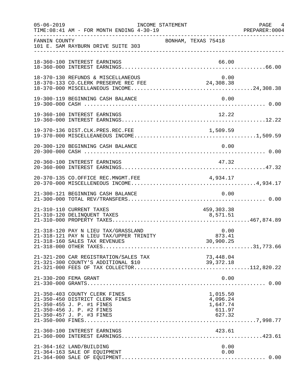| $05 - 06 - 2019$ | TIME: 08:41 AM - FOR MONTH ENDING 4-30-19                                                                                                               | INCOME STATEMENT    |                                                      | PAGE 4<br>PREPARER: 0004 |
|------------------|---------------------------------------------------------------------------------------------------------------------------------------------------------|---------------------|------------------------------------------------------|--------------------------|
| FANNIN COUNTY    | 101 E. SAM RAYBURN DRIVE SUITE 303                                                                                                                      | BONHAM, TEXAS 75418 |                                                      |                          |
|                  | 18-360-100 INTEREST EARNINGS                                                                                                                            |                     | 66.00                                                |                          |
|                  | 18-370-130 REFUNDS & MISCELLANEOUS<br>18-370-133 CO.CLERK PRESERVE REC FEE                                                                              |                     | 0.00<br>24,308.38                                    |                          |
|                  | 19-300-119 BEGINNING CASH BALANCE                                                                                                                       |                     | 0.00                                                 |                          |
|                  | 19-360-100 INTEREST EARNINGS                                                                                                                            |                     | 12.22                                                |                          |
|                  | 19-370-136 DIST.CLK.PRES.REC.FEE                                                                                                                        |                     |                                                      |                          |
|                  | 20-300-120 BEGINNING CASH BALANCE                                                                                                                       |                     | 0.00                                                 |                          |
|                  | 20-360-100 INTEREST EARNINGS                                                                                                                            |                     | 47.32                                                |                          |
|                  | 20-370-135 CO.OFFICE REC.MNGMT.FEE                                                                                                                      |                     | 4,934.17                                             |                          |
|                  | 21-300-121 BEGINNING CASH BALANCE                                                                                                                       |                     | 0.00                                                 |                          |
|                  | 21-310-110 CURRENT TAXES<br>21-310-120 DELINQUENT TAXES                                                                                                 |                     | 459,303.38<br>8,571.51                               |                          |
|                  | 21-318-120 PAY N LIEU TAX/GRASSLAND<br>21-318-121 PAY N LIEU TAX/UPPER TRINITY<br>21-318-160 SALES TAX REVENUES                                         |                     | 0.00<br>$0\ldots00\,$<br>30,900.25                   |                          |
|                  | 21-321-200 CAR REGISTRATION/SALES TAX                                                                                                                   |                     | 73,448.04                                            |                          |
|                  | 21-330-200 FEMA GRANT                                                                                                                                   |                     | 0.00                                                 |                          |
|                  | 21-350-403 COUNTY CLERK FINES<br>21-350-450 DISTRICT CLERK FINES<br>21-350-455 J. P. #1 FINES<br>21-350-456 J. P. #2 FINES<br>21-350-457 J. P. #3 FINES |                     | 1,015.50<br>4,096.24<br>1,647.74<br>611.97<br>627.32 |                          |
|                  | 21-360-100 INTEREST EARNINGS                                                                                                                            |                     | 423.61                                               |                          |
|                  | 21-364-162 LAND/BUILDING<br>21-364-163 SALE OF EQUIPMENT                                                                                                |                     | 0.00<br>0.00                                         |                          |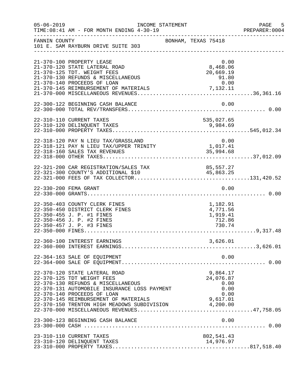| $05 - 06 - 2019$ | TIME: 08:41 AM - FOR MONTH ENDING 4-30-19                                                                                                                                                                                                                                                  | INCOME STATEMENT                                     | $-5$<br>PAGE<br>PREPARER: 0004 |
|------------------|--------------------------------------------------------------------------------------------------------------------------------------------------------------------------------------------------------------------------------------------------------------------------------------------|------------------------------------------------------|--------------------------------|
| FANNIN COUNTY    | 101 E. SAM RAYBURN DRIVE SUITE 303                                                                                                                                                                                                                                                         | BONHAM, TEXAS 75418                                  |                                |
|                  | 21-370-100 PROPERTY LEASE<br>21-370-120 STATE LATERAL ROAD<br>21-370-125 TDT. WEIGHT FEES                                                                                                                                                                                                  | 0.00<br>8,468.06<br>20,669.19                        |                                |
|                  | 22-300-122 BEGINNING CASH BALANCE                                                                                                                                                                                                                                                          | 0.00                                                 |                                |
|                  | 22-310-110 CURRENT TAXES<br>22-310-120 DELINQUENT TAXES                                                                                                                                                                                                                                    | 535,027.65<br>9,984.69                               |                                |
|                  | 22-318-120 PAY N LIEU TAX/GRASSLAND<br>22-318-121 PAY N LIEU TAX/UPPER TRINITY                                                                                                                                                                                                             | 0.00<br>1,017.41                                     |                                |
|                  | 22-321-200 CAR REGISTRATION/SALES TAX                                                                                                                                                                                                                                                      | 85,557.27                                            |                                |
|                  | 22-330-200 FEMA GRANT                                                                                                                                                                                                                                                                      | 0.00                                                 |                                |
|                  | 22-350-403 COUNTY CLERK FINES<br>22-350-450 DISTRICT CLERK FINES<br>22-350-455 J. P. #1 FINES<br>22-350-456 J. P. #2 FINES<br>22-350-457 J. P. #3 FINES                                                                                                                                    | 1,182.91<br>4,771.56<br>1,919.41<br>712.86<br>730.74 |                                |
|                  | 22-360-100 INTEREST EARNINGS                                                                                                                                                                                                                                                               | 3,626.01                                             |                                |
|                  | 22-364-163 SALE OF EQUIPMENT                                                                                                                                                                                                                                                               | 0.00                                                 |                                |
|                  | 22-370-120 STATE LATERAL ROAD<br>22-370-125 TDT WEIGHT FEES<br>22-370-130 REFUNDS & MISCELLANEOUS<br>22-370-131 AUTOMOBILE INSURANCE LOSS PAYMENT<br>22-370-140 PROCEEDS OF LOAN<br>22-370-145 REIMBURSEMENT OF MATERIALS 9,617.01<br>22-370-150 TRENTON HIGH MEADOWS SUBDIVISION 4,200.00 | 9,864.17<br>24,076.87<br>0.00<br>0.00<br>0.00        |                                |
|                  | 23-300-123 BEGINNING CASH BALANCE                                                                                                                                                                                                                                                          | 0.00                                                 |                                |
|                  | 23-310-110 CURRENT TAXES<br>23-310-120 DELINQUENT TAXES                                                                                                                                                                                                                                    | 802,541.43<br>14,976.97                              |                                |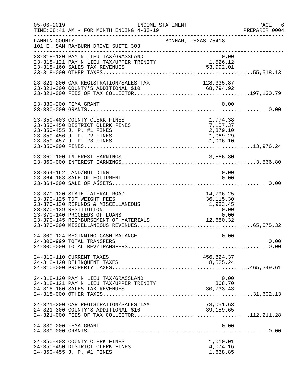| $05 - 06 - 2019$ | TIME: 08:41 AM - FOR MONTH ENDING 4-30-19                                                                                                                                                            | INCOME STATEMENT                                                                                     | PAGE 6<br>PREPARER: 0004 |
|------------------|------------------------------------------------------------------------------------------------------------------------------------------------------------------------------------------------------|------------------------------------------------------------------------------------------------------|--------------------------|
| FANNIN COUNTY    | 101 E. SAM RAYBURN DRIVE SUITE 303                                                                                                                                                                   | BONHAM, TEXAS 75418                                                                                  |                          |
|                  | 23-318-120 PAY N LIEU TAX/GRASSLAND<br>0.00<br>23-318-121 PAY N LIEU TAX/UPPER TRINITY 1,526.12<br>23-318-160 SALES TAX REVENUES<br>23-318-160 SALES TAX REVENUES                                    | 0.00<br>53,992.01                                                                                    |                          |
|                  |                                                                                                                                                                                                      |                                                                                                      |                          |
|                  | 23-330-200 FEMA GRANT                                                                                                                                                                                | 0.00                                                                                                 |                          |
|                  | 23-350-403 COUNTY CLERK FINES<br>23-350-450 DISTRICT CLERK FINES<br>23-350-455 J. P. #1 FINES<br>23-350-456 J. P. #2 FINES<br>23-350-457 J. P. #3 FINES                                              | 1,774.38<br>7,157.37<br>2,879.10<br>1,069.29<br>1,096.10                                             |                          |
|                  | 23-360-100 INTEREST EARNINGS                                                                                                                                                                         | 3,566.80                                                                                             |                          |
|                  | 23-364-162 LAND/BUILDING<br>23-364-163 SALE OF EQUIPMENT                                                                                                                                             | 0.00<br>0.00                                                                                         |                          |
|                  | 23-370-120 STATE LATERAL ROAD<br>23-370-125 TDT WEIGHT FEES<br>23-370-130 REFUNDS & MISCELLANEOUS<br>23-370-139 RESTITUTION<br>23-370-140 PROCEEDS OF LOANS<br>23-370-145 REIMBURSEMENT OF MATERIALS | 14,796.25<br>36, 115.30<br>1,983.45<br>0.00<br>$\begin{array}{r} 0.00 \\ 0.00 \end{array}$ 12,680.32 |                          |
|                  | 24-300-124 BEGINNING CASH BALANCE<br>24-300-999 TOTAL TRANSFERS                                                                                                                                      | 0.00                                                                                                 | 0.00                     |
|                  | 24-310-110 CURRENT TAXES                                                                                                                                                                             | 456,824.37                                                                                           |                          |
|                  | 24-318-120 PAY N LIEU TAX/GRASSLAND<br>24-318-121 PAY N LIEU TAX/UPPER TRINITY                                                                                                                       | 0.00<br>868.70<br>30,733.43                                                                          |                          |
|                  | 24-321-200 CAR REGISTRATION/SALES TAX                                                                                                                                                                | 73,051.63<br>39, 159.65                                                                              |                          |
|                  | 24-330-200 FEMA GRANT                                                                                                                                                                                | 0.00                                                                                                 |                          |
|                  | 24-350-403 COUNTY CLERK FINES<br>24-350-450 DISTRICT CLERK FINES<br>24-350-455 J. P. #1 FINES                                                                                                        | 1,010.01<br>4,074.16<br>1,638.85                                                                     |                          |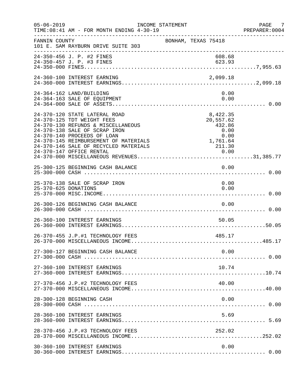| $05 - 06 - 2019$     | INCOME STATEMENT<br>TIME: 08:41 AM - FOR MONTH ENDING 4-30-19                                                                                                                                                                                       |                                                                         | PAGE 7<br>PREPARER:0004 |
|----------------------|-----------------------------------------------------------------------------------------------------------------------------------------------------------------------------------------------------------------------------------------------------|-------------------------------------------------------------------------|-------------------------|
| FANNIN COUNTY        | 101 E. SAM RAYBURN DRIVE SUITE 303                                                                                                                                                                                                                  | BONHAM, TEXAS 75418                                                     |                         |
|                      | 24-350-456 J. P. #2 FINES<br>24-350-457 J. P. #3 FINES                                                                                                                                                                                              | 608.68<br>623.93                                                        |                         |
|                      | 24-360-100 INTEREST EARNING                                                                                                                                                                                                                         | 2,099.18                                                                |                         |
|                      | 24-364-162 LAND/BUILDING<br>24-364-163 SALE OF EQUIPMENT                                                                                                                                                                                            | 0.00<br>0.00                                                            |                         |
|                      | 24-370-120 STATE LATERAL ROAD<br>24-370-125 TDT WEIGHT FEES<br>24-370-130 REFUNDS & MISCELLANEOUS<br>24-370-138 SALE OF SCRAP IRON<br>24-370-140 PROCEEDS OF LOAN<br>24-370-145 REIMBURSEMENT OF MATERIALS<br>24-370-146 SALE OF RECYCLED MATERIALS | 8,422.35<br>20,557.62<br>432.86<br>0.00<br>$0.00$<br>1,761.64<br>211.30 |                         |
|                      | 25-300-125 BEGINNING CASH BALANCE                                                                                                                                                                                                                   | 0.00                                                                    |                         |
| 25-370-625 DONATIONS | 25-370-138 SALE OF SCRAP IRON                                                                                                                                                                                                                       | 0.00<br>0.00                                                            |                         |
|                      | 26-300-126 BEGINNING CASH BALANCE                                                                                                                                                                                                                   | 0.00                                                                    |                         |
|                      | 26-360-100 INTEREST EARNINGS                                                                                                                                                                                                                        | 50.05                                                                   |                         |
|                      | 26-370-455 J.P.#1 TECHNOLOGY FEES                                                                                                                                                                                                                   | 485.17                                                                  |                         |
|                      | 27-300-127 BEGINNING CASH BALANCE                                                                                                                                                                                                                   | 0.00                                                                    |                         |
|                      | 27-360-100 INTEREST EARNINGS                                                                                                                                                                                                                        | 10.74                                                                   |                         |
|                      | 27-370-456 J.P.#2 TECHNOLOGY FEES                                                                                                                                                                                                                   | 40.00                                                                   |                         |
|                      | 28-300-128 BEGINNING CASH                                                                                                                                                                                                                           | 0.00                                                                    |                         |
|                      | 28-360-100 INTEREST EARNINGS                                                                                                                                                                                                                        | 5.69                                                                    |                         |
|                      | 28-370-456 J.P.#3 TECHNOLOGY FEES                                                                                                                                                                                                                   | 252.02                                                                  |                         |
|                      | 30-360-100 INTEREST EARNINGS                                                                                                                                                                                                                        | 0.00                                                                    |                         |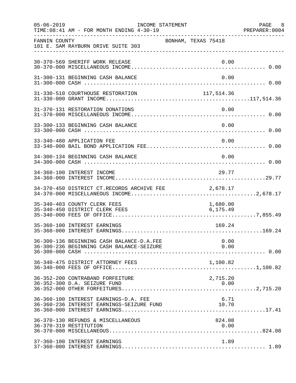| $05 - 06 - 2019$ | TIME: 08:41 AM - FOR MONTH ENDING 4-30-19                                              | INCOME STATEMENT |                      | PAGE 8<br>PREPARER: 0004 |
|------------------|----------------------------------------------------------------------------------------|------------------|----------------------|--------------------------|
| FANNIN COUNTY    | 101 E. SAM RAYBURN DRIVE SUITE 303                                                     |                  | BONHAM, TEXAS 75418  |                          |
|                  | 30-370-569 SHERIFF WORK RELEASE                                                        |                  | 0.00                 |                          |
|                  | 31-300-131 BEGINNING CASH BALANCE                                                      |                  | 0.00                 |                          |
|                  | 31-330-510 COURTHOUSE RESTORATION                                                      |                  | 117, 514.36          |                          |
|                  | 31-370-131 RESTORATION DONATIONS                                                       |                  | 0.00                 |                          |
|                  | 33-300-133 BEGINNING CASH BALANCE                                                      |                  | 0.00                 |                          |
|                  | 33-340-480 APPLICATION FEE                                                             |                  | 0.00                 |                          |
|                  | 34-300-134 BEGINNING CASH BALANCE                                                      |                  | 0.00                 |                          |
|                  | 34-360-100 INTEREST INCOME                                                             |                  | 29.77                |                          |
|                  | 34-370-450 DISTRICT CT.RECORDS ARCHIVE FEE                                             |                  | 2,678.17             |                          |
|                  | 35-340-403 COUNTY CLERK FEES<br>35-340-450 DISTRICT CLERK FEES                         |                  | 1,680.00<br>6,175.49 |                          |
|                  | 35-360-100 INTEREST EARNINGS                                                           |                  | 169.24               |                          |
|                  | 36-300-136 BEGINNING CASH BALANCE-D.A.FEE<br>36-300-236 BEGINNING CASH BALANCE-SEIZURE |                  | 0.00<br>0.00         |                          |
|                  | 36-340-475 DISTRICT ATTORNEY FEES                                                      |                  |                      |                          |
|                  | 36-352-200 CONTRABAND FORFEITURE                                                       |                  | 2,715.20             |                          |
|                  | 36-360-100 INTEREST EARNINGS-D.A. FEE<br>36-360-236 INTEREST EARNINGS-SEIZURE FUND     |                  | 6.71<br>10.70        |                          |
|                  | 36-370-130 REFUNDS & MISCELLANEOUS<br>36-370-319 RESTITUTION                           |                  | 824.08<br>0.00       |                          |
|                  | 37-360-100 INTEREST EARNINGS                                                           |                  | 1.89                 |                          |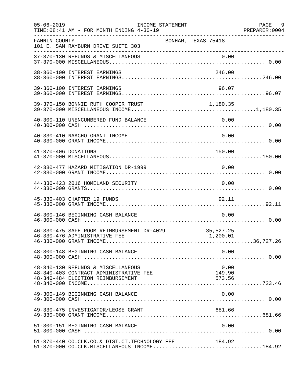| $05 - 06 - 2019$     | INCOME STATEMENT<br>TIME: 08:41 AM - FOR MONTH ENDING 4-30-19                                                     |                          | PAGE 9 |
|----------------------|-------------------------------------------------------------------------------------------------------------------|--------------------------|--------|
| FANNIN COUNTY        | 101 E. SAM RAYBURN DRIVE SUITE 303                                                                                | BONHAM, TEXAS 75418      |        |
|                      |                                                                                                                   |                          |        |
|                      | 38-360-100 INTEREST EARNINGS                                                                                      | 246.00                   |        |
|                      | 39-360-100 INTEREST EARNINGS                                                                                      | 96.07                    |        |
|                      | 39-370-150 BONNIE RUTH COOPER TRUST                                                                               | 1,180.35                 |        |
|                      | 40-300-110 UNENCUMBERED FUND BALANCE                                                                              | 0.00                     |        |
|                      | 40-330-410 NAACHO GRANT INCOME                                                                                    | 0.00                     |        |
| 41-370-406 DONATIONS |                                                                                                                   | 150.00                   |        |
|                      | 42-330-477 HAZARD MITIGATION DR-1999                                                                              | 0.00                     |        |
|                      | 44-330-423 2016 HOMELAND SECURITY                                                                                 | 0.00                     |        |
|                      | 45-330-403 CHAPTER 19 FUNDS                                                                                       | 92.11                    |        |
|                      | 46-300-146 BEGINNING CASH BALANCE                                                                                 | 0.00                     |        |
|                      | 46-330-475 SAFE ROOM REIMBURSEMENT DR-4029<br>46-330-476 ADMINISTRATIVE FEE                                       | 35,527.25<br>1,200.01    |        |
|                      | 48-300-148 BEGINNING CASH BALANCE                                                                                 | 0.00                     |        |
|                      | 48-340-130 REFUNDS & MISCELLANEOUS<br>48-340-403 CONTRACT ADMINISTRATIVE FEE<br>48-340-484 ELECTION REIMBURSEMENT | 0.00<br>149.90<br>573.56 |        |
|                      | 49-300-149 BEGINNING CASH BALANCE                                                                                 | 0.00                     |        |
|                      | 49-330-475 INVESTIGATOR/LEOSE GRANT                                                                               | 681.66                   |        |
|                      | 51-300-151 BEGINNING CASH BALANCE                                                                                 | 0.00                     |        |
|                      | 51-370-440 CO.CLK.CO.& DIST.CT.TECHNOLOGY FEE<br>$51-370-000$ CO.CLK.MISCELLANEOUS INCOME184.92                   | 184.92                   |        |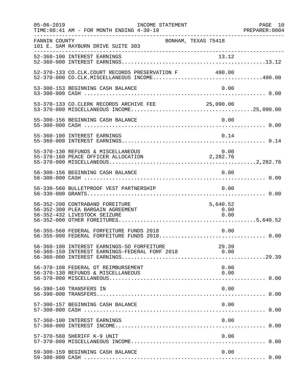| $05 - 06 - 2019$ | INCOME STATEMENT<br>TIME: 08:41 AM - FOR MONTH ENDING 4-30-19                                         |                          | PAGE 10 |
|------------------|-------------------------------------------------------------------------------------------------------|--------------------------|---------|
| FANNIN COUNTY    | BONHAM, TEXAS 75418<br>101 E. SAM RAYBURN DRIVE SUITE 303                                             |                          |         |
|                  |                                                                                                       |                          |         |
|                  | 52-370-133 CO.CLK.COURT RECORDS PRESERVATION F 490.00<br>52-370-000 CO.CLK.MISCELLANEOUS INCOME490.00 |                          |         |
|                  | 53-300-153 BEGINNING CASH BALANCE                                                                     | 0.00                     |         |
|                  | 53-370-133 CO.CLERK RECORDS ARCHIVE FEE 25,090.00                                                     |                          |         |
|                  | 55-300-156 BEGINNING CASH BALANCE                                                                     | 0.00                     |         |
|                  | 55-360-100 INTEREST EARNINGS                                                                          | 0.14                     |         |
|                  | 55-370-130 REFUNDS & MISCELLANEOUS<br>55-370-160 PEACE OFFICER ALLOCATION                             | 0.00<br>2,282.76         |         |
|                  | 56-300-156 BEGINNING CASH BALANCE                                                                     | 0.00                     |         |
|                  | 56-330-560 BULLETPROOF VEST PARTNERSHIP                                                               | 0.00                     |         |
|                  | 56-352-200 CONTRABAND FOREITURE<br>56-352-300 PLEA BARGAIN AGREEMENT<br>56-352-432 LIVESTOCK SEIZURE  | 5,640.52<br>0.00<br>0.00 |         |
|                  | 56-355-560 FEDERAL FORFEITURE FUNDS 2018                                                              | 0.00                     |         |
|                  | 56-360-100 INTEREST EARNINGS-SO FORFEITURE<br>56-360-159 INTEREST EARNINGS-FEDERAL FORF 2018          | 29.39<br>0.00            |         |
|                  | 56-370-108 FEDERAL OT REIMBURSEMENT<br>56-370-130 REFUNDS & MISCELLANEOUS                             | 0.00<br>0.00             |         |
|                  | 56-390-140 TRANSFERS IN                                                                               | 0.00                     |         |
|                  | 57-300-157 BEGINNING CASH BALANCE                                                                     | 0.00                     |         |
|                  | 57-360-100 INTEREST EARNINGS                                                                          | 0.00                     |         |
|                  | 57-370-560 SHERIFF K-9 UNIT                                                                           | 0.00                     |         |
|                  | 59-300-159 BEGINNING CASH BALANCE                                                                     | 0.00                     |         |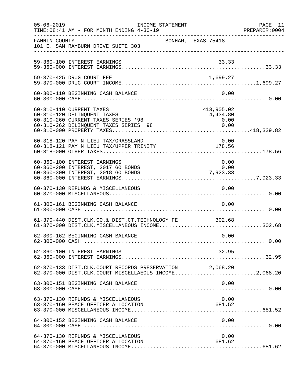| $05 - 06 - 2019$ | INCOME STATEMENT<br>TIME: 08:41 AM - FOR MONTH ENDING 4-30-19                                                                            |                                        | PAGE 11<br>PREPARER: 0004 |
|------------------|------------------------------------------------------------------------------------------------------------------------------------------|----------------------------------------|---------------------------|
| FANNIN COUNTY    | 101 E. SAM RAYBURN DRIVE SUITE 303                                                                                                       | BONHAM, TEXAS 75418                    |                           |
|                  | 59-360-100 INTEREST EARNINGS                                                                                                             | 33.33                                  |                           |
|                  | 59-370-425 DRUG COURT FEE                                                                                                                | 1,699.27                               |                           |
|                  | 60-300-110 BEGINNING CASH BALANCE                                                                                                        | 0.00                                   |                           |
|                  | 60-310-110 CURRENT TAXES<br>60-310-120 DELINQUENT TAXES<br>60-310-260 CURRENT TAXES SERIES '98<br>60-310-262 DELINQUENT TAXES SERIES '98 | 413,905.02<br>4,434.80<br>0.00<br>0.00 |                           |
|                  | 60-318-120 PAY N LIEU TAX/GRASSLAND<br>00-316-120 PAI N LIEU TAA/GRASSLAND<br>60-318-121 PAY N LIEU TAX/UPPER TRINITY 178.56             | 0.00                                   |                           |
|                  | 60-360-100 INTEREST EARNINGS<br>60-360-200 INTEREST, 2017 GO BONDS<br>60-360-300 INTEREST, 2018 GO BONDS                                 | 0.00<br>0.00<br>$0.00$<br>7,923.33     |                           |
|                  | 60-370-130 REFUNDS & MISCELLANEOUS                                                                                                       | 0.00                                   |                           |
|                  | 61-300-161 BEGINNING CASH BALANCE                                                                                                        | 0.00                                   |                           |
|                  | 61-370-440 DIST.CLK.CO.& DIST.CT.TECHNOLOGY FE 302.68<br>61-370-000 DIST.CLK.MISCELLANEOUS INCOME302.68                                  |                                        |                           |
|                  | 62-300-162 BEGINNING CASH BALANCE                                                                                                        | 0.00                                   |                           |
|                  | 62-360-100 INTEREST EARNINGS                                                                                                             | 32.95                                  |                           |
|                  | 62-370-133 DIST.CLK.COURT RECORDS PRESERVATION 2,068.20<br>62-370-000 DIST.CLK.COURT MISCELLAEOUS INCOME2,068.20                         |                                        |                           |
|                  | 63-300-151 BEGINNING CASH BALANCE                                                                                                        | 0.00                                   |                           |
|                  | 63-370-130 REFUNDS & MISCELLANEOUS<br>63-370-160 PEACE OFFICER ALLOCATION                                                                | 0.00<br>681.52                         |                           |
|                  | 64-300-152 BEGINNING CASH BALANCE                                                                                                        | 0.00                                   |                           |
|                  | 64-370-130 REFUNDS & MISCELLANEOUS<br>64-370-160 PEACE OFFICER ALLOCATION                                                                | 0.00<br>681.62                         |                           |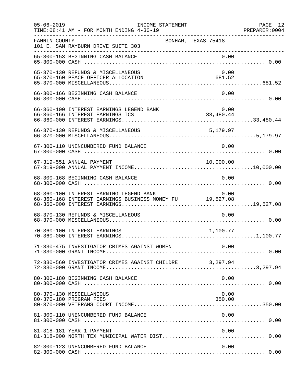| $05 - 06 - 2019$ | INCOME STATEMENT<br>TIME: 08:41 AM - FOR MONTH ENDING 4-30-19                                       |                | PAGE 12 |
|------------------|-----------------------------------------------------------------------------------------------------|----------------|---------|
| FANNIN COUNTY    | BONHAM, TEXAS 75418<br>101 E. SAM RAYBURN DRIVE SUITE 303                                           |                |         |
|                  |                                                                                                     |                |         |
|                  | 65-370-130 REFUNDS & MISCELLANEOUS<br>65-370-160 PEACE OFFICER ALLOCATION                           | 0.00<br>681.52 |         |
|                  | 66-300-166 BEGINNING CASH BALANCE                                                                   | 0.00           |         |
|                  |                                                                                                     |                |         |
|                  | 66-370-130 REFUNDS & MISCELLANEOUS                                                                  | 5,179.97       |         |
|                  | 67-300-110 UNENCUMBERED FUND BALANCE                                                                | 0.00           |         |
|                  | 67-319-551 ANNUAL PAYMENT                                                                           | 10,000.00      |         |
|                  | 68-300-168 BEGINNING CASH BALANCE                                                                   | 0.00           |         |
|                  | 68-360-100 INTEREST EARNING LEGEND BANK<br>68-360-168 INTEREST EARNINGS BUSINESS MONEY FU 19,527.08 | 0.00           |         |
|                  | 68-370-130 REFUNDS & MISCELLANEOUS                                                                  | 0.00           |         |
|                  | 70-360-100 INTEREST EARNINGS                                                                        | 1,100.77       |         |
|                  | 71-330-475 INVESTIGATOR CRIMES AGAINST WOMEN                                                        | 0.00           |         |
|                  | 72-330-560 INVESTIGATOR CRIMES AGAINST CHILDRE 3,297.94                                             |                |         |
|                  | 80-300-180 BEGINNING CASH BALANCE                                                                   | 0.00           |         |
|                  | 80-370-130 MISCELLANEOUS<br>80-370-180 PROGRAM FEES                                                 | 0.00<br>350.00 |         |
|                  | 81-300-110 UNENCUMBERED FUND BALANCE                                                                | 0.00           |         |
|                  | 81-318-181 YEAR 1 PAYMENT                                                                           | 0.00           |         |
|                  | 82-300-123 UNENCUMBERED FUND BALANCE                                                                | 0.00           |         |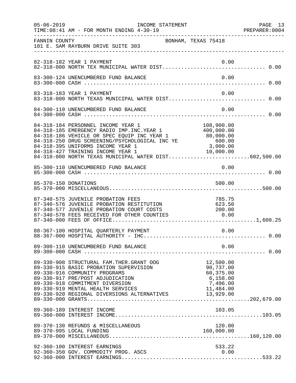|               | $05 - 06 - 2019$<br>INCOME STATEMENT<br>TIME: 08:41 AM - FOR MONTH ENDING 4-30-19                                                                                                                                                                                                                                                                                                     |                                                             | PAGE 13<br>PREPARER: 0004 |
|---------------|---------------------------------------------------------------------------------------------------------------------------------------------------------------------------------------------------------------------------------------------------------------------------------------------------------------------------------------------------------------------------------------|-------------------------------------------------------------|---------------------------|
| FANNIN COUNTY | BONHAM, TEXAS 75418<br>101 E. SAM RAYBURN DRIVE SUITE 303                                                                                                                                                                                                                                                                                                                             |                                                             |                           |
|               | 82-318-182 YEAR 1 PAYMENT                                                                                                                                                                                                                                                                                                                                                             | 0.00                                                        |                           |
|               | 83-300-124 UNENCUMBERED FUND BALANCE                                                                                                                                                                                                                                                                                                                                                  | 0.00                                                        |                           |
|               | 83-318-183 YEAR 1 PAYMENT<br>83-318-000 NORTH TEXAS MUNICIPAL WATER DIST 0.00                                                                                                                                                                                                                                                                                                         | 0.00                                                        |                           |
|               | 84-300-110 UNENCUMBERED FUND BALANCE                                                                                                                                                                                                                                                                                                                                                  | 0.00                                                        |                           |
|               | 84-318-184 PERSONNEL INCOME YEAR 1 108,900.00<br>84-318-185 EMERGENCY RADIO IMP.INC.YEAR 1 400,000.00<br>84-318-186 VEHICLE OR SPEC EQUIP INC YEAR 1 80,000.00<br>84-318-250 DRUG SCREENING/PSYCHOLOGICAL INC YE 600.00<br>80,000.00<br><br>84-318-395 UNIFORMS INCOME YEAR 1<br>84-318-427 TRAINING INCOME YEAR 1 10,000.00<br>84-318-000 NORTH TEXAS MUNICIPAL WATER DIST602,500.00 |                                                             |                           |
|               |                                                                                                                                                                                                                                                                                                                                                                                       |                                                             |                           |
|               | 85-370-150 DONATIONS                                                                                                                                                                                                                                                                                                                                                                  | 500.00                                                      |                           |
|               | 87-340-575 JUVENILE PROBATION FEES<br>87-340-575 UUVENILE PROBAILON FEES<br>87-340-576 JUVENILE PROBATION RESTITUTION 623.50<br>87-340-577 JUVENILE PROBATION COURT COSTS 200.00<br>87-340-578 FEES RECEIVED FOR OTHER COUNTIES 0.00                                                                                                                                                  | 785.75                                                      |                           |
|               | 88-367-100 HOSPITAL QUARTERLY PAYMENT                                                                                                                                                                                                                                                                                                                                                 | 0.00                                                        |                           |
|               | 89-300-110 UNENCUMBERED FUND BALANCE                                                                                                                                                                                                                                                                                                                                                  | 0.00                                                        |                           |
|               | 89-330-908 STRUCTURAL FAM. THER. GRANT OOG<br>89-330-915 BASIC PROBATION SUPERVISION<br>89-330-916 COMMUNITY PROGRAMS<br>89-330-917 PRE/POST ADJUDICATION<br>89-330-918 COMMITMENT DIVERSION<br>89-330-916 COMMITMENT DIVERSION<br>89-330-919 MENTAL HEALTH SERVICES 11,484.00<br>89-330-920 REGIONAL DIVERSIONS ALTERNATIVES 13,929.00                                               | 12,500.00<br>90,737.00<br>60,375.00<br>6,158.00<br>7,496.00 |                           |
|               | 89-360-189 INTEREST INCOME                                                                                                                                                                                                                                                                                                                                                            | 103.05                                                      |                           |
|               | 89-370-130 REFUNDS & MISCELLANEOUS<br>89-370-995 LOCAL FUNDING                                                                                                                                                                                                                                                                                                                        | 120.00<br>160,000.00                                        |                           |
|               | 92-360-100 INTEREST EARNINGS<br>92-360-350 GOV. COMMODITY PROG. ASCS                                                                                                                                                                                                                                                                                                                  | 533.22<br>0.00                                              |                           |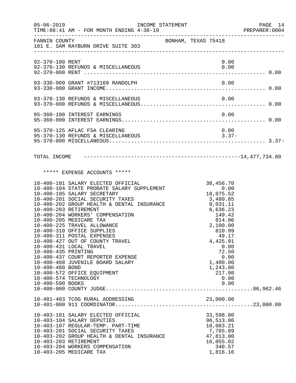| $05 - 06 - 2019$                                           | INCOME STATEMENT<br>TIME: 08:41 AM - FOR MONTH ENDING 4-30-19                                                                                                                                                                                                                                                                                                                                                                                                                                                                                                                       |                     |          |                                                                                                                                                                                                            |      | PAGE 14<br>PREPARER: 0004 |
|------------------------------------------------------------|-------------------------------------------------------------------------------------------------------------------------------------------------------------------------------------------------------------------------------------------------------------------------------------------------------------------------------------------------------------------------------------------------------------------------------------------------------------------------------------------------------------------------------------------------------------------------------------|---------------------|----------|------------------------------------------------------------------------------------------------------------------------------------------------------------------------------------------------------------|------|---------------------------|
|                                                            | FANNIN COUNTY<br>101 E. SAM RAYBURN DRIVE SUITE 303                                                                                                                                                                                                                                                                                                                                                                                                                                                                                                                                 | BONHAM, TEXAS 75418 |          |                                                                                                                                                                                                            |      |                           |
| 92-370-100 RENT                                            |                                                                                                                                                                                                                                                                                                                                                                                                                                                                                                                                                                                     |                     |          |                                                                                                                                                                                                            | 0.00 |                           |
|                                                            |                                                                                                                                                                                                                                                                                                                                                                                                                                                                                                                                                                                     |                     |          |                                                                                                                                                                                                            |      |                           |
|                                                            |                                                                                                                                                                                                                                                                                                                                                                                                                                                                                                                                                                                     |                     |          |                                                                                                                                                                                                            |      |                           |
|                                                            | 95-360-100 INTEREST EARNINGS                                                                                                                                                                                                                                                                                                                                                                                                                                                                                                                                                        |                     |          | 0.00                                                                                                                                                                                                       |      |                           |
|                                                            | 95-370-125 AFLAC FSA CLEARING                                                                                                                                                                                                                                                                                                                                                                                                                                                                                                                                                       |                     |          |                                                                                                                                                                                                            | 0.00 |                           |
|                                                            |                                                                                                                                                                                                                                                                                                                                                                                                                                                                                                                                                                                     |                     |          |                                                                                                                                                                                                            |      |                           |
|                                                            | ***** EXPENSE ACCOUNTS *****                                                                                                                                                                                                                                                                                                                                                                                                                                                                                                                                                        |                     |          |                                                                                                                                                                                                            |      |                           |
| 10-400-435 PRINTING<br>10-400-480 BOND<br>10-400-590 BOOKS | 10-400-101 SALARY ELECTED OFFICIAL<br>10-400-104 STATE PROBATE SALARY SUPPLEMENT<br>10-400-105 SALARY SECRETARY<br>10-400-201 SOCIAL SECURITY TAXES<br>10-400-202 GROUP HEALTH & DENTAL INSURANCE<br>10-400-203 RETIREMENT<br>10-400-204 WORKERS' COMPENSATION<br>10-400-205 MEDICARE TAX<br>10-400-225 TRAVEL ALLOWANCE<br>10-400-310 OFFICE SUPPLIES<br>10-400-311 POSTAL EXPENSES<br>10-400-427 OUT OF COUNTY TRAVEL<br>10-400-431 LOCAL TRAVEL<br>10-400-437 COURT REPORTER EXPENSE<br>10-400-468 JUVENILE BOARD SALARY<br>10-400-572 OFFICE EQUIPMENT<br>10-400-574 TECHNOLOGY |                     | 9,031.11 | 38,456.70<br>0.00<br>0.075.52<br>0.085.3<br>3,480.85<br>6,636.23<br>149.42<br>814.06<br>2,100.00<br>810.99<br>49.17<br>4,425.91<br>0.00<br>72.50<br>0.00<br>1,400.00<br>1,243.00<br>217.00<br>0.00<br>0.00 |      |                           |
|                                                            |                                                                                                                                                                                                                                                                                                                                                                                                                                                                                                                                                                                     |                     |          |                                                                                                                                                                                                            |      |                           |
|                                                            | 10-403-101 SALARY ELECTED OFFICIAL<br>10-403-104 SALARY DEPUTIES<br>10-403-107 REGULAR-TEMP. PART-TIME<br>10-403-201 SOCIAL SECURITY TAXES<br>10-403-202 GROUP HEALTH & DENTAL INSURANCE<br>10-403-203 RETIREMENT<br>10-403-204 WORKERS COMPENSATION<br>10-403-205 MEDICARE TAX                                                                                                                                                                                                                                                                                                     |                     |          | 33,598.80<br>96,513.06<br>10,083.21<br>7,765.89<br>47,813.00<br>16,055.02<br>340.57<br>1,816.16                                                                                                            |      |                           |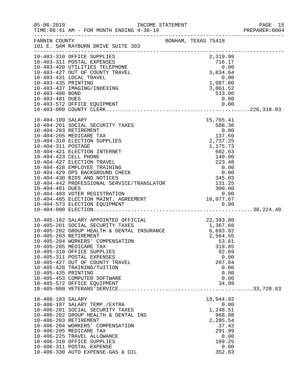|                     |                                                                                                                                                                             |                              |                                          | PREPARER: 0004 |
|---------------------|-----------------------------------------------------------------------------------------------------------------------------------------------------------------------------|------------------------------|------------------------------------------|----------------|
| FANNIN COUNTY       | BONHAM, TEXAS 75418<br>101 E. SAM RAYBURN DRIVE SUITE 303                                                                                                                   |                              |                                          |                |
|                     |                                                                                                                                                                             |                              |                                          |                |
|                     | 10-403-310 OFFICE SUPPLIES                                                                                                                                                  |                              | 2,319.99                                 |                |
|                     | 10-403-310 OFFICE SUFFILES<br>10-403-420 UTILITIES TELEPHONE<br>10-403-427 OUT OF COUNTY TRAVEL                                                                             | $716.17$<br>0.00<br>3,834.64 | 716.17                                   |                |
|                     |                                                                                                                                                                             |                              |                                          |                |
|                     | 10-403-431 LOCAL TRAVEL                                                                                                                                                     |                              |                                          |                |
| 10-403-435 PRINTING |                                                                                                                                                                             |                              | $0.00$<br>1,087.00<br>3,861.52<br>513.00 |                |
|                     | 10-403-437 IMAGING/INDEXING                                                                                                                                                 |                              |                                          |                |
| 10-403-480 BOND     |                                                                                                                                                                             |                              |                                          |                |
|                     |                                                                                                                                                                             |                              |                                          |                |
|                     |                                                                                                                                                                             |                              |                                          |                |
|                     |                                                                                                                                                                             |                              |                                          |                |
| 10-404-109 SALARY   |                                                                                                                                                                             |                              | 15,765.41                                |                |
|                     | 10-404-201 SOCIAL SECURITY TAXES                                                                                                                                            |                              | 588.36                                   |                |
|                     | 10-404-203 RETIREMENT                                                                                                                                                       |                              | 0.00                                     |                |
|                     | 10-404-205 MEDICARE TAX                                                                                                                                                     |                              | 137.59                                   |                |
|                     | 10-404-310 ELECTION SUPPLIES                                                                                                                                                |                              | 2,737.25                                 |                |
| 10-404-311 POSTAGE  |                                                                                                                                                                             |                              | 1,175.73<br>602.63                       |                |
|                     |                                                                                                                                                                             |                              |                                          |                |
|                     |                                                                                                                                                                             |                              |                                          |                |
|                     |                                                                                                                                                                             |                              |                                          |                |
|                     |                                                                                                                                                                             |                              |                                          |                |
|                     |                                                                                                                                                                             |                              |                                          |                |
|                     |                                                                                                                                                                             |                              |                                          |                |
|                     |                                                                                                                                                                             |                              |                                          |                |
|                     |                                                                                                                                                                             |                              |                                          |                |
|                     |                                                                                                                                                                             |                              |                                          |                |
|                     |                                                                                                                                                                             |                              |                                          |                |
|                     |                                                                                                                                                                             |                              |                                          |                |
|                     | 10-405-102 SALARY APPOINTED OFFICIAL 22,393.80<br>10-405-201 SOCIAL SECURITY TAXES 1,367.68<br>10-405-202 GROUP HEALTH & DENTAL INSURANCE 6,693.82<br>10-405-203 RETIREMENT |                              |                                          |                |
|                     |                                                                                                                                                                             |                              |                                          |                |
|                     |                                                                                                                                                                             |                              |                                          |                |
|                     | 10-405-203 RETIREMENT                                                                                                                                                       |                              | 2,564.55                                 |                |
|                     | 10-405-204 WORKERS' COMPENSATION                                                                                                                                            |                              | 53.61                                    |                |
|                     | 10-405-205 MEDICARE TAX<br>10-405-310 OFFICE SUPPLIES                                                                                                                       |                              | 319.85<br>92.69                          |                |
|                     | 10-405-311 POSTAL EXPENSES                                                                                                                                                  |                              | 0.00                                     |                |
|                     | 10-405-427 OUT OF COUNTY TRAVEL                                                                                                                                             |                              | 207.64                                   |                |
|                     | 10-405-428 TRAINING/TUITION                                                                                                                                                 |                              | 0.00                                     |                |
| 10-405-435 PRINTING |                                                                                                                                                                             |                              | 0.00                                     |                |
|                     | 10-405-453 COMPUTER SOFTWARE                                                                                                                                                |                              | 0.00                                     |                |
|                     | 10-405-572 OFFICE EQUIPMENT                                                                                                                                                 |                              | 34.99                                    |                |
|                     |                                                                                                                                                                             |                              |                                          |                |
| 10-406-103 SALARY   |                                                                                                                                                                             |                              | 19,944.92                                |                |
|                     | 10-406-107 SALARY TEMP./EXTRA                                                                                                                                               |                              | 0.00                                     |                |
|                     | 10-406-201 SOCIAL SECURITY TAXES                                                                                                                                            |                              | 1,248.51                                 |                |
|                     | 10-406-202 GROUP HEALTH & DENTAL INS                                                                                                                                        |                              | 968.08                                   |                |
|                     | 10-406-203 RETIREMENT                                                                                                                                                       |                              | 2,285.54                                 |                |
|                     | 10-406-204 WORKERS' COMPENSATION                                                                                                                                            |                              | 37.42                                    |                |
|                     | 10-406-205 MEDICARE TAX<br>10-406-225 TRAVEL ALLOWANCE                                                                                                                      |                              | 291.99<br>0.00                           |                |
|                     | 10-406-310 OFFICE SUPPLIES                                                                                                                                                  |                              | 109.25                                   |                |
|                     | 10-406-311 POSTAL EXPENSE                                                                                                                                                   |                              | 0.00                                     |                |
|                     | 10-406-330 AUTO EXPENSE-GAS & OIL                                                                                                                                           |                              | 352.83                                   |                |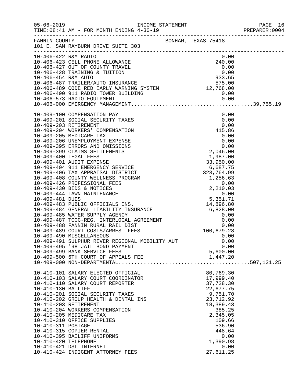|                      |                                                       |                    | PREPARER: 0004 |
|----------------------|-------------------------------------------------------|--------------------|----------------|
|                      | FANNIN COUNTY<br>101 E. SAM RAYBURN DRIVE SUITE 303   |                    |                |
|                      | 10-406-422 R&M RADIO                                  | 0.00               |                |
|                      |                                                       |                    |                |
|                      |                                                       |                    |                |
|                      |                                                       |                    |                |
|                      |                                                       |                    |                |
|                      |                                                       |                    |                |
|                      |                                                       |                    |                |
|                      |                                                       |                    |                |
|                      |                                                       |                    |                |
|                      |                                                       |                    |                |
|                      |                                                       |                    |                |
|                      |                                                       |                    |                |
|                      |                                                       |                    |                |
|                      |                                                       |                    |                |
|                      |                                                       |                    |                |
|                      |                                                       |                    |                |
|                      |                                                       |                    |                |
|                      |                                                       |                    |                |
|                      |                                                       |                    |                |
|                      |                                                       |                    |                |
|                      |                                                       |                    |                |
|                      |                                                       |                    |                |
|                      |                                                       |                    |                |
|                      |                                                       |                    |                |
|                      |                                                       |                    |                |
|                      |                                                       |                    |                |
|                      |                                                       |                    |                |
|                      |                                                       |                    |                |
|                      |                                                       |                    |                |
|                      |                                                       |                    |                |
|                      | 10-409-490 MISCELLANEOUS                              | 0.00               |                |
|                      | 10-409-491 SULPHUR RIVER REGIONAL MOBILITY AUT        | 0.00               |                |
|                      | 10-409-495 '98 JAIL BOND PAYMENT                      | 0.00               |                |
|                      | 10-409-499 BANK SERVICE FEES                          | 5,600.00           |                |
|                      |                                                       |                    |                |
|                      | 10-410-101 SALARY ELECTED OFFICIAL                    | 80,769.30          |                |
|                      | 10-410-103 SALARY COURT COORDINATOR                   | 17,999.40          |                |
|                      | 10-410-110 SALARY COURT REPORTER                      | 37,728.30          |                |
| 10-410-130 BAILIFF   |                                                       | 22,677.75          |                |
|                      | 10-410-201 SOCIAL SECURITY TAXES                      | 9,751.70           |                |
|                      | 10-410-202 GROUP HEALTH & DENTAL INS                  | 23,712.92          |                |
|                      | 10-410-203 RETIREMENT                                 | 18,389.43          |                |
|                      | 10-410-204 WORKERS COMPENSATION                       | 385.25             |                |
|                      | 10-410-205 MEDICARE TAX<br>10-410-310 OFFICE SUPPLIES | 2,345.05<br>109.66 |                |
| 10-410-311 POSTAGE   |                                                       | 536.90             |                |
|                      | 10-410-315 COPIER RENTAL                              | 448.64             |                |
|                      | 10-410-395 BAILIFF UNIFORMS                           | 0.00               |                |
| 10-410-420 TELEPHONE |                                                       | 1,390.98           |                |
|                      | 10-410-421 DSL INTERNET                               | 0.00               |                |
|                      | 10-410-424 INDIGENT ATTORNEY FEES                     | 27,611.25          |                |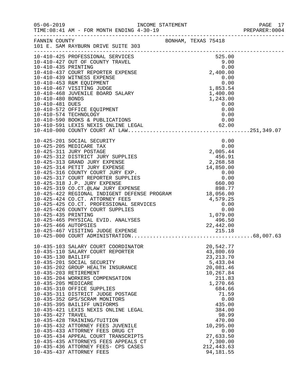|                     |                                                                                                                                                                                                                                                |  |                                      | PAGE 17<br>PREPARER: 0004 |
|---------------------|------------------------------------------------------------------------------------------------------------------------------------------------------------------------------------------------------------------------------------------------|--|--------------------------------------|---------------------------|
|                     | FANNIN COUNTY<br>101 E. SAM RAYBURN DRIVE SUITE 303                                                                                                                                                                                            |  |                                      |                           |
|                     | 10-410-425 PROFESSIONAL SERVICES<br>10-410-425 PROFESSIONAL SERVICES<br>10-410-427 OUT OF COUNTY TRAVEL<br>10-410-435 PRINTING<br>10-410-435 PRINTING<br>10-410-437 COURT REPORTER EXPENSE<br>2,400.00<br>10-410-463 NUMENS EXPENSE<br>10-410- |  |                                      |                           |
|                     |                                                                                                                                                                                                                                                |  |                                      |                           |
|                     |                                                                                                                                                                                                                                                |  |                                      |                           |
|                     |                                                                                                                                                                                                                                                |  |                                      |                           |
|                     |                                                                                                                                                                                                                                                |  |                                      |                           |
|                     | 10-410-481 DUES<br>10-410-572 OFFICE EQUIPMENT<br>10-410-574 TECHNOLOGY<br>10-410-590 BOOKS & PUBLICATIONS<br>10-410-591 LEXIS NEXIS ONLINE LEGAL<br>10-410-591 LEXIS NEXIS ONLINE LEGAL<br>62.00<br>10-410-000 COUNTY COURT AT LAW            |  |                                      |                           |
|                     |                                                                                                                                                                                                                                                |  |                                      |                           |
|                     |                                                                                                                                                                                                                                                |  |                                      |                           |
|                     |                                                                                                                                                                                                                                                |  |                                      |                           |
|                     |                                                                                                                                                                                                                                                |  |                                      |                           |
|                     |                                                                                                                                                                                                                                                |  |                                      |                           |
|                     |                                                                                                                                                                                                                                                |  |                                      |                           |
|                     |                                                                                                                                                                                                                                                |  |                                      |                           |
|                     | 10-425-424 CO.CT. ATTORNEY FEES<br>10-425-425 CO.CT. PROFESSIONAL SERVICES<br>10-425-426 COUNTY COURT SUPPLIES<br>10-425-435 PRINTING<br>10-425-435 PRINTING UDGE EXPENSE<br>10-425-465 PHYSICAL EVID. ANALYSES<br>10-425-466 AUTOPSIES<br>1   |  |                                      |                           |
|                     | 10-435-103 SALARY COURT COORDINATOR<br>10-435-110 SALARY COURT REPORTER                                                                                                                                                                        |  | 20,542.77<br>43,800.69               |                           |
| 10-435-130 BAILIFF  | 10-435-201 SOCIAL SECURITY                                                                                                                                                                                                                     |  | 23, 213. 70<br>5,433.04<br>20,081.46 |                           |
|                     | 10-435-202 GROUP HEALTH INSURANCE<br>10-435-203 RETIREMENT<br>10-435-204 WORKERS COMPENSATION                                                                                                                                                  |  | 10,267.84<br>211.83                  |                           |
| 10-435-205 MEDICARE | 10-435-310 OFFICE SUPPLIES<br>10-435-311 DISTRICT JUDGE POSTAGE                                                                                                                                                                                |  | 1,270.66<br>684.66<br>71.59          |                           |
|                     | 10-435-352 GPS/SCRAM MONITORS<br>10-435-395 BAILIFF UNIFORMS                                                                                                                                                                                   |  | 0.00<br>435.00                       |                           |
| 10-435-427 TRAVEL   | 10-435-421 LEXIS NEXIS ONLINE LEGAL<br>10-435-428 TRAINING/TUITION                                                                                                                                                                             |  | 384.00<br>98.99<br>470.00            |                           |
|                     | 10-435-432 ATTORNEY FEES JUVENILE<br>10-435-433 ATTORNEY FEES DRUG CT                                                                                                                                                                          |  | 10,295.00<br>0.00                    |                           |
|                     | 10-435-434 APPEAL COURT TRANSCRIPTS<br>10-435-435 ATTORNEYS FEES APPEALS CT<br>10-435-436 ATTORNEY FEES- CPS CASES                                                                                                                             |  | 27,633.50<br>7,300.00<br>212, 443.63 |                           |
|                     | 10-435-437 ATTORNEY FEES                                                                                                                                                                                                                       |  | 94, 181.55                           |                           |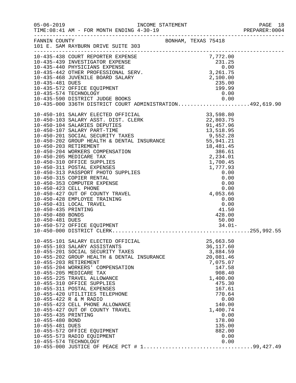|                                                           |                                                                                                                                                                                                                                                                                                                                                                                                                                                                                                                                                                                                     |                      |                                   |                                                                                                                                                                                                                | PREPARER: 0004 |
|-----------------------------------------------------------|-----------------------------------------------------------------------------------------------------------------------------------------------------------------------------------------------------------------------------------------------------------------------------------------------------------------------------------------------------------------------------------------------------------------------------------------------------------------------------------------------------------------------------------------------------------------------------------------------------|----------------------|-----------------------------------|----------------------------------------------------------------------------------------------------------------------------------------------------------------------------------------------------------------|----------------|
|                                                           | FANNIN COUNTY BONHAM, TEXAS 75418<br>101 E. SAM RAYBURN DRIVE SUITE 303                                                                                                                                                                                                                                                                                                                                                                                                                                                                                                                             |                      |                                   |                                                                                                                                                                                                                |                |
| 10-435-481 DUES                                           | 10-435-438 COURT REPORTER EXPENSE 7,772.00<br>10-435-439 INVESTIGATOR EXPENSE 231.25<br>10-435-440 PHYSICIANS EXPENSE 231.25<br>10-435-440 PHYSICIANS EXPENSE 0.00<br>10-435-442 OTHER PROFESSIONAL SERV. 3,261.75<br>10-435-468 JUVENIL<br>10-435-572 OFFICE EQUIPMENT<br>10-435-574 TECHNOLOGY<br>10-435-590 DISTRICT JUDGE BOOKS<br>10-435-590 DISTRICT JUDGE BOOKS 0.00<br>10-435-000 336TH DISTRICT COURT ADMINISTRATION492,619.90                                                                                                                                                             | $235.00$<br>$199.99$ |                                   | 0.00                                                                                                                                                                                                           |                |
| 10-450-435 PRINTING<br>10-450-480 BONDS                   | 10-450-428 EMPLOYEE TRAINING<br>10-450-431 LOCAL TRAVEL                                                                                                                                                                                                                                                                                                                                                                                                                                                                                                                                             |                      | $0.00$<br>0.00<br>41.50<br>428.00 |                                                                                                                                                                                                                |                |
| 10-455-435 PRINTING<br>10-455-480 BOND<br>10-455-481 DUES | 10-455-101 SALARY ELECTED OFFICIAL<br>10-455-103 SALARY ASSISTANTS<br>10-455-201 SOCIAL SECURITY TAXES<br>10-455-201 SOCIAL SECURITY TAXES<br>10-455-202 GROUP HEALTH & DENTAL INSURANCE<br>10-455-203 RETIREMENT<br>10-455-204 WORKERS' COMPENSATION<br>10-455-205 MEDICARE TAX<br>10-455-225 TRAVEL ALLOWANCE<br>10-455-310 OFFICE SUPPLIES<br>10-455-311 POSTAL EXPENSES<br>10-455-420 UTILITIES TELEPHONE<br>10-455-422 R & M RADIO<br>10-455-423 CELL PHONE ALLOWANCE<br>10-455-427 OUT OF COUNTY TRAVEL<br>10-455-572 OFFICE EQUIPMENT<br>10-455-573 RADIO EQUIPMENT<br>10-455-574 TECHNOLOGY |                      |                                   | 25,663.50<br>36, 117.60<br>3,884.59<br>20,081.46<br>7,075.07<br>147.58<br>908.40<br>1,400.00<br>475.30<br>167.61<br>770.64<br>0.00<br>140.00<br>1,400.74<br>0.00<br>178.00<br>135.00<br>882.00<br>0.00<br>0.00 |                |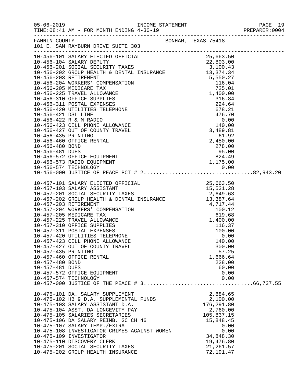|                     |                                                                                                                                                                                                                                                                                                                                                                                                                   |  |            |              | PREPARER: 0004 |
|---------------------|-------------------------------------------------------------------------------------------------------------------------------------------------------------------------------------------------------------------------------------------------------------------------------------------------------------------------------------------------------------------------------------------------------------------|--|------------|--------------|----------------|
|                     |                                                                                                                                                                                                                                                                                                                                                                                                                   |  |            |              |                |
|                     | 10-456-101 SALARY ELECTED OFFICIAL 25,663.50<br>10-456-104 SALARY DEPUTY 22,803.00<br>10-456-201 SOCIAL SECURITY TAXES 3,100.43<br>10-456-202 GROUP HEALTH & DENTAL INSURANCE 13,374.34                                                                                                                                                                                                                           |  |            |              |                |
|                     |                                                                                                                                                                                                                                                                                                                                                                                                                   |  |            |              |                |
|                     |                                                                                                                                                                                                                                                                                                                                                                                                                   |  |            |              |                |
|                     |                                                                                                                                                                                                                                                                                                                                                                                                                   |  |            |              |                |
|                     |                                                                                                                                                                                                                                                                                                                                                                                                                   |  |            |              |                |
|                     |                                                                                                                                                                                                                                                                                                                                                                                                                   |  |            |              |                |
|                     |                                                                                                                                                                                                                                                                                                                                                                                                                   |  |            |              |                |
|                     |                                                                                                                                                                                                                                                                                                                                                                                                                   |  |            |              |                |
|                     |                                                                                                                                                                                                                                                                                                                                                                                                                   |  |            |              |                |
|                     |                                                                                                                                                                                                                                                                                                                                                                                                                   |  |            |              |                |
|                     |                                                                                                                                                                                                                                                                                                                                                                                                                   |  |            |              |                |
|                     |                                                                                                                                                                                                                                                                                                                                                                                                                   |  |            |              |                |
|                     |                                                                                                                                                                                                                                                                                                                                                                                                                   |  |            |              |                |
|                     |                                                                                                                                                                                                                                                                                                                                                                                                                   |  |            |              |                |
|                     |                                                                                                                                                                                                                                                                                                                                                                                                                   |  |            |              |                |
|                     |                                                                                                                                                                                                                                                                                                                                                                                                                   |  |            |              |                |
|                     |                                                                                                                                                                                                                                                                                                                                                                                                                   |  |            |              |                |
|                     |                                                                                                                                                                                                                                                                                                                                                                                                                   |  |            |              |                |
|                     |                                                                                                                                                                                                                                                                                                                                                                                                                   |  |            |              |                |
|                     |                                                                                                                                                                                                                                                                                                                                                                                                                   |  |            |              |                |
|                     |                                                                                                                                                                                                                                                                                                                                                                                                                   |  |            |              |                |
|                     | $\begin{tabular}{lllllllllllllllllllllllllllllllllllllllllllll} \multicolumn{3}{c}{10-457-101} & \multicolumn{3}{c}{\text{SALARY ELECTED OFFICIAL}} & & & & & & & 25,663.50 \\ \multicolumn{3}{c}{10-457-103} & \multicolumn{3}{c}{\text{SALARY ASSISTANT}} & & & & 15,531.28 \\ \multicolumn{3}{c}{10-457-201} & \multicolumn{3}{c}{\text{SOCIAL SECURITY TXKES}} & & & 2,649.63 \\ \multicolumn{3}{c}{10-457-2$ |  |            |              |                |
|                     |                                                                                                                                                                                                                                                                                                                                                                                                                   |  |            |              |                |
|                     |                                                                                                                                                                                                                                                                                                                                                                                                                   |  |            |              |                |
|                     |                                                                                                                                                                                                                                                                                                                                                                                                                   |  |            |              |                |
|                     |                                                                                                                                                                                                                                                                                                                                                                                                                   |  |            |              |                |
|                     |                                                                                                                                                                                                                                                                                                                                                                                                                   |  |            |              |                |
|                     |                                                                                                                                                                                                                                                                                                                                                                                                                   |  |            |              |                |
|                     |                                                                                                                                                                                                                                                                                                                                                                                                                   |  |            |              |                |
|                     | 10-457-311 POSTAL EXPENSES                                                                                                                                                                                                                                                                                                                                                                                        |  | 100.00     |              |                |
|                     | 10-457-420 UTILITIES TELEPHONE                                                                                                                                                                                                                                                                                                                                                                                    |  |            | 0.00         |                |
|                     | 10-457-423 CELL PHONE ALLOWANCE                                                                                                                                                                                                                                                                                                                                                                                   |  | 140.00     |              |                |
|                     | 10-457-427 OUT OF COUNTY TRAVEL                                                                                                                                                                                                                                                                                                                                                                                   |  | 300.00     |              |                |
| 10-457-435 PRINTING |                                                                                                                                                                                                                                                                                                                                                                                                                   |  | 57.25      |              |                |
|                     | 10-457-460 OFFICE RENTAL                                                                                                                                                                                                                                                                                                                                                                                          |  | 1,666.64   |              |                |
| 10-457-480 BOND     |                                                                                                                                                                                                                                                                                                                                                                                                                   |  | 228.00     |              |                |
| 10-457-481 DUES     | 10-457-572 OFFICE EQUIPMENT                                                                                                                                                                                                                                                                                                                                                                                       |  | 60.00      | 0.00         |                |
|                     | 10-457-574 TECHNOLOGY                                                                                                                                                                                                                                                                                                                                                                                             |  |            | 0.00         |                |
|                     |                                                                                                                                                                                                                                                                                                                                                                                                                   |  |            |              |                |
|                     | 10-475-101 DA. SALARY SUPPLEMENT                                                                                                                                                                                                                                                                                                                                                                                  |  | 2,884.65   |              |                |
|                     | 10-475-102 HB 9 D.A. SUPPLEMENTAL FUNDS                                                                                                                                                                                                                                                                                                                                                                           |  | 2,100.00   |              |                |
|                     | 10-475-103 SALARY ASSISTANT D.A.                                                                                                                                                                                                                                                                                                                                                                                  |  | 176,291.80 |              |                |
|                     | 10-475-104 ASST. DA LONGEVITY PAY                                                                                                                                                                                                                                                                                                                                                                                 |  | 2,760.00   |              |                |
|                     | 10-475-105 SALARIES SECRETARIES                                                                                                                                                                                                                                                                                                                                                                                   |  | 105,837.15 |              |                |
|                     | 10-475-106 DA SALARY REIMB. GC CH 46                                                                                                                                                                                                                                                                                                                                                                              |  | 15,848.45  |              |                |
|                     | 10-475-107 SALARY TEMP./EXTRA<br>10-475-108 INVESTIGATOR CRIMES AGAINST WOMEN                                                                                                                                                                                                                                                                                                                                     |  |            | 0.00<br>0.00 |                |
|                     | 10-475-109 INVESTIGATOR                                                                                                                                                                                                                                                                                                                                                                                           |  | 34,848.30  |              |                |
|                     | 10-475-110 DISCOVERY CLERK                                                                                                                                                                                                                                                                                                                                                                                        |  | 19,476.80  |              |                |
|                     | 10-475-201 SOCIAL SECURITY TAXES                                                                                                                                                                                                                                                                                                                                                                                  |  | 21, 261.57 |              |                |
|                     | 10-475-202 GROUP HEALTH INSURANCE                                                                                                                                                                                                                                                                                                                                                                                 |  | 72,191.47  |              |                |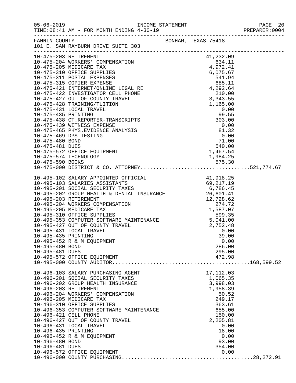| $05 - 06 - 2019$      | TIME: 08:41 AM - FOR MONTH ENDING 4-30-19                                                                                                                                                                    |                                                                       | PAGE 20<br>PREPARER: 0004 |
|-----------------------|--------------------------------------------------------------------------------------------------------------------------------------------------------------------------------------------------------------|-----------------------------------------------------------------------|---------------------------|
| FANNIN COUNTY         | 101 E. SAM RAYBURN DRIVE SUITE 303                                                                                                                                                                           | BONHAM, TEXAS 75418                                                   |                           |
|                       | 10-475-203 RETIREMENT                                                                                                                                                                                        | 41,232.09                                                             |                           |
|                       | 10-475-204 WORKERS' COMPENSATION<br>10-475-205 MEDICARE TAY                                                                                                                                                  | 41, 232.09<br>634.11<br>4, 972.41<br>4. 975.67<br>6, 075.67<br>541.94 |                           |
|                       | 10-475-205 MEDICARE TAX                                                                                                                                                                                      |                                                                       |                           |
|                       | 10-475-310 OFFICE SUPPLIES                                                                                                                                                                                   |                                                                       |                           |
|                       |                                                                                                                                                                                                              |                                                                       |                           |
|                       |                                                                                                                                                                                                              |                                                                       |                           |
|                       |                                                                                                                                                                                                              |                                                                       |                           |
|                       |                                                                                                                                                                                                              |                                                                       |                           |
|                       |                                                                                                                                                                                                              |                                                                       |                           |
|                       |                                                                                                                                                                                                              |                                                                       |                           |
|                       |                                                                                                                                                                                                              |                                                                       |                           |
|                       |                                                                                                                                                                                                              |                                                                       |                           |
|                       |                                                                                                                                                                                                              |                                                                       |                           |
|                       |                                                                                                                                                                                                              |                                                                       |                           |
|                       |                                                                                                                                                                                                              |                                                                       |                           |
|                       |                                                                                                                                                                                                              |                                                                       |                           |
|                       |                                                                                                                                                                                                              |                                                                       |                           |
|                       |                                                                                                                                                                                                              |                                                                       |                           |
|                       | 10-475-574 TECHNOLOGY                                                                                                                                                                                        | 1,984.25                                                              |                           |
|                       |                                                                                                                                                                                                              |                                                                       |                           |
|                       |                                                                                                                                                                                                              |                                                                       |                           |
|                       | 10-495-102 SALARY APPOINTED OFFICIAL 41,918.25<br>10-495-103 SALARIES ASSISTANTS 69,217.19<br>10-495-201 SOCIAL SECURITY TAXES 6,786.45<br>10-495-202 GROUP HEALTH & DENTAL INSURANCE 26,601.41              |                                                                       |                           |
|                       |                                                                                                                                                                                                              |                                                                       |                           |
|                       |                                                                                                                                                                                                              |                                                                       |                           |
|                       |                                                                                                                                                                                                              |                                                                       |                           |
|                       | 10-495-203 RETIREMENT<br>10-495-204 WORKERS COMPENSATION<br>10-495-205 MEDICARE TAX<br>10-495-310 OFFICE SUPPLIES<br>10-495-353 COMPUTER SOFTWARE MAINTENANCE<br>10-495-427 OUT OF COUNTY TRAVEL<br>2,752.48 |                                                                       |                           |
|                       |                                                                                                                                                                                                              |                                                                       |                           |
|                       |                                                                                                                                                                                                              |                                                                       |                           |
|                       |                                                                                                                                                                                                              |                                                                       |                           |
|                       |                                                                                                                                                                                                              |                                                                       |                           |
|                       |                                                                                                                                                                                                              |                                                                       |                           |
|                       | 10-495-431 LOCAL TRAVEL                                                                                                                                                                                      | 0.00                                                                  |                           |
| 10-495-435 PRINTING   |                                                                                                                                                                                                              | 39.00                                                                 |                           |
|                       | 10-495-452 R & M EQUIPMENT                                                                                                                                                                                   | 0.00                                                                  |                           |
| 10-495-480 BOND       |                                                                                                                                                                                                              | 286.00                                                                |                           |
| 10-495-481 DUES       |                                                                                                                                                                                                              | 295.00                                                                |                           |
|                       | 10-495-572 OFFICE EQUIPMENT                                                                                                                                                                                  | 472.98                                                                |                           |
|                       |                                                                                                                                                                                                              |                                                                       |                           |
|                       | 10-496-103 SALARY PURCHASING AGENT                                                                                                                                                                           | 17, 112.03                                                            |                           |
|                       | 10-496-201 SOCIAL SECURITY TAXES                                                                                                                                                                             | 1,065.35                                                              |                           |
|                       | 10-496-202 GROUP HEALTH INSURANCE                                                                                                                                                                            | 3,998.03                                                              |                           |
|                       | 10-496-203 RETIREMENT                                                                                                                                                                                        | 1,958.39                                                              |                           |
|                       | 10-496-204 WORKERS' COMPENSATION                                                                                                                                                                             | 50.52                                                                 |                           |
|                       | 10-496-205 MEDICARE TAX                                                                                                                                                                                      | 249.17                                                                |                           |
|                       | 10-496-310 OFFICE SUPPLIES                                                                                                                                                                                   | 363.61                                                                |                           |
|                       | 10-496-353 COMPUTER SOFTWARE MAINTENANCE                                                                                                                                                                     | 655.00                                                                |                           |
| 10-496-421 CELL PHONE |                                                                                                                                                                                                              | 150.00                                                                |                           |
|                       | 10-496-427 OUT OF COUNTY TRAVEL                                                                                                                                                                              | 2,205.81                                                              |                           |
|                       | 10-496-431 LOCAL TRAVEL                                                                                                                                                                                      | 0.00                                                                  |                           |
| 10-496-435 PRINTING   |                                                                                                                                                                                                              | 18.00                                                                 |                           |
|                       | 10-496-452 R & M EQUIPMENT                                                                                                                                                                                   | 0.00                                                                  |                           |
| 10-496-480 BOND       |                                                                                                                                                                                                              | 93.00                                                                 |                           |
| 10-496-481 DUES       |                                                                                                                                                                                                              | 354.00                                                                |                           |
|                       | 10-496-572 OFFICE EQUIPMENT                                                                                                                                                                                  | 0.00                                                                  |                           |
|                       |                                                                                                                                                                                                              |                                                                       |                           |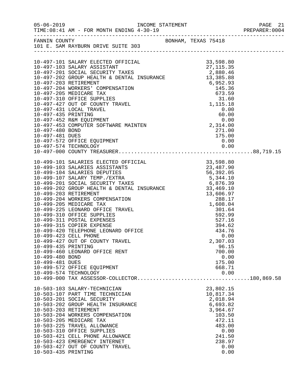|                                                           |                                                                                                                                                                                                                                                                                                                                                                                                                                                                                                                                                                                                                                                           |                                                                                                                                                                                     | PREPARER: 0004 |
|-----------------------------------------------------------|-----------------------------------------------------------------------------------------------------------------------------------------------------------------------------------------------------------------------------------------------------------------------------------------------------------------------------------------------------------------------------------------------------------------------------------------------------------------------------------------------------------------------------------------------------------------------------------------------------------------------------------------------------------|-------------------------------------------------------------------------------------------------------------------------------------------------------------------------------------|----------------|
|                                                           | FANNIN COUNTY<br>101 E. SAM RAYBURN DRIVE SUITE 303                                                                                                                                                                                                                                                                                                                                                                                                                                                                                                                                                                                                       |                                                                                                                                                                                     |                |
|                                                           |                                                                                                                                                                                                                                                                                                                                                                                                                                                                                                                                                                                                                                                           |                                                                                                                                                                                     |                |
|                                                           |                                                                                                                                                                                                                                                                                                                                                                                                                                                                                                                                                                                                                                                           |                                                                                                                                                                                     |                |
| 10-497-481 DUES                                           | 10-497-572 OFFICE EQUIPMENT<br>10-497-574 TECHNOLOGY                                                                                                                                                                                                                                                                                                                                                                                                                                                                                                                                                                                                      | 271.00<br>$\begin{array}{r} 175.00 \\ 0.00 \\ 0.00 \end{array}$                                                                                                                     |                |
|                                                           |                                                                                                                                                                                                                                                                                                                                                                                                                                                                                                                                                                                                                                                           |                                                                                                                                                                                     |                |
| 10-499-435 PRINTING<br>10-499-480 BOND<br>10-499-481 DUES | 10-499-101 SALARIES ELECTED OFFICIAL 33,598.80<br>10-499-103 SALARIES ASSISTANTS 23,487.90<br>10-499-104 SALARIES DEPUTIES 56,392.05<br>10-499-201 SOCIAL SECURITY TAXES 6,876.39<br>10-499-201 SOCIAL SECURITY TAXES 6,876.39<br>10-499<br>10-499-203 RETIREMENT<br>10-499-204 WORKERS COMPENSATION<br>10-499-205 MEDICARE TAX<br>10-499-225 LEONARD OFFICE TRAVEL<br>10-499-310 OFFICE SUPPLIES<br>10-499-311 POSTAL EXPENSES<br>10-499-315 COPIER EXPENSE<br>10-499-420 TELEPHONE LEONARD OFFICE<br>10-499-423 CELL PHONE<br>10-499-427 OUT OF COUNTY TRAVEL<br>10-499-460 LEONARD OFFICE RENT<br>10-499-572 OFFICE EQUIPMENT<br>10-499-574 TECHNOLOGY | 33, 469.10<br>13, 606.97<br>288.17<br>1, 608.04<br>301.64<br>592.99<br>527.16<br>394.62<br>TCE<br>434.76<br>0.00<br>2,307.03<br>96.15<br>700.00<br>0.00<br>175.00<br>668.71<br>0.00 |                |
| 10-503-435 PRINTING                                       | 10-503-103 SALARY-TECHNICIAN<br>10-503-107 PART TIME TECHNICIAN<br>10-503-201 SOCIAL SECURITY<br>10-503-202 GROUP HEALTH INSURANCE<br>10-503-203 RETIREMENT<br>10-503-204 WORKERS COMPENSATION<br>10-503-205 MEDICARE TAX<br>10-503-225 TRAVEL ALLOWANCE<br>10-503-310 OFFICE SUPPLIES<br>10-503-421 CELL PHONE ALLOWANCE<br>10-503-423 EMERGENCY INTERNET<br>10-503-427 OUT OF COUNTY TRAVEL                                                                                                                                                                                                                                                             | 23,802.15<br>10,817.34<br>2,018.94<br>6,693.82<br>3,964.67<br>103.50<br>472.11<br>483.00<br>0.00<br>241.50<br>238.97<br>0.00<br>0.00                                                |                |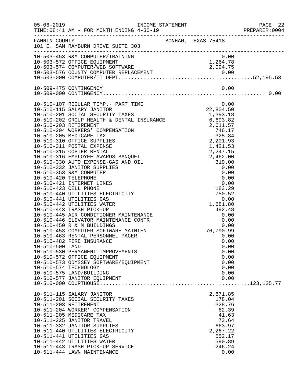|                 |                                                                                                                                                                                                                                                                                                                                                                                   |                     |                                                                                                             |                                                              | PAGE 22<br>PREPARER:0004<br>PAGE 22 |
|-----------------|-----------------------------------------------------------------------------------------------------------------------------------------------------------------------------------------------------------------------------------------------------------------------------------------------------------------------------------------------------------------------------------|---------------------|-------------------------------------------------------------------------------------------------------------|--------------------------------------------------------------|-------------------------------------|
|                 | FANNIN COUNTY<br>101 E. SAM RAYBURN DRIVE SUITE 303                                                                                                                                                                                                                                                                                                                               |                     |                                                                                                             |                                                              |                                     |
|                 | 10-503-453 R&M COMPUTER/TRAINING 0.00<br>10-503-572 OFFICE EQUIPMENT 1,264.78<br>10-503-574 COMPUTER/WEB SOFTWARE 2,094.75<br>10-503-576 COUNTY COMPUTER REPLACEMENT 0.00<br>10-503-000 COMPUTER/IT DEPT                                                                                                                                                                          |                     |                                                                                                             |                                                              |                                     |
|                 |                                                                                                                                                                                                                                                                                                                                                                                   |                     |                                                                                                             |                                                              |                                     |
|                 |                                                                                                                                                                                                                                                                                                                                                                                   |                     |                                                                                                             |                                                              |                                     |
| 10-510-500 LAND | 10-510-107 REGULAR TEMP.- PART TIME<br>10-510-482 FIRE INSURANCE<br>10-510-530 PERMANENT IMPROVEMENTS<br>10-510-572 OFFICE EQUIPMENT<br>10-510-573 ODYSSEY SOFTWARE/EQUIPMENT<br>10-510-574 TECHNOLOGY<br>10-510-575 LAND/BUILDING<br>10-510-577 JANITOR EQUIPMENT                                                                                                                | $0.00$<br>22,804.50 |                                                                                                             | 0.00<br>0.00<br>0.00<br>0.00<br>0.00<br>0.00<br>0.00<br>0.00 |                                     |
|                 |                                                                                                                                                                                                                                                                                                                                                                                   |                     |                                                                                                             |                                                              |                                     |
|                 | 10-511-115 SALARY JANITOR<br>10-511-201 SOCIAL SECURITY TAXES<br>10-511-203 RETIREMENT<br>10-511-204 WORKER' COMPENSATION<br>10-511-205 MEDICARE TAX<br>10-511-225 JANITOR TRAVEL<br>10-511-332 JANITOR SUPPLIES<br>10-511-440 UTILITIES ELECTRICITY<br>10-511-441 UTILITIES GAS<br>10-511-442 UTILITIES WATER<br>10-511-443 TRASH PICK-UP SERVICE<br>10-511-444 LAWN MAINTENANCE |                     | 2,871.85<br>178.04<br>328.76<br>62.39<br>41.63<br>73.64<br>663.97<br>2,267.22<br>552.17<br>590.89<br>246.24 | 0.00                                                         |                                     |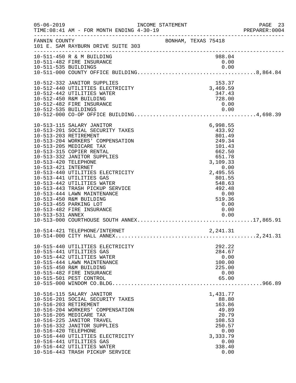| $05 - 06 - 2019$                                                | INCOME STATEMENT<br>TIME: 08:41 AM - FOR MONTH ENDING 4-30-19                                                                                                                                                                                                                                                                                                                                                                                                      |  |                                                           |                                                                                                                                          |                      | PAGE 23<br>PREPARER:0004 |
|-----------------------------------------------------------------|--------------------------------------------------------------------------------------------------------------------------------------------------------------------------------------------------------------------------------------------------------------------------------------------------------------------------------------------------------------------------------------------------------------------------------------------------------------------|--|-----------------------------------------------------------|------------------------------------------------------------------------------------------------------------------------------------------|----------------------|--------------------------|
| FANNIN COUNTY                                                   | BONHAM, TEXAS 75418<br>101 E. SAM RAYBURN DRIVE SUITE 303                                                                                                                                                                                                                                                                                                                                                                                                          |  |                                                           |                                                                                                                                          |                      |                          |
|                                                                 | 10-511-450 R & M BUILDING<br>10-511-482 FIRE INSURANCE                                                                                                                                                                                                                                                                                                                                                                                                             |  |                                                           | 988.04<br>0.00                                                                                                                           |                      |                          |
| 10-512-535 BUILDINGS                                            | 10-512-332 JANITOR SUPPLIES<br>10-512-440 UTILITIES ELECTRICITY<br>10-512-442 UTILITIES WATER<br>10-512-450 R&M BUILDING<br>10-512-482 FIRE INSURANCE                                                                                                                                                                                                                                                                                                              |  |                                                           | 153.37<br>3,469.59<br>347.43<br>728.00<br>0.00                                                                                           | 0.00                 |                          |
| 10-513-420 TELEPHONE<br>10-513-421 INTERNET<br>10-513-531 ANNEX | 10-513-115 SALARY JANITOR<br>10-513-201 SOCIAL SECURITY TAXES<br>10-513-203 RETIREMENT<br>10-513-204 WORKERS' COMPENSATION<br>10-513-205 MEDICARE TAX<br>10-513-315 COPIER RENTAL<br>10-513-332 JANITOR SUPPLIES<br>10-513-440 UTILITIES ELECTRICITY<br>10-513-441 UTILITIES GAS<br>10-513-442 UTILITIES WATER<br>10-513-443 TRASH PICKUP SERVICE<br>10-513-444 LAWN MAINTENANCE<br>10-513-450 R&M BUILDING<br>10-513-455 PARKING LOT<br>10-513-482 FIRE INSURANCE |  | $\begin{array}{c} 0\,.\,00 \\ 2\,,495\,.\,55 \end{array}$ | 6,998.55<br>433.92<br>801.49<br>249.34<br>101.43<br>662.50<br>651.78<br>3,109.33<br>801.55<br>548.63<br>492.48<br>519.36<br>0.00<br>0.00 | 0.00<br>0.00         |                          |
|                                                                 | 10-514-421 TELEPHONE/INTERNET                                                                                                                                                                                                                                                                                                                                                                                                                                      |  |                                                           | 2,241.31                                                                                                                                 |                      |                          |
|                                                                 | 10-515-440 UTILITIES ELECTRICITY<br>10-515-441 UTILITIES GAS<br>10-515-442 UTILITIES WATER<br>10-515-444 LAWN MAINTENANCE<br>10-515-450 R&M BUILDING<br>10-515-482 FIRE INSURANCE<br>10-515-501 PEST CONTROL                                                                                                                                                                                                                                                       |  |                                                           | 292.22<br>284.67<br>100.00<br>225.00<br>0.00<br>65.00                                                                                    | 0.00                 |                          |
| 10-516-420 TELEPHONE                                            | 10-516-115 SALARY JANITOR<br>10-516-201 SOCIAL SECURITY TAXES<br>10-516-203 RETIREMENT<br>10-516-204 WORKERS' COMPENSATION<br>10-516-205 MEDICARE TAX<br>10-516-225 JANITOR TRAVEL<br>10-516-332 JANITOR SUPPLIES<br>10-516-440 UTILITIES ELECTRICITY<br>10-516-441 UTILITIES GAS<br>10-516-442 UTILITIES WATER<br>10-516-443 TRASH PICKUP SERVICE                                                                                                                 |  |                                                           | 1,431.77<br>88.80<br>163.86<br>49.89<br>20.79<br>108.53<br>250.57<br>3,333.79<br>338.40                                                  | 0.00<br>0.00<br>0.00 |                          |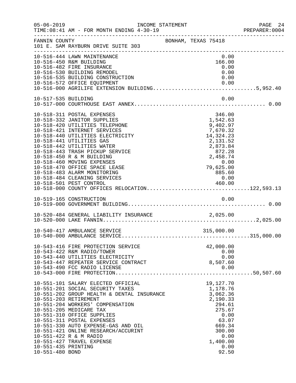| $05 - 06 - 2019$                       | INCOME STATEMENT<br>TIME: 08:41 AM - FOR MONTH ENDING 4-30-19                                                                                                                                                                                                                                                                                                                                                                                                                                               |                     |                                                                                                                                                  | PAGE 24<br>PREPARER:0004 |
|----------------------------------------|-------------------------------------------------------------------------------------------------------------------------------------------------------------------------------------------------------------------------------------------------------------------------------------------------------------------------------------------------------------------------------------------------------------------------------------------------------------------------------------------------------------|---------------------|--------------------------------------------------------------------------------------------------------------------------------------------------|--------------------------|
| FANNIN COUNTY                          | 101 E. SAM RAYBURN DRIVE SUITE 303                                                                                                                                                                                                                                                                                                                                                                                                                                                                          | BONHAM, TEXAS 75418 |                                                                                                                                                  |                          |
|                                        | 10-516-444 LAWN MAINTENANCE<br>10-516-450 R&M BUILDING<br>10-516-482 FIRE INSURANCE                                                                                                                                                                                                                                                                                                                                                                                                                         |                     | 0.00<br>166.00<br>0.00                                                                                                                           |                          |
|                                        | 10-516-530 BUILDING REMODEL<br>10-516-535 BUILDING CONSTRUCTION                                                                                                                                                                                                                                                                                                                                                                                                                                             |                     | 0.00<br>0.00                                                                                                                                     |                          |
|                                        | 10-516-572 OFFICE EQUIPMENT<br>10-516-000 AGRILIFE EXTENSION BUILDING5,952.40                                                                                                                                                                                                                                                                                                                                                                                                                               |                     |                                                                                                                                                  |                          |
| 10-517-535 BUILDING                    |                                                                                                                                                                                                                                                                                                                                                                                                                                                                                                             |                     | 0.00                                                                                                                                             |                          |
|                                        | 10-518-311 POSTAL EXPENSES<br>10-518-332 JANITOR SUPPLIES<br>10-518-420 UTILITIES TELEPHONE<br>10-518-421 INTERNET SERVICES<br>10-518-440 UTILITIES ELECTRICITY<br>10-518-441 UTILITIES GAS<br>10-518-442 UTILITIES WATER<br>10-518-443 TRASH PICKUP SERVICE<br>10-518-450 R & M BUILDING<br>10-518-460 MOVING EXPENSES<br>10-518-470 OFFICE SPACE LEASE<br>10-518-483 ALARM MONITORING<br>10-518-484 CLEANING SERVICES<br>10-518-501 PEST CONTROL 460.00<br>10-518-000 COUNTY OFFICES RELOCATION122,593.13 |                     | 346.00<br>1,542.63<br>9,402.97<br>7,670.32<br>14, 324. 23<br>2,131.52<br>2,873.84<br>872.28<br>2,458.74<br>$0.00$<br>79,625.00<br>885.60<br>0.00 |                          |
|                                        |                                                                                                                                                                                                                                                                                                                                                                                                                                                                                                             |                     |                                                                                                                                                  |                          |
|                                        | 10-520-484 GENERAL LIABILITY INSURANCE 2,025.00                                                                                                                                                                                                                                                                                                                                                                                                                                                             |                     |                                                                                                                                                  |                          |
|                                        |                                                                                                                                                                                                                                                                                                                                                                                                                                                                                                             |                     |                                                                                                                                                  |                          |
|                                        | 10-543-416 FIRE PROTECTION SERVICE<br>10-543-422 R&M RADIO/TOWER<br>10-543-440 UTILITIES ELECTRICITY<br>10-543-447 REPEATER SERVICE CONTRACT<br>10-543-490 FCC RADIO LICENSE                                                                                                                                                                                                                                                                                                                                |                     | 42,000.00<br>0.00<br>0.00<br>8,507.60<br>0.00                                                                                                    |                          |
| 10-551-435 PRINTING<br>10-551-480 BOND | 10-551-101 SALARY ELECTED OFFICIAL<br>10-551-201 SOCIAL SECURITY TAXES<br>10-551-202 GROUP HEALTH & DENTAL INSURANCE<br>10-551-203 RETIREMENT<br>10-551-204 WORKERS' COMPENSATION<br>10-551-205 MEDICARE TAX<br>10-551-310 OFFICE SUPPLIES<br>10-551-311 POSTAL EXPENSES<br>10-551-330 AUTO EXPENSE-GAS AND OIL<br>10-551-421 ONLINE RESEARCH/ACCURINT<br>10-551-422 R & M RADIO<br>10-551-427 TRAVEL EXPENSE                                                                                               |                     | 19,127.70<br>1,178.76<br>3,062.36<br>2,190.33<br>294.61<br>275.67<br>0.00<br>63.07<br>669.34<br>300.00<br>0.00<br>1,400.00<br>0.00<br>92.50      |                          |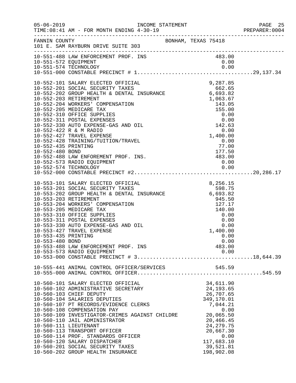| $05 - 06 - 2019$                       | TIME: 08:41 AM - FOR MONTH ENDING 4-30-19                                                                                                                                                  |                                                          |                            |      | PAGE 25<br>PREPARER:0004 |
|----------------------------------------|--------------------------------------------------------------------------------------------------------------------------------------------------------------------------------------------|----------------------------------------------------------|----------------------------|------|--------------------------|
|                                        | FANNIN COUNTY SAN BONHAM, TEXAS 75418<br>101 E. SAM RAYBURN DRIVE SUITE 303                                                                                                                |                                                          |                            |      |                          |
|                                        | 10-551-488 LAW ENFORCEMENT PROF. INS<br>10-551-572 EQUIPMENT<br>10 EE1 E74 TECHNOLOGY                                                                                                      |                                                          | 483.00<br>0.00             |      |                          |
|                                        |                                                                                                                                                                                            |                                                          |                            |      |                          |
|                                        |                                                                                                                                                                                            |                                                          |                            |      |                          |
|                                        |                                                                                                                                                                                            |                                                          |                            |      |                          |
| 10-552-480 BOND                        |                                                                                                                                                                                            |                                                          | 177.50                     |      |                          |
|                                        | 10-552-488 LAW ENFOREMENT PROF. INS.<br>10-552-573 RADIO EQUIPMENT                                                                                                                         | $\frac{177.50}{483.00}$                                  | 0.00                       |      |                          |
|                                        |                                                                                                                                                                                            |                                                          |                            |      |                          |
|                                        |                                                                                                                                                                                            |                                                          |                            |      |                          |
|                                        | 10-553-101 SALARY ELECTED OFFICIAL<br>10-553-201 SOCIAL SECURITY TAXES<br>10-553-202 GROUP HEALTH & DENTAL INSURANCE 6,693.82<br>10-553-203 RETIREMENT<br>10-553-204 WORKERS' COMPENSATION | in 1996.<br>Provincia                                    | 8, 256. 15                 |      |                          |
|                                        | 10-553-205 MEDICARE TAX<br>10-553-310 OFFICE SUPPLIES<br>10-553-311 POSTAL EXPENSES<br>10-553-330 AUTO EXPENSE-GAS AND OIL                                                                 | $945.56$<br>127.17<br>140.00<br>0.00<br>0.00<br>1,400.00 |                            |      |                          |
| 10-553-435 PRINTING<br>10-553-480 BOND | 10-553-427 TRAVEL EXPENSE<br>10-553-488 LAW ENFORCEMENT PROF. INS                                                                                                                          |                                                          | 1,400.00<br>0.00<br>483.00 | 0.00 |                          |
|                                        | 10-553-573 RADIO EQUIPMENT                                                                                                                                                                 |                                                          |                            | 0.00 |                          |
|                                        |                                                                                                                                                                                            |                                                          |                            |      |                          |
|                                        |                                                                                                                                                                                            |                                                          |                            |      |                          |
|                                        | 10-560-101 SALARY ELECTED OFFICIAL                                                                                                                                                         |                                                          | 34,611.90<br>24, 193.65    |      |                          |
|                                        | 10-560-102 ADMINISTRATIVE SECRETARY<br>10-560-103 CHIEF DEPUTY                                                                                                                             |                                                          | 26,707.65                  |      |                          |
|                                        | 10-560-104 SALARIES DEPUTIES                                                                                                                                                               |                                                          | 349,170.01                 |      |                          |
|                                        | 10-560-107 PT RECORDS/EVIDENCE CLERKS<br>10-560-108 COMPENSATION PAY                                                                                                                       |                                                          | 7,044.21                   | 0.00 |                          |
|                                        | 10-560-109 INVESTIGATOR-CRIMES AGAINST CHILDRE                                                                                                                                             |                                                          | 20,065.50                  |      |                          |
|                                        | 10-560-110 JAIL ADMINISTRATOR<br>10-560-111 LIEUTENANT                                                                                                                                     |                                                          | 20,466.45<br>24, 279. 75   |      |                          |
|                                        | 10-560-113 TRANSPORT OFFICER                                                                                                                                                               |                                                          | 20,667.30                  |      |                          |
|                                        | 10-560-114 PROF. STANDARDS OFFICER                                                                                                                                                         |                                                          |                            | 0.00 |                          |
|                                        | 10-560-120 SALARY DISPATCHER                                                                                                                                                               |                                                          | 117,683.10                 |      |                          |
|                                        | 10-560-201 SOCIAL SECURITY TAXES<br>10-560-202 GROUP HEALTH INSURANCE                                                                                                                      |                                                          | 39,521.81<br>198,902.08    |      |                          |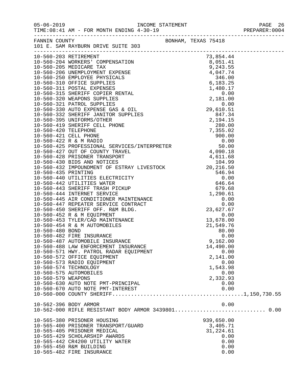|                    |                                                                                                                                                                                                                                              |                  | PREPARER: 0004 |
|--------------------|----------------------------------------------------------------------------------------------------------------------------------------------------------------------------------------------------------------------------------------------|------------------|----------------|
|                    | FANNIN COUNTY<br>101 E. SAM RAYBURN DRIVE SUITE 303                                                                                                                                                                                          |                  |                |
|                    |                                                                                                                                                                                                                                              |                  |                |
|                    |                                                                                                                                                                                                                                              |                  |                |
|                    |                                                                                                                                                                                                                                              |                  |                |
|                    |                                                                                                                                                                                                                                              |                  |                |
|                    |                                                                                                                                                                                                                                              |                  |                |
|                    |                                                                                                                                                                                                                                              |                  |                |
|                    |                                                                                                                                                                                                                                              |                  |                |
|                    |                                                                                                                                                                                                                                              |                  |                |
|                    |                                                                                                                                                                                                                                              |                  |                |
|                    |                                                                                                                                                                                                                                              |                  |                |
|                    |                                                                                                                                                                                                                                              |                  |                |
|                    |                                                                                                                                                                                                                                              |                  |                |
|                    |                                                                                                                                                                                                                                              |                  |                |
|                    |                                                                                                                                                                                                                                              |                  |                |
|                    |                                                                                                                                                                                                                                              |                  |                |
|                    |                                                                                                                                                                                                                                              |                  |                |
|                    |                                                                                                                                                                                                                                              |                  |                |
|                    |                                                                                                                                                                                                                                              |                  |                |
|                    |                                                                                                                                                                                                                                              |                  |                |
|                    |                                                                                                                                                                                                                                              |                  |                |
|                    |                                                                                                                                                                                                                                              |                  |                |
|                    |                                                                                                                                                                                                                                              |                  |                |
|                    |                                                                                                                                                                                                                                              |                  |                |
|                    |                                                                                                                                                                                                                                              |                  |                |
|                    | 679.68<br>10-560-444 INTERNET SERVICE<br>10-560-445 AIR CONDITIONER MAINTENANCE<br>10-560-447 REPEATER SERVICE CONTRACT<br>10-560-450 SHERIFF OFF. R&M BLDG.<br>10-560-452 R & M EQUIPMENT<br>10-560-453 TYLER/CAD MAINTENANCE<br>10-560-454 |                  |                |
|                    |                                                                                                                                                                                                                                              |                  |                |
|                    |                                                                                                                                                                                                                                              |                  |                |
|                    |                                                                                                                                                                                                                                              |                  |                |
|                    |                                                                                                                                                                                                                                              |                  |                |
|                    |                                                                                                                                                                                                                                              |                  |                |
|                    |                                                                                                                                                                                                                                              |                  |                |
|                    |                                                                                                                                                                                                                                              |                  |                |
|                    | 10-560-482 FIRE INSURANCE                                                                                                                                                                                                                    | 0.00             |                |
|                    | 10-560-487 AUTOMOBILE INSURANCE                                                                                                                                                                                                              | 9,162.00         |                |
|                    | 10-560-488 LAW ENFORCEMENT INSURANCE                                                                                                                                                                                                         | 14,490.00        |                |
|                    | 10-560-571 HWY. PATROL RADAR EQUIPMENT                                                                                                                                                                                                       | 0.00             |                |
|                    | 10-560-572 OFFICE EQUIPMENT                                                                                                                                                                                                                  | 2,141.00         |                |
|                    | 10-560-573 RADIO EQUIPMENT                                                                                                                                                                                                                   | 0.00             |                |
|                    | 10-560-574 TECHNOLOGY                                                                                                                                                                                                                        | 1,543.98         |                |
| 10-560-579 WEAPONS | 10-560-575 AUTOMOBILES                                                                                                                                                                                                                       | 0.00<br>2,332.93 |                |
|                    | 10-560-630 AUTO NOTE PMT-PRINCIPAL                                                                                                                                                                                                           | 0.00             |                |
|                    | 10-560-670 AUTO NOTE PMT-INTEREST                                                                                                                                                                                                            | 0.00             |                |
|                    |                                                                                                                                                                                                                                              |                  |                |
|                    | 10-562-396 BODY ARMOR                                                                                                                                                                                                                        | 0.00             |                |
|                    | 10-562-000 RIFLE RESISTANT BODY ARMOR 3439801 0.00                                                                                                                                                                                           |                  |                |
|                    | 10-565-380 PRISONER HOUSING                                                                                                                                                                                                                  | 939,650.00       |                |
|                    | 10-565-400 PRISONER TRANSPORT/GUARD                                                                                                                                                                                                          | 3,405.71         |                |
|                    | 10-565-405 PRISONER MEDICAL                                                                                                                                                                                                                  | 31,224.61        |                |
|                    | 10-565-429 SCHOLARSHIP AWARDS                                                                                                                                                                                                                | 0.00             |                |
|                    | 10-565-442 CR4200 UTILITY WATER                                                                                                                                                                                                              | 0.00             |                |
|                    | 10-565-450 R&M BUILDING                                                                                                                                                                                                                      | 0.00             |                |
|                    | 10-565-482 FIRE INSURANCE                                                                                                                                                                                                                    | 0.00             |                |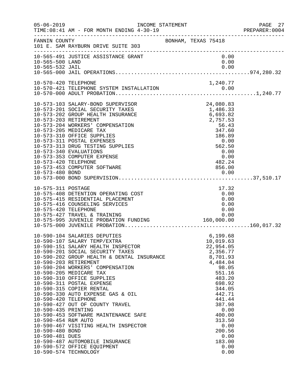| $05 - 06 - 2019$                                                                                         | INCOME STATEMENT<br>TIME: 08:41 AM - FOR MONTH ENDING 4-30-19                                                                                                                                                                                                                                                                                                                                                                                                                                                                                                                                                          |                                                                                                                                                                                                                                        | PAGE 27<br>PREPARER:0004 |
|----------------------------------------------------------------------------------------------------------|------------------------------------------------------------------------------------------------------------------------------------------------------------------------------------------------------------------------------------------------------------------------------------------------------------------------------------------------------------------------------------------------------------------------------------------------------------------------------------------------------------------------------------------------------------------------------------------------------------------------|----------------------------------------------------------------------------------------------------------------------------------------------------------------------------------------------------------------------------------------|--------------------------|
| FANNIN COUNTY                                                                                            | 101 E. SAM RAYBURN DRIVE SUITE 303                                                                                                                                                                                                                                                                                                                                                                                                                                                                                                                                                                                     | BONHAM, TEXAS 75418                                                                                                                                                                                                                    |                          |
| 10-565-500 LAND                                                                                          | 10-565-491 JUSTICE ASSISTANCE GRANT                                                                                                                                                                                                                                                                                                                                                                                                                                                                                                                                                                                    | 0.00<br>0.00                                                                                                                                                                                                                           |                          |
|                                                                                                          |                                                                                                                                                                                                                                                                                                                                                                                                                                                                                                                                                                                                                        |                                                                                                                                                                                                                                        |                          |
| 10-573-420 TELEPHONE                                                                                     | 10-573-103 SALARY-BOND SUPERVISOR<br>10-573-201 SOCIAL SECURITY TAXES<br>10-573-202 GROUP HEALTH INSURANCE<br>10-573-203 RETIREMENT<br>10-573-204 WORKERS' COMPENSATION<br>10-573-205 MEDICARE TAX<br>10-573-310 OFFICE SUPPLIES<br>10-573-311 POSTAL EXPENSES<br>10-573-313 DRUG TESTING SUPPLIES<br>10-573-340 EVALUATIONS<br>10-573-353 COMPUTER EXPENSE<br>10-573-453 COMPUTER SOFTWARE                                                                                                                                                                                                                            | 24,080.83<br>1,486.33<br>6,693.82<br>2,757.53<br>56.43<br>347.60<br>186.89<br>0.00<br>562.50<br>0.00<br>0.00<br>482.24<br>856.00                                                                                                       |                          |
| 10-575-311 POSTAGE<br>10-575-420 TELEPHONE                                                               | 10-575-408 DETENTION OPERATING COST<br>10-575-415 RESIDENTIAL PLACEMENT<br>10-575-416 COUNSELING SERVICES<br>10-575-427 TRAVEL & TRAINING                                                                                                                                                                                                                                                                                                                                                                                                                                                                              | 17.32<br>0.00<br>0.00<br>0.00<br>0.00<br>0.00                                                                                                                                                                                          |                          |
| 10-590-420 TELEPHONE<br>10-590-435 PRINTING<br>10-590-454 R&M AUTO<br>10-590-480 BOND<br>10-590-481 DUES | 10-590-104 SALARIES DEPUTIES<br>10-590-107 SALARY TEMP/EXTRA<br>10-590-151 SALARY HEALTH INSPECTOR<br>10-590-201 SOCIAL SECURITY TAXES<br>10-590-202 GROUP HEALTH & DENTAL INSURANCE<br>10-590-203 RETIREMENT<br>10-590-204 WORKERS' COMPENSATION<br>10-590-205 MEDICARE TAX<br>10-590-310 OFFICE SUPPLIES<br>10-590-311 POSTAL EXPENSE<br>10-590-315 COPIER RENTAL<br>10-590-330 AUTO EXPENSE GAS & OIL<br>10-590-427 OUT OF COUNTY TRAVEL<br>10-590-453 SOFTWARE MAINTENANCE SAFE<br>10-590-467 VISITING HEALTH INSPECTOR<br>10-590-487 AUTOMOBILE INSURANCE<br>10-590-572 OFFICE EQUIPMENT<br>10-590-574 TECHNOLOGY | 6, 199.68<br>10,019.63<br>22,954.05<br>2,356.77<br>8,701.93<br>4,484.04<br>98.05<br>551.16<br>483.20<br>698.92<br>344.05<br>442.71<br>441.44<br>387.98<br>0.00<br>400.00<br>313.50<br>0.00<br>200.56<br>0.00<br>183.00<br>0.00<br>0.00 |                          |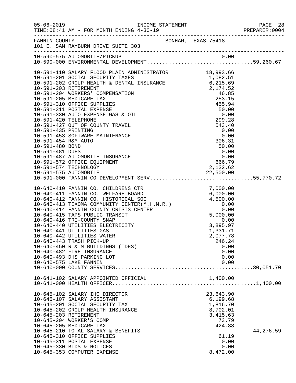|                 |                                                                                                                                                                                                                                                                                                                                                                                                                                                                                                                            |                                                                                                                    | PREPARER: 0004 |
|-----------------|----------------------------------------------------------------------------------------------------------------------------------------------------------------------------------------------------------------------------------------------------------------------------------------------------------------------------------------------------------------------------------------------------------------------------------------------------------------------------------------------------------------------------|--------------------------------------------------------------------------------------------------------------------|----------------|
|                 | FANNIN COUNTY BONHAM, TEXAS 75418<br>101 E. SAM RAYBURN DRIVE SUITE 303                                                                                                                                                                                                                                                                                                                                                                                                                                                    |                                                                                                                    |                |
|                 | 10-590-575 AUTOMOBILE/PICKUP<br>10-590-575 AUTOMOBILE/PICKUP 0.00<br>10-590-000 ENVIRONMENTAL DEVELOPMENT59,260.67                                                                                                                                                                                                                                                                                                                                                                                                         |                                                                                                                    |                |
| 10-591-481 DUES | 10-591-110 SALARY FLOOD PLAIN ADMINISTRATOR 18,993.66<br>10-591-487 AUTOMOBILE INSURANCE<br>10-591-572 OFFICE EQUIPMENT<br>10-591-574 TECHNOLOGY<br>10-591-575 AUTOMOBILE<br>10-591-575 AUTOMOBILE<br>10-591-000 FANNIN CO DEVELOPMENT SERV55,770.72                                                                                                                                                                                                                                                                       | $50.00$<br>0.00<br>0.00<br>666.79<br>2,132.62                                                                      |                |
|                 | 10-640-410 FANNIN CO. CHILDRENS CTR<br>10-640-411 FANNIN CO. WELFARE BOARD<br>10-640-412 FANNIN CO. HISTORICAL SOC<br>10-640-413 TEXOMA COMMUNITY CENTER(M.H.M.R.)<br>10-640-414 FANNIN COUNTY CRISIS CENTER<br>10-640-415 TAPS PUBLIC T<br>10-640-416 TRI-COUNTY SNAP<br>10-640-440 UTILITIES ELECTRICITY<br>10-640-441 UTILITIES GAS<br>10-640-442 UTILITIES WATER<br>10-640-443 TRASH PICK-UP<br>10-640-450 R & M BUILDINGS (TDHS)<br>10-640-482 FIRE INSURANCE<br>10-640-493 DHS PARKING LOT<br>10-640-575 LAKE FANNIN | 0.00<br>3,89<br>3,895.97<br>1,331.71<br>2,077.78<br>246.24<br>0.00<br>0.00<br>0.00<br>0.00                         |                |
|                 | 10-641-102 SALARY APPOINTED OFFICIAL                                                                                                                                                                                                                                                                                                                                                                                                                                                                                       | 1,400.00                                                                                                           |                |
|                 | 10-645-102 SALARY IHC DIRECTOR<br>10-645-107 SALARY ASSISTANT<br>10-645-201 SOCIAL SECURITY TAX<br>10-645-202 GROUP HEALTH INSURANCE<br>10-645-203 RETIREMENT<br>10-645-204 WORKER'S COMP<br>10-645-205 MEDICARE TAX<br>10-645-210 TOTAL SALARY & BENEFITS<br>10-645-310 OFFICE SUPPLIES<br>10-645-311 POSTAL EXPENSE<br>10-645-330 BIDS & NOTICES<br>10-645-353 COMPUTER EXPENSE                                                                                                                                          | 23,643.90<br>6,199.68<br>1,816.70<br>8,702.01<br>3, 415.63<br>73.79<br>424.88<br>61.19<br>0.00<br>0.00<br>8,472.00 | 44,276.59      |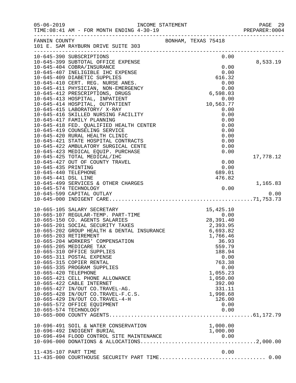| $05 - 06 - 2019$     | TIME: 08:41 AM - FOR MONTH ENDING 4-30-19                                      | INCOME STATEMENT      |                     |                      |              | PAGE 29<br>PREPARER: 0004 |
|----------------------|--------------------------------------------------------------------------------|-----------------------|---------------------|----------------------|--------------|---------------------------|
|                      | FANNIN COUNTY<br>101 E. SAM RAYBURN DRIVE SUITE 303                            |                       | BONHAM, TEXAS 75418 |                      |              |                           |
|                      | 10-645-390 SUBSCRIPTIONS<br>10-645-399 SUBTOTAL OFFICE EXPENSE                 |                       |                     |                      | 0.00         | 8,533.19                  |
|                      | 10-645-404 COBRA/INSURANCE                                                     |                       |                     | 0.00                 |              |                           |
|                      | 10-645-407 INELIGIBLE IHC EXPENSE                                              |                       |                     | 0.00                 |              |                           |
|                      | 10-645-409 DIABETIC SUPPLIES                                                   |                       |                     | 616.32               |              |                           |
|                      | 10-645-410 CERT. REG. NURSE ANES.                                              |                       |                     | 0.00                 |              |                           |
|                      | 10-645-411 PHYSICIAN, NON-EMERGENCY<br>10-645-412 PRESCRIPTIONS, DRUGS         |                       |                     | 6,598.03             | 0.00         |                           |
|                      | 10-645-413 HOSPITAL, INPATIENT                                                 |                       |                     |                      | 0.00         |                           |
|                      | 10-645-414 HOSPITAL, OUTPATIENT                                                |                       |                     | 10,563.77            |              |                           |
|                      | 10-645-415 LABORATORY/ X-RAY                                                   |                       |                     | 0.00                 |              |                           |
|                      | 10-645-416 SKILLED NURSING FACILITY                                            |                       |                     |                      | 0.00         |                           |
|                      | 10-645-417 FAMILY PLANNING                                                     |                       |                     |                      | 0.00         |                           |
|                      | 10-645-418 FED. QUALIFIED HEALTH CENTER<br>10-645-419 COUNSELING SERVICE       |                       |                     |                      | 0.00<br>0.00 |                           |
|                      | 10-645-420 RURAL HEALTH CLINIC                                                 |                       |                     |                      | 0.00         |                           |
|                      | 10-645-421 STATE HOSPITAL CONTRACTS                                            |                       |                     |                      | 0.00         |                           |
|                      | 10-645-422 AMBULATORY SURGICAL CENTE                                           |                       |                     |                      | 0.00         |                           |
|                      | 10-645-423 MEDICAL EQUIP. PURCHASE                                             |                       |                     |                      | 0.00         |                           |
|                      | 10-645-425 TOTAL MEDICAL/IHC                                                   |                       |                     |                      |              | 17,778.12                 |
| 10-645-435 PRINTING  | 10-645-427 OUT OF COUNTY TRAVEL                                                |                       |                     | 0.00<br>0.00         |              |                           |
| 10-645-440 TELEPHONE |                                                                                |                       |                     | 689.01               |              |                           |
| 10-645-441 DSL LINE  |                                                                                |                       |                     | 476.82               |              |                           |
|                      | 10-645-499 SERVICES & OTHER CHARGES                                            |                       |                     |                      |              | 1,165.83                  |
|                      | 10-645-574 TECHNOLOGY                                                          |                       |                     |                      | 0.00         |                           |
|                      | 10-645-599 CAPITAL OUTLAY                                                      |                       |                     |                      |              | 0.00                      |
|                      |                                                                                |                       |                     |                      |              |                           |
|                      | 10-665-105 SALARY SECRETARY                                                    |                       | $15,42$<br>$28,39$  | 15,425.10            |              |                           |
|                      | 10-665-107 REGULAR-TEMP. PART-TIME                                             |                       |                     |                      | 0.00         |                           |
|                      | 10-665-150 CO. AGENTS SALARIES                                                 | IME<br>CS<br>CYTPANCE |                     | 28,391.40            |              |                           |
|                      | 10-665-201 SOCIAL SECURITY TAXES<br>10-665-202 GROUP HEALTH & DENTAL INSURANCE |                       |                     | 2,393.95<br>6,693.82 |              |                           |
|                      | 10-665-203 RETIREMENT                                                          |                       |                     | 1,766.46             |              |                           |
|                      | 10-665-204 WORKERS' COMPENSATION                                               |                       |                     | 36.93                |              |                           |
|                      | 10-665-205 MEDICARE TAX                                                        |                       |                     | 559.79               |              |                           |
|                      | 10-665-310 OFFICE SUPPLIES                                                     |                       |                     | 188.94               |              |                           |
|                      | 10-665-311 POSTAL EXPENSE<br>10-665-315 COPIER RENTAL                          |                       |                     | 0.00<br>763.38       |              |                           |
|                      | 10-665-335 PROGRAM SUPPLIES                                                    |                       |                     |                      | 0.00         |                           |
| 10-665-420 TELEPHONE |                                                                                |                       |                     | 1,055.23             |              |                           |
|                      | 10-665-421 CELL PHONE ALLOWANCE                                                |                       |                     | 1,050.00             |              |                           |
|                      | 10-665-422 CABLE INTERNET                                                      |                       |                     | 392.00               |              |                           |
|                      | 10-665-427 IN/OUT CO.TRAVEL-AG.<br>10-665-428 IN/OUT CO.TRAVEL-F.C.S.          |                       |                     | 331.11<br>1,998.68   |              |                           |
|                      | 10-665-429 IN/OUT CO.TRAVEL-4-H                                                |                       |                     | 126.00               |              |                           |
|                      | 10-665-572 OFFICE EQUIPMENT                                                    |                       |                     | 0.00                 |              |                           |
|                      | 10-665-574 TECHNOLOGY                                                          |                       |                     |                      | 0.00         |                           |
|                      |                                                                                |                       |                     |                      |              |                           |
|                      | 10-696-491 SOIL & WATER CONSERVATION                                           |                       |                     | 1,000.00             |              |                           |
|                      | 10-696-492 INDIGENT BURIAL                                                     |                       |                     | 1,000.00             |              |                           |
|                      | 10-696-494 FLOOD CONTROL SITE MAINTENANCE                                      |                       |                     |                      |              |                           |
|                      |                                                                                |                       |                     |                      |              |                           |
| 11-435-107 PART TIME |                                                                                |                       |                     | 0.00                 |              |                           |
|                      |                                                                                |                       |                     |                      |              |                           |
|                      |                                                                                |                       |                     |                      |              |                           |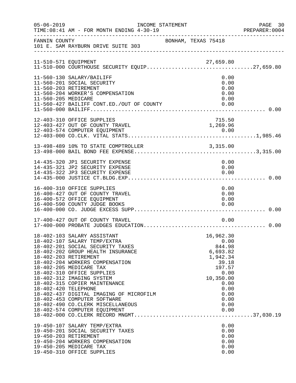| $05 - 06 - 2019$     | INCOME STATEMENT<br>TIME: 08:41 AM - FOR MONTH ENDING 4-30-19                                                                                                                                                                                                                                                                                                                                                                                                             |                                                                                                                                             | PAGE 30<br>PREPARER: 0004 |
|----------------------|---------------------------------------------------------------------------------------------------------------------------------------------------------------------------------------------------------------------------------------------------------------------------------------------------------------------------------------------------------------------------------------------------------------------------------------------------------------------------|---------------------------------------------------------------------------------------------------------------------------------------------|---------------------------|
| FANNIN COUNTY        | 101 E. SAM RAYBURN DRIVE SUITE 303                                                                                                                                                                                                                                                                                                                                                                                                                                        | BONHAM, TEXAS 75418                                                                                                                         |                           |
|                      | 11-510-571 EQUIPMENT<br>11-510-000 COURTHOUSE SECURITY EQUIP27,659.80                                                                                                                                                                                                                                                                                                                                                                                                     |                                                                                                                                             |                           |
| 11-560-205 MEDICARE  | 11-560-130 SALARY/BAILIFF<br>11-560-201 SOCIAL SECURITY<br>11-560-203 RETIREMENT<br>11-560-204 WORKER'S COMPENSATION<br>11-560-427 BAILIFF CONT.ED./OUT OF COUNTY                                                                                                                                                                                                                                                                                                         | 0.00<br>0.00<br>0.00<br>0.00<br>0.00                                                                                                        |                           |
|                      | 12-403-310 OFFICE SUPPLIES<br>12-403-427 OUT OF COUNTY TRAVEL<br>12-403-574 COMPUTER EOUIPMENT                                                                                                                                                                                                                                                                                                                                                                            | 715.50<br>1,269.96                                                                                                                          |                           |
|                      | 13-498-489 10% TO STATE COMPTROLLER 3,315.00                                                                                                                                                                                                                                                                                                                                                                                                                              |                                                                                                                                             |                           |
|                      | 14-435-320 JP1 SECURITY EXPENSE<br>14-435-321 JP2 SECURITY EXPENSE<br>14-435-322 JP3 SECURITY EXPENSE                                                                                                                                                                                                                                                                                                                                                                     | 0.00<br>0.00<br>0.00                                                                                                                        |                           |
|                      | 16-400-310 OFFICE SUPPLIES<br>16-400-427 OUT OF COUNTY TRAVEL<br>16-400-572 OFFICE EQUIPMENT<br>16-400-590 COUNTY JUDGE BOOKS                                                                                                                                                                                                                                                                                                                                             | 0.00<br>0.00<br>0.00<br>0.00                                                                                                                |                           |
|                      | 17-400-427 OUT OF COUNTY TRAVEL                                                                                                                                                                                                                                                                                                                                                                                                                                           | 0.00                                                                                                                                        |                           |
| 18-402-420 TELEPHONE | 18-402-103 SALARY ASSISTANT<br>18-402-107 SALARY TEMP/EXTRA<br>18-402-201 SOCIAL SECURITY TAXES<br>18-402-202 GROUP HEALTH INSURANCE<br>18-402-203 RETIREMENT<br>18-402-204 WORKERS COMPENSATION<br>18-402-205 MEDICARE TAX<br>18-402-310 OFFICE SUPPLIES<br>18-402-312 IMAGING SYSTEM<br>18-402-315 COPIER MAINTENANCE<br>18-402-437 DIGITAL IMAGING OF MICROFILM<br>18-402-453 COMPUTER SOFTWARE<br>18-402-490 CO. CLERK MISCELLANEOUS<br>18-402-574 COMPUTER EQUIPMENT | 16,962.30<br>0.00<br>844.98<br>6,693.82<br>1,942.34<br>39.18<br>197.57<br>0.00<br>10,350.00<br>0.00<br>0.00<br>0.00<br>0.00<br>0.00<br>0.00 |                           |
|                      | 19-450-107 SALARY TEMP/EXTRA<br>19-450-201 SOCIAL SECURITY TAXES<br>19-450-203 RETIREMENT<br>19-450-204 WORKERS COMPENSATION<br>19-450-205 MEDICARE TAX<br>19-450-310 OFFICE SUPPLIES                                                                                                                                                                                                                                                                                     | 0.00<br>0.00<br>0.00<br>0.00<br>0.00<br>0.00                                                                                                |                           |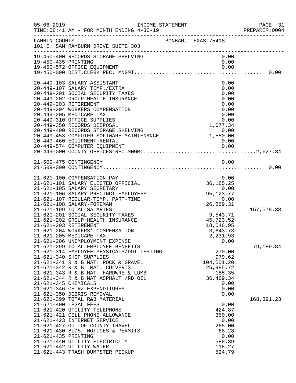| $05 - 06 - 2019$     | INCOME STATEMENT<br>TIME: 08:41 AM - FOR MONTH ENDING 4-30-19                                                                                                                                                                                                                                                                                                                              |                                                                                            | PAGE 31<br>PREPARER: 0004 |
|----------------------|--------------------------------------------------------------------------------------------------------------------------------------------------------------------------------------------------------------------------------------------------------------------------------------------------------------------------------------------------------------------------------------------|--------------------------------------------------------------------------------------------|---------------------------|
| FANNIN COUNTY        | 101 E. SAM RAYBURN DRIVE SUITE 303                                                                                                                                                                                                                                                                                                                                                         | BONHAM, TEXAS 75418                                                                        |                           |
| 19-450-435 PRINTING  | 19-450-400 RECORDS STORAGE SHELVING<br>19-450-572 OFFICE EQUIPMENT                                                                                                                                                                                                                                                                                                                         | 0.00<br>0.00<br>0.00                                                                       |                           |
|                      | 20-449-103 SALARY ASSISTANT<br>20-449-107 SALARY TEMP./EXTRA<br>20-449-201 SOCIAL SECURITY TAXES<br>20-449-202 GROUP HEALTH INSURANCE<br>20-449-203 RETIREMENT<br>20-449-204 WORKERS COMPENSATION<br>20-449-205 MEDICARE TAX<br>20-449-310 OFFICE SUPPLIES<br>20-449-350 RECORDS DISPOSAL<br>20-449-400 RECORDS STORAGE SHELVING 0.00<br>20-449-453 COMPUTER SOFTWARE MAINTENANCE 1,550.00 | 0.00<br>0.00<br>0.00<br>0.00<br>0.00<br>0.00<br>0.00<br>0.00<br>1,077.34                   |                           |
|                      |                                                                                                                                                                                                                                                                                                                                                                                            |                                                                                            |                           |
|                      | 21-509-475 CONTINGENCY                                                                                                                                                                                                                                                                                                                                                                     | 0.00                                                                                       |                           |
|                      | 21-621-100 COMPENSATION PAY<br>21-621-101 SALARY ELECTED OFFICIAL<br>21-621-105 SALARY SECRETARY<br>21-621-106 SALARY PRECINCT EMPLOYEES<br>21-621-107 REGULAR-TEMP. PART-TIME<br>21-621-108 SALARY-FOREMAN                                                                                                                                                                                | 0.00<br>36, 185. 25<br>0.00<br>95, 123. 77<br>0.00<br>26, 269. 31                          |                           |
|                      | 21-621-199 TOTAL SALARIES<br>21-621-201 SOCIAL SECURITY TAXES<br>21-621-202 GROUP HEALTH INSURANCE<br>21-621-203 RETIREMENT<br>21-621-204 WORKERS' COMPENSATION<br>21-621-205 MEDICARE TAX<br>21-621-206 UNEMPLOYMENT EXPENSE                                                                                                                                                              | 9,543.71<br>45,723.52<br>18,046.95<br>3,643.73<br>2,231.93<br>0.00                         | 157,578.33                |
| 21-621-345 CHEMICALS | 21-621-299 TOTAL EMPLOYEE BENEFITS<br>21-621-314 EMPLOYEE PHYSICALS/DOT TESTING<br>21-621-340 SHOP SUPPLIES<br>21-621-341 R & B MAT. ROCK & GRAVEL<br>21-621-342 R & B MAT. CULVERTS<br>21-621-343 R & B MAT. HARDWRE & LUMB<br>21-621-344 R & B MAT ASPHALT /RD OIL<br>21-621-346 CETRZ EXPENDITURES<br>21-621-350 DEBRIS REMOVAL                                                         | 270.00<br>979.62<br>104,501.20<br>25,985.72<br>185.35<br>36,469.34<br>0.00<br>0.00<br>0.00 | 79,189.84                 |
| 21-621-435 PRINTING  | 21-621-399 TOTAL R&B MATERIAL<br>21-621-400 LEGAL FEES<br>21-621-420 UTILITY TELEPHONE<br>21-621-421 CELL PHONE ALLOWANCE<br>21-621-423 INTERNET SERVICE<br>21-621-427 OUT OF COUNTY TRAVEL<br>21-621-430 BIDS, NOTICES & PERMITS<br>21-621-440 UTILITY ELECTRICITY<br>21-621-442 UTILITY WATER<br>21-621-443 TRASH DUMPSTER PICKUP                                                        | 0.00<br>424.87<br>350.00<br>0.00<br>265.00<br>68.28<br>0.00<br>588.39<br>118.27<br>524.79  | 168, 391. 23              |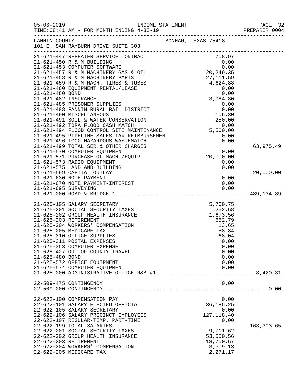| $05 - 06 - 2019$                         | TIME: 08:41 AM - FOR MONTH ENDING 4-30-19                                                                                                                                                                                                                                                                                                                                                                               |                                                                                                                             | PAGE 32<br>PREPARER: 0004 |
|------------------------------------------|-------------------------------------------------------------------------------------------------------------------------------------------------------------------------------------------------------------------------------------------------------------------------------------------------------------------------------------------------------------------------------------------------------------------------|-----------------------------------------------------------------------------------------------------------------------------|---------------------------|
| FANNIN COUNTY                            | 101 E. SAM RAYBURN DRIVE SUITE 303<br>-----------------------                                                                                                                                                                                                                                                                                                                                                           | BONHAM, TEXAS 75418                                                                                                         |                           |
|                                          |                                                                                                                                                                                                                                                                                                                                                                                                                         |                                                                                                                             |                           |
|                                          |                                                                                                                                                                                                                                                                                                                                                                                                                         |                                                                                                                             |                           |
|                                          |                                                                                                                                                                                                                                                                                                                                                                                                                         |                                                                                                                             |                           |
|                                          | 21-621-499 TOTAL SER. & OTHER CHARGES                                                                                                                                                                                                                                                                                                                                                                                   |                                                                                                                             | 63,975.49                 |
|                                          | 21-621-570 COMPUTER EQUIPMENT<br>21-621-571 PURCHASE OF MACH./EQUIP.<br>21-621-573 RADIO EQUIPMENT<br>21-621-575 LAND AND BUILDING<br>21-621-599 CAPITAL OUTLAY                                                                                                                                                                                                                                                         | $\begin{array}{c} 0.00 \\ 20,000.00 \\ 0.00 \\ 0.00 \\ 0.00 \end{array}$                                                    | 20,000.00                 |
|                                          | 21-621-630 NOTE PAYMENT<br>21-621-670 NOTE PAYMENT-INTEREST                                                                                                                                                                                                                                                                                                                                                             | 0.00<br>0.00                                                                                                                |                           |
| 21-625-203 RETIREMENT<br>21-625-480 BOND | 21-625-105 SALARY SECRETARY<br>21-625-201 SOCIAL SECURITY TAXES<br>21-625-202 GROUP HEALTH INSURANCE<br>21-625-204 WORKERS' COMPENSATION<br>21-625-205 MEDICARE TAX<br>21-625-310 OFFICE SUPPLIES<br>21-625-311 POSTAL EXPENSES<br>21-625-353 COMPUTER EXPENSE<br>21-625-427 OUT OF COUNTY TRAVEL<br>21-625-572 OFFICE EQUIPMENT<br>21-625-574 COMPUTER EQUIPMENT<br>21-625-000 ADMINISTRATIVE OFFICE R&B $#1$ 8,420.31 | $5,700.75$<br>$252.68$<br>$1,673.56$<br>$652.79$<br>13.65<br>58.84<br>68.04<br>0.00<br>0.00<br>0.00<br>0.00<br>0.00<br>0.00 |                           |
|                                          | 22-509-475 CONTINGENCY                                                                                                                                                                                                                                                                                                                                                                                                  | 0.00                                                                                                                        |                           |
|                                          | 22-622-100 COMPENSATION PAY<br>22-622-101 SALARY ELECTED OFFICIAL<br>22-622-105 SALARY SECRETARY<br>22-622-106 SALARY PRECINCT EMPLOYEES<br>22-622-107 REGULAR-TEMP. PART-TIME                                                                                                                                                                                                                                          | 0.00<br>36, 185. 25<br>0.00<br>127, 118.40<br>0.00                                                                          |                           |
| 22-622-203 RETIREMENT                    | 22-622-199 TOTAL SALARIES<br>22-622-201 SOCIAL SECURITY TAXES<br>22-622-202 GROUP HEALTH INSURANCE<br>22-622-204 WORKERS' COMPENSATION<br>22-622-205 MEDICARE TAX                                                                                                                                                                                                                                                       | 9,711.62<br>53,550.56<br>18,700.67<br>3,509.13<br>2,271.17                                                                  | 163,303.65                |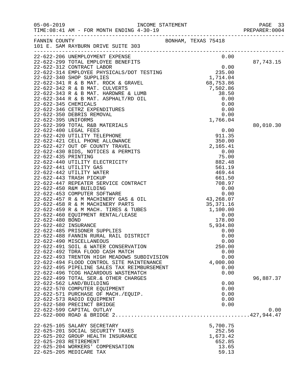|                          |                                                                               |  |                    | PAGE 33<br>PREPARER: 0004 |
|--------------------------|-------------------------------------------------------------------------------|--|--------------------|---------------------------|
|                          | FANNIN COUNTY BONHAM, TEXAS 75418<br>101 E. SAM RAYBURN DRIVE SUITE 303       |  |                    |                           |
|                          |                                                                               |  |                    | 87,743.15                 |
|                          |                                                                               |  |                    |                           |
|                          |                                                                               |  |                    |                           |
|                          |                                                                               |  |                    |                           |
|                          |                                                                               |  |                    |                           |
|                          |                                                                               |  |                    |                           |
|                          |                                                                               |  |                    |                           |
|                          |                                                                               |  |                    |                           |
|                          |                                                                               |  |                    |                           |
|                          |                                                                               |  |                    |                           |
|                          | 22-622-399 TOTAL R&B MATERIALS                                                |  |                    | 80,010.30                 |
|                          |                                                                               |  |                    |                           |
|                          |                                                                               |  |                    |                           |
|                          |                                                                               |  |                    |                           |
|                          |                                                                               |  |                    |                           |
|                          |                                                                               |  |                    |                           |
|                          |                                                                               |  |                    |                           |
|                          |                                                                               |  |                    |                           |
|                          |                                                                               |  |                    |                           |
|                          |                                                                               |  |                    |                           |
|                          |                                                                               |  |                    |                           |
|                          |                                                                               |  |                    |                           |
|                          |                                                                               |  |                    |                           |
|                          |                                                                               |  |                    |                           |
|                          |                                                                               |  |                    |                           |
|                          |                                                                               |  |                    |                           |
|                          |                                                                               |  |                    |                           |
|                          |                                                                               |  |                    |                           |
|                          |                                                                               |  |                    |                           |
| 22-622-490 MISCELLANEOUS | 22-622-491 SOIL & WATER CONSERVATION                                          |  | 0.00<br>250.00     |                           |
|                          | 22-622-492 TDRA FLOOD CASH MATCH                                              |  | 0.00               |                           |
|                          | 22-622-493 TRENTON HIGH MEADOWS SUBDIVISION                                   |  | 0.00               |                           |
|                          | 22-622-494 FLOOD CONTROL SITE MAINTENANCE                                     |  | 4,000.00           |                           |
|                          | 22-622-495 PIPELINE SALES TAX REIMBURSEMENT                                   |  | 0.00               |                           |
|                          | 22-622-496 TCOG HAZARDOUS WASTEMATCH<br>22-622-499 TOTAL SER. & OTHER CHARGES |  | 0.00               | 96,887.37                 |
| 22-622-562 LAND/BUILDING |                                                                               |  | 0.00               |                           |
|                          | 22-622-570 COMPUTER EQUIPMENT                                                 |  | 0.00               |                           |
|                          | 22-622-571 PURCHASE OF MACH./EQUIP.                                           |  | 0.00               |                           |
|                          | 22-622-573 RADIO EQUIPMENT                                                    |  | 0.00               |                           |
|                          | 22-622-580 PRECINCT BRIDGE<br>22-622-599 CAPITAL OUTLAY                       |  | 0.00               | 0.00                      |
|                          |                                                                               |  |                    |                           |
|                          |                                                                               |  |                    |                           |
|                          | 22-625-105 SALARY SECRETARY                                                   |  | 5,700.75           |                           |
|                          | 22-625-201 SOCIAL SECURITY TAXES                                              |  | 252.56             |                           |
| 22-625-203 RETIREMENT    | 22-625-202 GROUP HEALTH INSURANCE                                             |  | 1,673.42<br>652.85 |                           |
|                          | 22-625-204 WORKERS' COMPENSATION                                              |  | 13.65              |                           |
| 22-625-205 MEDICARE TAX  |                                                                               |  | 59.13              |                           |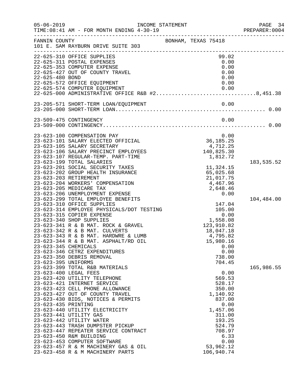| $05 - 06 - 2019$                            | INCOME STATEMENT<br>TIME: 08:41 AM - FOR MONTH ENDING 4-30-19                                                                                                                                                                                                                                                                                                                                                                                                                                                                                 |                                                                                                                                                                 | PAGE 34<br>PREPARER: 0004 |
|---------------------------------------------|-----------------------------------------------------------------------------------------------------------------------------------------------------------------------------------------------------------------------------------------------------------------------------------------------------------------------------------------------------------------------------------------------------------------------------------------------------------------------------------------------------------------------------------------------|-----------------------------------------------------------------------------------------------------------------------------------------------------------------|---------------------------|
| FANNIN COUNTY                               | 101 E. SAM RAYBURN DRIVE SUITE 303                                                                                                                                                                                                                                                                                                                                                                                                                                                                                                            | BONHAM, TEXAS 75418                                                                                                                                             |                           |
| 22-625-480 BOND                             | 22-625-310 OFFICE SUPPLIES<br>22-625-311 POSTAL EXPENSES<br>22-625-353 COMPUTER EXPENSE<br>22-625-427 OUT OF COUNTY TRAVEL<br>22-625-572 OFFICE EQUIPMENT<br>22-625-574 COMPUTER EQUIPMENT<br>22-625-574 COMPUTER EQUIPMENT                   0.00<br>22-625-000 ADMINISTRATIVE OFFICE R&B #28,451.38                                                                                                                                                                                                                                         | 99.02<br>0.00<br>0.00<br>0.00<br>0.00<br>0.00<br>0.00                                                                                                           |                           |
|                                             |                                                                                                                                                                                                                                                                                                                                                                                                                                                                                                                                               |                                                                                                                                                                 |                           |
|                                             | 23-509-475 CONTINGENCY                                                                                                                                                                                                                                                                                                                                                                                                                                                                                                                        | 0.00                                                                                                                                                            |                           |
|                                             | 23-623-100 COMPENSATION PAY<br>23-623-101 SALARY ELECTED OFFICIAL<br>23-623-105 SALARY SECRETARY<br>23-623-106 SALARY PRECINCT EMPLOYEES<br>23-623-107 REGULAR-TEMP. PART-TIME<br>23-623-199 TOTAL SALARIES<br>23-623-201 SOCIAL SECURITY TAXES<br>23-623-202 GROUP HEALTH INSURANCE<br>23-623-203 RETIREMENT<br>23-623-204 WORKERS' COMPENSATION<br>23-623-205 MEDICARE TAX<br>23-623-206 UNEMPLOYMENT EXPENSE                                                                                                                               | 0.00<br>36, 185.25<br>4,712.25<br>140,825.30<br>1,812.72<br>11,324.15<br>65,025.68<br>21,017.75<br>4,467.96<br>2,648.46<br>0.00                                 | 183,535.52                |
| 23-623-345 CHEMICALS<br>23-623-395 UNIFORMS | 23-623-299 TOTAL EMPLOYEE BENEFITS<br>23-623-310 OFFICE SUPPLIES<br>23-623-314 EMPLOYEE PHYSICALS/DOT TESTING<br>23-623-315 COPIER EXPENSE<br>23-623-340 SHOP SUPPLIES<br>23-623-341 R & B MAT. ROCK & GRAVEL<br>23-623-342 R & B MAT. CULVERTS<br>23-623-343 R & B MAT. HARDWRE & LUMB<br>23-623-344 R & B MAT. ASPHALT/RD OIL<br>23-623-346 CETRZ EXPENDITURES<br>23-623-350 DEBRIS REMOVAL                                                                                                                                                 | 147.04<br>105.00<br>0.00<br>0.00<br>1,558.08<br>123,910.82<br>18,047.18<br>4,795.82<br>15,980.16<br>0.00<br>0.00<br>738.00<br>704.45                            | 104,484.00                |
| 23-623-435 PRINTING                         | 23-623-399 TOTAL R&B MATERIALS<br>23-623-400 LEGAL FEES<br>23-623-420 UTILITY TELEPHONE<br>23-623-421 INTERNET SERVICE<br>23-623-423 CELL PHONE ALLOWANCE<br>23-623-427 OUT OF COUNTY TRAVEL<br>23-623-430 BIDS, NOTICES & PERMITS<br>23-623-440 UTILITY ELECTRICITY<br>23-623-441 UTILITY GAS<br>23-623-442 UTILITY WATER<br>23-623-443 TRASH DUMPSTER PICKUP<br>23-623-447 REPEATER SERVICE CONTRACT<br>23-623-450 R&M BUILDING<br>23-623-453 COMPUTER SOFTWARE<br>23-623-457 R & M MACHINERY GAS & OIL<br>23-623-458 R & M MACHINERY PARTS | 0.00<br>569.53<br>528.17<br>350.00<br>1,140.92<br>837.00<br>0.00<br>1,457.06<br>311.00<br>193.25<br>524.79<br>708.97<br>6.33<br>0.00<br>53,962.12<br>106,940.74 | 165,986.55                |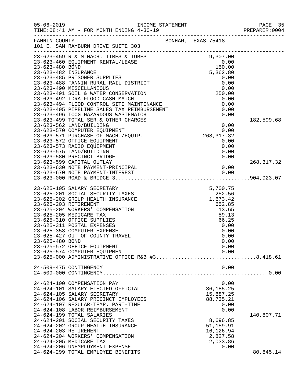| $05 - 06 - 2019$ | TIME: 08:41 AM - FOR MONTH ENDING 4-30-19                                                                                                                                                                                                                                                                                                                                                                                                                                                                                                                                                                                                                                                                                                                                                                                                          |                                                                                                                                                                      | PAGE 35<br>PREPARER: 0004 |
|------------------|----------------------------------------------------------------------------------------------------------------------------------------------------------------------------------------------------------------------------------------------------------------------------------------------------------------------------------------------------------------------------------------------------------------------------------------------------------------------------------------------------------------------------------------------------------------------------------------------------------------------------------------------------------------------------------------------------------------------------------------------------------------------------------------------------------------------------------------------------|----------------------------------------------------------------------------------------------------------------------------------------------------------------------|---------------------------|
| FANNIN COUNTY    | 101 E. SAM RAYBURN DRIVE SUITE 303                                                                                                                                                                                                                                                                                                                                                                                                                                                                                                                                                                                                                                                                                                                                                                                                                 | BONHAM, TEXAS 75418                                                                                                                                                  |                           |
|                  | 23-623-459 R & M MACH. TIRES & TUBES<br>23-623-460 EQUIPMENT RENTAL/LEASE 9,307.00<br>23-623-480 BOND<br>23-623-482 INSURANCE 5,362.80<br>5,362.80<br>23-623-485 PRISONER SUPPLIES<br>23-623-488 FANNIN RURAL RAIL DISTRICT<br>23-623-490 MISCELLANEOUS<br>23-623-491 SOIL & WATER CONSERVATION<br>23-623-492 TDRA FLOOD CASH MATCH<br>23-623-422 IDNA FROUD CADIL FRICH<br>23-623-494 FLOOD CONTROL SITE MAINTENANCE<br>23-623-495 PIPELINE SALES TAX REIMBURSEMENT<br>23-623-496 TCOG HAZARDOUS WASTEMATCH<br>23-623-499 TOTAL SER. & OTHER CHARGES<br>23-623-562 LAND/BUILDING<br>23-623-570 COMPUTER EQUIPMENT<br>23-623-571 PURCHASE OF MACH./EQUIP.<br>23-623-572 OFFICE EQUIPMENT<br>23-623-573 RADIO EQUIPMENT<br>23-623-575 LAND/BUILDING<br>23-623-580 PRECINCT BRIDGE<br>23-623-599 CAPITAL OUTLAY<br>23-623-630 NOTE PAYMENT-PRINCIPAL | 0.00<br>0.00<br>0.00<br>250.00<br>0.00<br>0.00<br>0.00<br>0.00<br>$\begin{array}{c} 0.00 \\ 0.00 \\ 268, 317.32 \end{array}$<br>0.00<br>0.00<br>0.00<br>0.00<br>0.00 | 182,599.68<br>268, 317.32 |
|                  |                                                                                                                                                                                                                                                                                                                                                                                                                                                                                                                                                                                                                                                                                                                                                                                                                                                    |                                                                                                                                                                      |                           |
| 23-625-480 BOND  | 23-625-105 SALARY SECRETARY<br>23-625-201 SOCIAL SECURITY TAXES<br>23-625-202 GROUP HEALTH INSURANCE<br>23-625-203 RETIREMENT<br>23-625-204 WORKERS' COMPENSATION<br>23-625-205 MEDICARE TAX<br>23-625-310 OFFICE SUPPLIES<br>23-625-311 POSTAL EXPENSES<br>23-625-353 COMPUTER EXPENSE<br>23-625-427 OUT OF COUNTY TRAVEL<br>23-625-572 OFFICE EQUIPMENT<br>23-625-574 COMPUTER EQUIPMENT<br>23-625-000 ADMINISTRATIVE OFFICE R&B #38,418.61                                                                                                                                                                                                                                                                                                                                                                                                      | 5,700.75<br>$252.56$<br>1,673.42<br>652.85<br>13.65<br>59.13<br>66.25<br>0.00<br>0.00<br>0.00<br>0.00<br>0.00<br>0.00                                                |                           |
|                  | 24-509-475 CONTINGENCY                                                                                                                                                                                                                                                                                                                                                                                                                                                                                                                                                                                                                                                                                                                                                                                                                             | 0.00                                                                                                                                                                 |                           |
|                  | 24-624-100 COMPENSATION PAY<br>24-624-101 SALARY ELECTED OFFICIAL<br>24-624-105 SALARY SECRETARY<br>24-624-106 SALARY PRECINCT EMPLOYEES<br>24-624-107 REGULAR-TEMP. PART-TIME<br>24-624-108 LABOR REIMBURSEMENT<br>24-624-199 TOTAL SALARIES<br>24-624-201 SOCIAL SECURITY TAXES<br>24-624-202 GROUP HEALTH INSURANCE<br>24-624-203 RETIREMENT<br>24-624-204 WORKERS' COMPENSATION<br>24-624-205 MEDICARE TAX<br>24-624-206 UNEMPLOYMENT EXPENSE<br>24-624-299 TOTAL EMPLOYEE BENEFITS                                                                                                                                                                                                                                                                                                                                                            | 0.00<br>36, 185. 25<br>15,887.25<br>88,735.21<br>0.00<br>0.00<br>8,696.85<br>51,159.91<br>16,126.94<br>2,827.58<br>2,033.86<br>0.00                                  | 140,807.71<br>80,845.14   |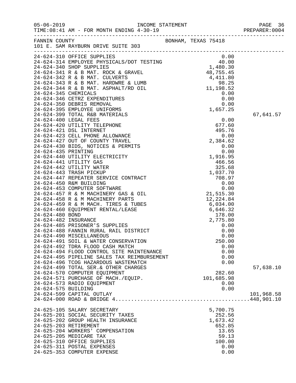| $05 - 06 - 2019$      | TIME: 08:41 AM - FOR MONTH ENDING 4-30-19                                                                                                                                                                                                  |                     | 96 PAGE<br>PREPARER:0004 |
|-----------------------|--------------------------------------------------------------------------------------------------------------------------------------------------------------------------------------------------------------------------------------------|---------------------|--------------------------|
|                       | FANNIN COUNTY<br>101 E. SAM RAYBURN DRIVE SUITE 303                                                                                                                                                                                        | BONHAM, TEXAS 75418 |                          |
|                       | 24-624-310 OFFICE SUPPLIES<br>24-624-314 EMPLOYEE PHYSICALS/DOT TESTING<br>24-624-344 EMPLOYEE PHYSICALS/DOT TESTING<br>24-624-341 R & B MAT. ROCK & GRAVEL<br>24-624-342 R & B MAT. CULVERTS<br>24-624-343 R & B MAT. ARDWRE & LUMB<br>24 |                     |                          |
|                       |                                                                                                                                                                                                                                            |                     |                          |
|                       |                                                                                                                                                                                                                                            |                     |                          |
|                       |                                                                                                                                                                                                                                            |                     |                          |
|                       |                                                                                                                                                                                                                                            |                     |                          |
|                       |                                                                                                                                                                                                                                            |                     |                          |
|                       |                                                                                                                                                                                                                                            |                     |                          |
|                       |                                                                                                                                                                                                                                            |                     |                          |
|                       |                                                                                                                                                                                                                                            |                     |                          |
|                       | 24-624-399 TOTAL R&B MATERIALS                                                                                                                                                                                                             |                     | 67,641.57                |
|                       |                                                                                                                                                                                                                                            | 0.00                |                          |
|                       |                                                                                                                                                                                                                                            |                     |                          |
|                       |                                                                                                                                                                                                                                            |                     |                          |
|                       |                                                                                                                                                                                                                                            |                     |                          |
|                       |                                                                                                                                                                                                                                            |                     |                          |
|                       |                                                                                                                                                                                                                                            |                     |                          |
|                       |                                                                                                                                                                                                                                            |                     |                          |
|                       |                                                                                                                                                                                                                                            |                     |                          |
|                       |                                                                                                                                                                                                                                            |                     |                          |
|                       |                                                                                                                                                                                                                                            |                     |                          |
|                       |                                                                                                                                                                                                                                            |                     |                          |
|                       |                                                                                                                                                                                                                                            |                     |                          |
|                       |                                                                                                                                                                                                                                            |                     |                          |
|                       |                                                                                                                                                                                                                                            |                     |                          |
|                       |                                                                                                                                                                                                                                            |                     |                          |
|                       |                                                                                                                                                                                                                                            |                     |                          |
|                       |                                                                                                                                                                                                                                            |                     |                          |
|                       |                                                                                                                                                                                                                                            |                     |                          |
|                       |                                                                                                                                                                                                                                            |                     |                          |
|                       |                                                                                                                                                                                                                                            |                     |                          |
|                       |                                                                                                                                                                                                                                            |                     |                          |
|                       | 24-624-490 MISCELLANEOUS                                                                                                                                                                                                                   | 0.00                |                          |
|                       | 24-624-491 SOIL & WATER CONSERVATION                                                                                                                                                                                                       | 250.00              |                          |
|                       | 24-624-492 TDRA FLOOD CASH MATCH                                                                                                                                                                                                           | 0.00                |                          |
|                       | 24-624-494 FLOOD CONTROL SITE MAINTENANCE                                                                                                                                                                                                  | 0.00                |                          |
|                       | 24-624-495 PIPELINE SALES TAX REIMBURSEMENT<br>24-624-496 TCOG HAZARDOUS WASTEMATCH                                                                                                                                                        | 0.00                |                          |
|                       | 24-624-499 TOTAL SER. & OTHER CHARGES                                                                                                                                                                                                      | 0.00                | 57,638.10                |
|                       | 24-624-570 COMPUTER EQUIPMENT                                                                                                                                                                                                              | 282.60              |                          |
|                       | 24-624-571 PURCHASE OF MACH./EQUIP.                                                                                                                                                                                                        | 101,685.98          |                          |
|                       | 24-624-573 RADIO EQUIPMENT                                                                                                                                                                                                                 | 0.00                |                          |
| 24-624-575 BUILDING   |                                                                                                                                                                                                                                            | 0.00                |                          |
|                       | 24-624-599 CAPITAL OUTLAY                                                                                                                                                                                                                  |                     | 101,968.58               |
|                       |                                                                                                                                                                                                                                            |                     |                          |
|                       | 24-625-105 SALARY SECRETARY                                                                                                                                                                                                                | 5,700.75            |                          |
|                       | 24-625-201 SOCIAL SECURITY TAXES                                                                                                                                                                                                           | 252.56              |                          |
|                       | 24-625-202 GROUP HEALTH INSURANCE                                                                                                                                                                                                          | 1,673.42            |                          |
| 24-625-203 RETIREMENT |                                                                                                                                                                                                                                            | 652.85              |                          |
|                       | 24-625-204 WORKERS' COMPENSATION                                                                                                                                                                                                           | 13.65               |                          |
|                       | 24-625-205 MEDICARE TAX                                                                                                                                                                                                                    | 59.13               |                          |
|                       | 24-625-310 OFFICE SUPPLIES                                                                                                                                                                                                                 | 100.00              |                          |
|                       | 24-625-311 POSTAL EXPENSES                                                                                                                                                                                                                 | 0.00                |                          |
|                       | 24-625-353 COMPUTER EXPENSE                                                                                                                                                                                                                | 0.00                |                          |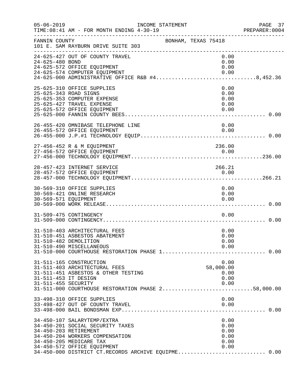| $05 - 06 - 2019$                            | TIME: 08:41 AM - FOR MONTH ENDING 4-30-19                                                                                                                                                                                                    | INCOME STATEMENT    |                                              | PAGE 37<br>PREPARER:0004<br>PREPARE<br>-------------------------------- |
|---------------------------------------------|----------------------------------------------------------------------------------------------------------------------------------------------------------------------------------------------------------------------------------------------|---------------------|----------------------------------------------|-------------------------------------------------------------------------|
| FANNIN COUNTY                               | 101 E. SAM RAYBURN DRIVE SUITE 303                                                                                                                                                                                                           | BONHAM, TEXAS 75418 |                                              |                                                                         |
| 24-625-480 BOND                             | 24-625-427 OUT OF COUNTY TRAVEL<br>24-625-572 OFFICE EQUIPMENT<br>24-625-574 COMPUTER EQUIPMENT<br>24-625-000 ADMINISTRATIVE OFFICE R&B #48,452.36                                                                                           |                     | 0.00<br>0.00<br>0.00<br>0.00                 |                                                                         |
|                                             | 25-625-310 OFFICE SUPPLIES<br>25-625-343 ROAD SIGNS<br>25-625-353 COMPUTER EXPENSE<br>25-625-427 TRAVEL EXPENSE<br>25-625-572 OFFICE EQUIPMENT                                                                                               |                     | 0.00<br>0.00<br>0.00<br>0.00<br>0.00         |                                                                         |
|                                             | 26-455-420 OMNIBASE TELEPHONE LINE<br>26-455-572 OFFICE EQUIPMENT                                                                                                                                                                            |                     | 0.00<br>0.00                                 |                                                                         |
|                                             | 27-456-452 R & M EQUIPMENT                                                                                                                                                                                                                   |                     | 236.00                                       |                                                                         |
|                                             | 28-457-423 INTERNET SERVICE<br>28-457-572 OFFICE EQUIPMENT                                                                                                                                                                                   |                     | 266.21<br>0.00                               |                                                                         |
| 30-569-571 EQUIPMENT                        | 30-569-310 OFFICE SUPPLIES<br>30-569-421 ONLINE RESEARCH                                                                                                                                                                                     |                     | 0.00<br>0.00<br>0.00                         |                                                                         |
|                                             | 31-509-475 CONTINGENCY                                                                                                                                                                                                                       |                     | 0.00                                         |                                                                         |
|                                             | 31-510-403 ARCHITECTURAL FEES<br>31-510-451 ASBESTOS ABATEMENT<br>31-510-482 DEMOLITION<br>31-510-490 MISCELLANEOUS                                                                                                                          |                     | 0.00<br>0.00<br>0.00<br>0.00                 |                                                                         |
| 31-511-453 IT DESIGN<br>31-511-455 SECURITY | 31-511-165 CONSTRUCTION<br>31-511-403 ARCHITECTURAL FEES<br>31-511-451 ASBESTOS & OTHER TESTING<br>31-511-000 COURTHOUSE RESTORATION PHASE 258,000.00                                                                                        |                     | 0.00<br>58,000.00<br>0.00<br>0.00<br>0.00    |                                                                         |
|                                             | 33-498-310 OFFICE SUPPLIES<br>33-498-427 OUT OF COUNTY TRAVEL                                                                                                                                                                                |                     | 0.00<br>0.00                                 |                                                                         |
|                                             | 34-450-107 SALARYTEMP/EXTRA<br>34-450-201 SOCIAL SECURITY TAXES<br>34-450-203 RETIREMENT<br>34-450-204 WORKERS COMPENSATION<br>34-450-205 MEDICARE TAX<br>34-450-572 OFFICE EQUIPMENT<br>34-450-000 DISTRICT CT.RECORDS ARCHIVE EQUIPME 0.00 |                     | 0.00<br>0.00<br>0.00<br>0.00<br>0.00<br>0.00 |                                                                         |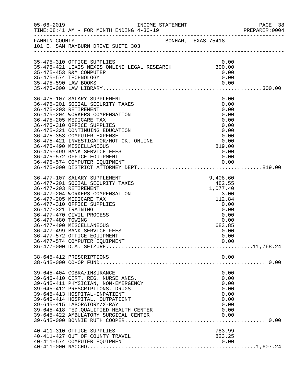| $05 - 06 - 2019$                         | INCOME STATEMENT<br>TIME: 08:41 AM - FOR MONTH ENDING 4-30-19                                                                                                                                                                                                                                                                    |                                                                                  | PAGE 38<br>PREPARER: 0004 |
|------------------------------------------|----------------------------------------------------------------------------------------------------------------------------------------------------------------------------------------------------------------------------------------------------------------------------------------------------------------------------------|----------------------------------------------------------------------------------|---------------------------|
|                                          | FANNIN COUNTY BONHAM, TEXAS 75418<br>101 E. SAM RAYBURN DRIVE SUITE 303                                                                                                                                                                                                                                                          |                                                                                  |                           |
|                                          | 35-475-310 OFFICE SUPPLIES<br>35-475-310 OFFICE SOFFILES<br>35-475-421 LEXIS NEXIS ONLINE LEGAL RESEARCH 300.00<br>35-475-453 R&M COMPUTER                                                                                                                                                                                       | 0.00<br>0.00<br>0.00                                                             |                           |
|                                          | 35-475-574 TECHNOLOGY                                                                                                                                                                                                                                                                                                            |                                                                                  |                           |
|                                          | 36-475-107 SALARY SUPPLEMENT<br>36-475-201 SOCIAL SECURITY TAXES<br>36-475-203 RETIREMENT<br>36-475-204 WORKERS COMPENSATION<br>36-475-205 MEDICARE TAX<br>36-475-310 OFFICE SUPPLIES<br>36-475-321 CONTINUING EDUCATION                                                                                                         | 0.00<br>0.00<br>0.00<br>0.00<br>0.00<br>0.00<br>0.00                             |                           |
|                                          | 36-475-353 COMPUTER EXPENSE<br>36-475-421 INVESTIGATOR/HOT CK. ONLINE<br>36-475-490 MISCELLANEOUS<br>36-475-499 BANK SERVICE FEES<br>36-475-572 OFFICE EQUIPMENT<br>36-475-574 COMPUTER EQUIPMENT                                                                                                                                | 0.00<br>0.00<br>819.00<br>0.00<br>0.00                                           |                           |
| 36-477-321 TRAINING<br>36-477-480 TOWING | 36-477-107 SALARY SUPPLEMENT<br>36-477-201 SOCIAL SECURITY TAXES<br>36-477-203 RETIREMENT<br>36-477-204 WORKERS COMPENSATION<br>36-477-205 MEDICARE TAX<br>36-477-310 OFFICE SUPPLIES<br>36-477-470 CIVIL PROCESS                                                                                                                | 9,408.60<br>482.55<br>1,077.40<br>3.00<br>112.84<br>0.00<br>0.00<br>0.00<br>0.00 |                           |
|                                          | 36-477-490 MISCELLANEOUS<br>36-477-499 BANK SERVICE FEES<br>36-477-572 OFFICE EQUIPMENT<br>36-477-574 COMPUTER EQUIPMENT                                                                                                                                                                                                         | 683.85<br>0.00<br>0.00<br>0.00                                                   |                           |
|                                          | 38-645-412 PRESCRIPTIONS                                                                                                                                                                                                                                                                                                         | 0.00                                                                             |                           |
|                                          | 39-645-404 COBRA/INSURANCE<br>39-645-410 CERT. REG. NURSE ANES.<br>39-645-411 PHYSICIAN, NON-EMERGENCY<br>39-645-412 PRESCRIPTIONS, DRUGS<br>39-645-413 HOSPITAL-INPATIENT<br>39-645-414 HOSPITAL, OUTPATIENT<br>39-645-415 LABORATORY/X-RAY<br>39-645-418 FED. QUALIFIED HEALTH CENTER<br>39-645-422 AMBULATORY SURGICAL CENTER | 0.00<br>0.00<br>0.00<br>0.00<br>0.00<br>0.00<br>0.00<br>0.00<br>0.00             |                           |
|                                          | 40-411-310 OFFICE SUPPLIES<br>40-411-427 OUT OF COUNTY TRAVEL<br>40-411-574 COMPUTER EQUIPMENT                                                                                                                                                                                                                                   | 783.99<br>823.25<br>0.00                                                         |                           |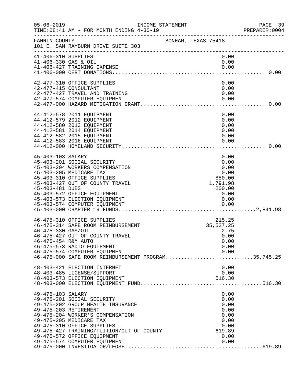| $05 - 06 - 2019$                            | INCOME STATEMENT<br>TIME: 08:41 AM - FOR MONTH ENDING 4-30-19<br>------------------------------                                                                                                                                                                                                    |                                                                                | PAGE 39<br>PREPARER: 0004 |
|---------------------------------------------|----------------------------------------------------------------------------------------------------------------------------------------------------------------------------------------------------------------------------------------------------------------------------------------------------|--------------------------------------------------------------------------------|---------------------------|
| FANNIN COUNTY                               | BONHAM, TEXAS 75418<br>101 E. SAM RAYBURN DRIVE SUITE 303                                                                                                                                                                                                                                          |                                                                                |                           |
| 41-406-310 SUPPLIES<br>41-406-330 GAS & OIL | 41-406-427 TRAINING EXPENSE                                                                                                                                                                                                                                                                        | 0.00<br>0.00<br>0.00                                                           |                           |
|                                             | 42-477-310 OFFICE SUPPLIES<br>42-477-415 CONSULTANT<br>42-477-427 TRAVEL AND TRAINING<br>42-477-574 COMPUTER EQUIPMENT                                                                                                                                                                             | 0.00<br>0.00<br>0.00<br>0.00                                                   |                           |
|                                             | 44-412-578 2011 EQUIPMENT<br>44-412-579 2012 EQUIPMENT<br>44-412-580 2013 EQUIPMENT<br>44-412-581 2014 EQUIPMENT<br>44-412-582 2015 EQUIPMENT<br>44-412-583 2016 EQUIPMENT                                                                                                                         | 0.00<br>0.00<br>0.00<br>0.00<br>0.00<br>0.00                                   |                           |
| 45-403-103 SALARY<br>45-403-481 DUES        | 45-403-201 SOCIAL SECURITY<br>45-403-204 WORKERS COMPENSATION<br>45-403-205 MEDICARE TAX<br>45-403-310 OFFICE SUPPLIES<br>45-403-427 OUT OF COUNTY TRAVEL<br>45-403-572 OFFICE EQUIPMENT<br>45-403-573 ELECTION EQUIPMENT                                                                          | 0.00<br>0.00<br>0.00<br>0.00<br>850.00<br>1,791.98<br>200.00<br>0.00<br>0.00   |                           |
| 46-475-330 GAS/OIL<br>46-475-454 R&M AUTO   | 46-475-310 OFFICE SUPPLIES<br>46-475-314 SAFE ROOM REIMBURSEMENT<br>46-475-427 OUT OF COUNTY TRAVEL<br>46-475-573 RADIO EQUIPMENT<br>46-475-574 COMPUTER EQUIPMENT<br>46-475-574 COMPUTER EQUIPMENT<br>46-475-000 SAFE ROOM REIMBURSEMENT PROGRAM35,745.25                                         | 215.25<br>35,527.25<br>2.75<br>0.00<br>0.00<br>0.00<br>0.00                    |                           |
|                                             | 48-403-421 ELECTION INTERNET<br>48-403-485 LICENSE/SUPPORT                                                                                                                                                                                                                                         | 0.00<br>0.00                                                                   |                           |
| 49-475-103 SALARY                           | 49-475-201 SOCIAL SECURITY<br>49-475-202 GROUP HEALTH INSURANCE<br>49-475-203 RETIREMENT<br>49-475-204 WORKER'S COMPENSATION<br>49-475-205 MEDICARE TAX<br>49-475-310 OFFICE SUPPLIES<br>49-475-427 TRAINING/TUITION/OUT OF COUNTY<br>49-475-572 OFFICE EQUIPMENT<br>49-475-574 COMPUTER EQUIPMENT | 0.00<br>0.00<br>0.00<br>0.00<br>0.00<br>0.00<br>0.00<br>619.89<br>0.00<br>0.00 |                           |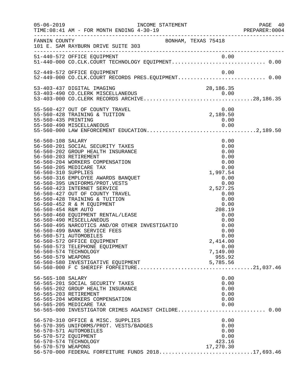| $05 - 06 - 2019$                                                                      | TIME: 08:41 AM - FOR MONTH ENDING 4-30-19                                                                                                                                                                                                                                                                                                                                                                                                                                                                                                                                                                                                                                          |                                                                                                                                                                                                                      | PAGE 40<br>PREPARER: 0004 |
|---------------------------------------------------------------------------------------|------------------------------------------------------------------------------------------------------------------------------------------------------------------------------------------------------------------------------------------------------------------------------------------------------------------------------------------------------------------------------------------------------------------------------------------------------------------------------------------------------------------------------------------------------------------------------------------------------------------------------------------------------------------------------------|----------------------------------------------------------------------------------------------------------------------------------------------------------------------------------------------------------------------|---------------------------|
| FANNIN COUNTY                                                                         | BONHAM, TEXAS 75418<br>101 E. SAM RAYBURN DRIVE SUITE 303                                                                                                                                                                                                                                                                                                                                                                                                                                                                                                                                                                                                                          |                                                                                                                                                                                                                      |                           |
|                                                                                       | 51-440-572 OFFICE EQUIPMENT<br>51-440-000 CO.CLK.COURT TECHNOLOGY EQUIPMENT0.00                                                                                                                                                                                                                                                                                                                                                                                                                                                                                                                                                                                                    |                                                                                                                                                                                                                      |                           |
|                                                                                       | 52-449-572 OFFICE EQUIPMENT<br>52-449-000 CO.CLK.COURT RECORDS PRES.EQUIPMENT 0.00                                                                                                                                                                                                                                                                                                                                                                                                                                                                                                                                                                                                 | 0.00                                                                                                                                                                                                                 |                           |
|                                                                                       | 53-403-437 DIGITAL IMAGING<br>53-403-490 CO.CLERK MISCELLANEOUS                                                                                                                                                                                                                                                                                                                                                                                                                                                                                                                                                                                                                    | 28, 186. 35                                                                                                                                                                                                          |                           |
|                                                                                       | 55-560-427 OUT OF COUNTY TRAVEL<br>55-560-428 TRAINING & TUITION                                                                                                                                                                                                                                                                                                                                                                                                                                                                                                                                                                                                                   | 0.00<br>0.00<br>2,189.50                                                                                                                                                                                             |                           |
| 56-560-108 SALARY<br>56-560-310 SUPPLIES<br>56-560-454 R&M AUTO<br>56-560-579 WEAPONS | 56-560-201 SOCIAL SECURITY TAXES<br>56-560-202 GROUP HEALTH INSURANCE<br>56-560-203 RETIREMENT<br>56-560-204 WORKERS COMPENSATION<br>56-560-205 MEDICARE TAX<br>56-560-316 EMPLOYEE AWARDS BANQUET<br>56-560-395 UNIFORMS/PROT.VESTS<br>56-560-423 INTERNET SERVICE<br>56-560-427 OUT OF COUNTY TRAVEL<br>56-560-428 TRAINING & TUITION<br>56-560-452 R & M EQUIPMENT<br>56-560-460 EQUIPMENT RENTAL/LEASE<br>56-560-490 MISCELLANEOUS<br>56-560-495 NARCOTICS AND/OR OTHER INVESTIGATIO<br>56-560-499 BANK SERVICE FEES<br>56-560-571 AUTOMOBILES<br>56-560-572 OFFICE EQUIPMENT<br>56-560-573 TELEPHONE EQUIPMENT<br>56-560-574 TECHNOLOGY<br>56-560-580 INVESTIGATIVE EQUIPMENT | 0.00<br>0.00<br>0.00<br>0.00<br>0.00<br>0.00<br>1,997.54<br>0.00<br>0.00<br>2,527.25<br>0.00<br>0.00<br>0.00<br>208.19<br>0.00<br>0.00<br>0.00<br>0.00<br>0.00<br>2,414.00<br>0.00<br>7,149.00<br>955.92<br>5,785.56 |                           |
| 56-565-108 SALARY<br>56-570-572 EQUIPMENT                                             | 56-565-201 SOCIAL SECURITY TAXES<br>56-565-202 GROUP HEALTH INSURANCE<br>56-565-203 RETIREMENT<br>56-565-204 WORKERS COMPENSATION<br>56-565-205 MEDICARE TAX<br>56-565-000 INVESTIGATOR CRIMES AGAINST CHILDRE 0.00<br>56-570-310 OFFICE & MISC. SUPPLIES<br>56-570-395 UNIFORMS/PROT. VESTS/BADGES<br>56-570-571 AUTOMOBILES<br>56-570-574 TECHNOLOGY                                                                                                                                                                                                                                                                                                                             | 0.00<br>0.00<br>0.00<br>0.00<br>0.00<br>0.00<br>0.00<br>0.00<br>0.00<br>0.00<br>423.16                                                                                                                               |                           |
| 56-570-579 WEAPONS                                                                    | 56-570-000 FEDERAL FORFEITURE FUNDS 201817,693.46                                                                                                                                                                                                                                                                                                                                                                                                                                                                                                                                                                                                                                  | 17,270.30                                                                                                                                                                                                            |                           |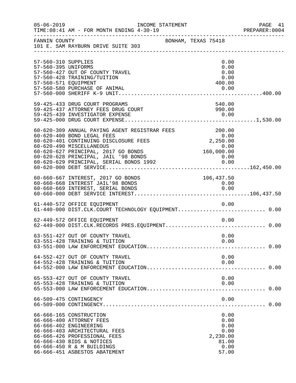| $05 - 06 - 2019$                           | INCOME STATEMENT<br>TIME: 08:41 AM - FOR MONTH ENDING 4-30-19                                                                                                                                                                                                              |                                                                    | PAGE 41<br>PREPARER:0004 |
|--------------------------------------------|----------------------------------------------------------------------------------------------------------------------------------------------------------------------------------------------------------------------------------------------------------------------------|--------------------------------------------------------------------|--------------------------|
| FANNIN COUNTY                              | 101 E. SAM RAYBURN DRIVE SUITE 303                                                                                                                                                                                                                                         | BONHAM, TEXAS 75418                                                |                          |
| 57-560-310 SUPPLIES<br>57-560-395 UNIFORMS |                                                                                                                                                                                                                                                                            | 0.00<br>0.00                                                       |                          |
| 57-560-571 EQUIPMENT                       | 57-560-427 OUT OF COUNTY TRAVEL<br>57-560-428 TRAINING/TUITION                                                                                                                                                                                                             | 0.00<br>0.00<br>400.00                                             |                          |
|                                            | 57-560-580 PURCHASE OF ANIMAL                                                                                                                                                                                                                                              | 0.00                                                               |                          |
|                                            | 59-425-433 DRUG COURT PROGRAMS<br>59-425-437 ATTORNEY FEES DRUG COURT                                                                                                                                                                                                      | 540.00<br>990.00                                                   |                          |
|                                            | 60-620-309 ANNUAL PAYING AGENT REGISTRAR FEES<br>60-620-400 BOND LEGAL FEES<br>60-620-401 CONTINUING DISCLOSURE FEES<br>60-620-490 MISCELLANEOUS<br>60-620-627 PRINCIPAL, 2017 GO BONDS<br>60-620-628 PRINCIPAL, JAIL '98 BONDS<br>60-620-629 PRINCIPAL, SERIAL BONDS 1992 | 200.00<br>0.00<br>$0.00\ 2,250.00\ 0.00\ 0.00$<br>$0.00$<br>$0.00$ |                          |
|                                            | 60-660-667 INTEREST, 2017 GO BONDS<br>60-660-668 INTEREST JAIL'98 BONDS                                                                                                                                                                                                    | 106,437.50<br>0.00                                                 |                          |
|                                            | 61-440-572 OFFICE EQUIPMENT<br>61-440-000 DIST.CLK.COURT TECHNOLOGY EQUIPMENT 0.00                                                                                                                                                                                         | 0.00                                                               |                          |
|                                            | 62-449-572 OFFICE EQUIPMENT                                                                                                                                                                                                                                                | 0.00                                                               |                          |
|                                            | 63-551-427 OUT OF COUNTY TRAVEL<br>63-551-428 TRAINING & TUITION                                                                                                                                                                                                           | 0.00<br>0.00                                                       |                          |
|                                            | 64-552-427 OUT OF COUNTY TRAVEL<br>64-552-428 TRAINING & TUITION                                                                                                                                                                                                           | 0.00<br>0.00                                                       |                          |
|                                            | 65-553-427 OUT OF COUNTY TRAVEL<br>65-553-428 TRAINING & TUITION                                                                                                                                                                                                           | 0.00<br>0.00                                                       |                          |
|                                            | 66-509-475 CONTINGENCY                                                                                                                                                                                                                                                     | 0.00                                                               |                          |
|                                            | 66-666-165 CONSTRUCTION<br>66-666-400 ATTORNEY FEES<br>66-666-402 ENGINEERING<br>66-666-403 ARCHITECTURAL FEES<br>66-666-426 PROFESSIONAL FEES<br>66-666-430 BIDS & NOTICES<br>66-666-450 R & M BUILDINGS<br>66-666-451 ASBESTOS ABATEMENT                                 | 0.00<br>0.00<br>0.00<br>0.00<br>2,230.00<br>81.00<br>0.00<br>57.00 |                          |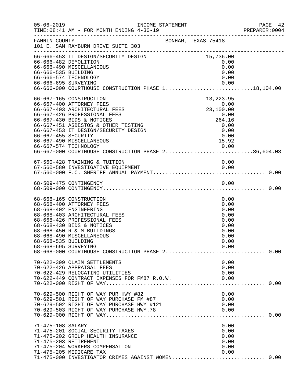| $05 - 06 - 2019$                            | INCOME STATEMENT<br>TIME: 08:41 AM - FOR MONTH ENDING 4-30-19                                                                                                                                                                                                                                                                         |                                                                                        | PAGE 42<br>PREPARER:0004 |
|---------------------------------------------|---------------------------------------------------------------------------------------------------------------------------------------------------------------------------------------------------------------------------------------------------------------------------------------------------------------------------------------|----------------------------------------------------------------------------------------|--------------------------|
| FANNIN COUNTY                               | _____________________________________<br>101 E. SAM RAYBURN DRIVE SUITE 303                                                                                                                                                                                                                                                           | BONHAM, TEXAS 75418                                                                    |                          |
| 66-666-535 BUILDING                         | 66-666-453 IT DESIGN/SECURITY DESIGN<br>66-666-482 DEMOLITION<br>66-666-490 MISCELLANEOUS<br>66-666-574 TECHNOLOGY                                                                                                                                                                                                                    | 15,736.00<br>0.00<br>0.00<br>0.00<br>0.00                                              |                          |
| 66-667-455 SECURITY                         | 66-667-165 CONSTRUCTION<br>66-667-400 ATTORNEY FEES<br>66-667-403 ARCHITECTURAL FEES<br>66-667-426 PROFESSIONAL FEES<br>66-667-430 BIDS & NOTICES<br>66-667-451 ASBESTOS & OTHER TESTING<br>66-667-453 IT DESIGN/SECURITY DESIGN<br>66-667-490 MISCELLANEOUS<br>0.00 0.00 0.00<br>66-667-000 COURTHOUSE CONSTRUCTION PHASE 236,604.03 | 13, 223.95<br>$0.00$<br>23,100.00<br>$264.16$<br>0.00<br>0.00<br>0.00<br>0.00<br>15.92 |                          |
|                                             | 67-560-428 TRAINING & TUITION                                                                                                                                                                                                                                                                                                         | 0.00                                                                                   |                          |
|                                             |                                                                                                                                                                                                                                                                                                                                       |                                                                                        |                          |
| 68-668-535 BUILDING<br>68-668-695 SURVEYING | 68-668-165 CONSTRUCTION<br>68-668-400 ATTORNEY FEES<br>68-668-402 ENGINEERING<br>68-668-403 ARCHITECTURAL FEES<br>68-668-426 PROFESSIONAL FEES<br>68-668-430 BIDS & NOTICES<br>68-668-450 R & M BUILDINGS<br>68-668-490 MISCELLANEOUS<br>68-668-000 COURTHOUSE CONSTRUCTION PHASE 2 0.00                                              | 0.00<br>0.00<br>0.00<br>0.00<br>0.00<br>0.00<br>0.00<br>0.00<br>0.00<br>0.00           |                          |
|                                             | 70-622-399 CLAIM SETTLEMENTS<br>70-622-426 APPRAISAL FEES<br>70-622-429 RELOCATING UTILITIES<br>70-622-449 CONTRACT EXPENSES FOR FM87 R.O.W.                                                                                                                                                                                          | 0.00<br>0.00<br>0.00<br>0.00                                                           |                          |
|                                             | 70-629-500 RIGHT OF WAY PUR HWY #82<br>70-629-501 RIGHT OF WAY PURCHASE FM #87<br>70-629-502 RIGHT OF WAY PURCHASE HWY #121                                                                                                                                                                                                           | 0.00<br>0.00<br>0.00                                                                   |                          |
| 71-475-108 SALARY                           | 71-475-201 SOCIAL SECURITY TAXES<br>71-475-202 GROUP HEALTH INSURANCE<br>71-475-203 RETIREMENT<br>71-475-204 WORKERS COMPENSATION<br>71-475-205 MEDICARE TAX<br>71-475-000 INVESTIGATOR CRIMES AGAINST WOMEN 0.00                                                                                                                     | 0.00<br>0.00<br>0.00<br>0.00<br>0.00<br>0.00                                           |                          |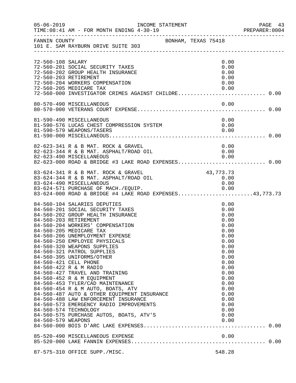| $05 - 06 - 2019$   | INCOME STATEMENT<br>TIME: 08:41 AM - FOR MONTH ENDING 4-30-19                                                                                                                                                                                                                                                                                                                                                                                                                                                                                                                                                                                                                                                                                                 |                                                                                                                                                                                      | PAGE 43<br>PREPARER: 0004 |
|--------------------|---------------------------------------------------------------------------------------------------------------------------------------------------------------------------------------------------------------------------------------------------------------------------------------------------------------------------------------------------------------------------------------------------------------------------------------------------------------------------------------------------------------------------------------------------------------------------------------------------------------------------------------------------------------------------------------------------------------------------------------------------------------|--------------------------------------------------------------------------------------------------------------------------------------------------------------------------------------|---------------------------|
| FANNIN COUNTY      | BONHAM, TEXAS 75418<br>101 E. SAM RAYBURN DRIVE SUITE 303                                                                                                                                                                                                                                                                                                                                                                                                                                                                                                                                                                                                                                                                                                     |                                                                                                                                                                                      |                           |
| 72-560-108 SALARY  | 72-560-201 SOCIAL SECURITY TAXES<br>72-560-202 GROUP HEALTH INSURANCE<br>72-560-203 RETIREMENT<br>72-560-204 WORKERS COMPENSATION<br>72-560-205 MEDICARE TAX<br>72-560-000 INVESTIGATOR CRIMES AGAINST CHILDRE 0.00                                                                                                                                                                                                                                                                                                                                                                                                                                                                                                                                           | 0.00<br>0.00<br>0.00<br>0.00<br>0.00<br>0.00                                                                                                                                         |                           |
|                    | 80-570-490 MISCELLANEOUS                                                                                                                                                                                                                                                                                                                                                                                                                                                                                                                                                                                                                                                                                                                                      | 0.00                                                                                                                                                                                 |                           |
|                    | 81-590-490 MISCELLANEOUS<br>81-590-490 MISCELLANEOUS<br>81-590-576 LUCAS CHEST COMPRESSION SYSTEM<br>81-590-579 WEAPONS/TASERS                                                                                                                                                                                                                                                                                                                                                                                                                                                                                                                                                                                                                                | 0.00<br>0.00<br>0.00                                                                                                                                                                 |                           |
|                    | 82-623-341 R & B MAT. ROCK & GRAVEL<br>82-623-344 R & B MAT. ASPHALT/ROAD OIL<br>82-623-490 MISCELLANEOUS 0.00<br>82-623-000 ROAD & BRIDGE #3 LAKE ROAD EXPENSES0.00                                                                                                                                                                                                                                                                                                                                                                                                                                                                                                                                                                                          | 0.00<br>0.00                                                                                                                                                                         |                           |
|                    | 83-624-341 R & B MAT. ROCK & GRAVEL<br>83-624-344 R & B MAT. ASPHALT/ROAD OIL<br>83-624-490 MISCELLANEOUS<br>83-624-571 PURCHASE OF MACH./EQUIP. 0.00<br>83-624-000 ROAD & BRIDGE #4 LAKE ROAD EXPENSES43,773.73                                                                                                                                                                                                                                                                                                                                                                                                                                                                                                                                              | 43, 773. 73<br>0.00<br>0.00                                                                                                                                                          |                           |
| 84-560-579 WEAPONS | 84-560-104 SALARIES DEPUTIES<br>84-560-201 SOCIAL SECURITY TAXES<br>84-560-202 GROUP HEALTH INSURANCE<br>84-560-203 RETIREMENT<br>84-560-204 WORKERS' COMPENSATION<br>84-560-205 MEDICARE TAX<br>84-560-206 UNEMPLOYMENT EXPENSE<br>84-560-250 EMPLOYEE PHYSICALS<br>84-560-320 WEAPONS SUPPLIES<br>84-560-321 PATROL SUPPLIES<br>84-560-395 UNIFORMS/OTHER<br>84-560-421 CELL PHONE<br>84-560-422 R & M RADIO<br>84-560-427 TRAVEL AND TRAINING<br>84-560-452 R & M EQUIPMENT<br>84-560-453 TYLER/CAD MAINTENANCE<br>84-560-454 R & M AUTO, BOATS, ATV<br>84-560-487 AUTO & OTHER EQUIPMENT INSURANCE<br>84-560-488 LAW ENFORCEMENT INSURANCE<br>84-560-573 EMERGENCY RADIO IMPROVEMENTS<br>84-560-574 TECHNOLOGY<br>84-560-575 PURCHASE AUTOS, BOATS, ATV'S | 0.00<br>0.00<br>0.00<br>0.00<br>0.00<br>0.00<br>0.00<br>0.00<br>0.00<br>0.00<br>0.00<br>0.00<br>0.00<br>0.00<br>0.00<br>0.00<br>0.00<br>0.00<br>0.00<br>0.00<br>0.00<br>0.00<br>0.00 |                           |
|                    |                                                                                                                                                                                                                                                                                                                                                                                                                                                                                                                                                                                                                                                                                                                                                               |                                                                                                                                                                                      |                           |
|                    | 87-575-310 OFFICE SUPP./MISC.                                                                                                                                                                                                                                                                                                                                                                                                                                                                                                                                                                                                                                                                                                                                 | 548.28                                                                                                                                                                               |                           |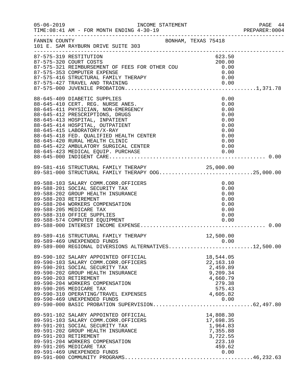| $05 - 06 - 2019$ | TIME: 08:41 AM - FOR MONTH ENDING 4-30-19                                                                                       |                                                                           | PAGE 44<br>PREPARER:0004 |
|------------------|---------------------------------------------------------------------------------------------------------------------------------|---------------------------------------------------------------------------|--------------------------|
| FANNIN COUNTY    | BONHAM, TEXAS 75418<br>101 E. SAM RAYBURN DRIVE SUITE 303                                                                       |                                                                           |                          |
|                  | 87-575-319 RESTITUTION                                                                                                          | 623.50                                                                    |                          |
|                  |                                                                                                                                 | 200.00<br>0.00                                                            |                          |
|                  | 87-575-321 REIMBURSEMENT OF FEES FOR OTHER COU<br>87-575-321 REIMBURSEMENT OF FEES FOR OTHER COU<br>87-575-353 COMPUTER EXPENSE | 0.00                                                                      |                          |
|                  |                                                                                                                                 |                                                                           |                          |
|                  |                                                                                                                                 |                                                                           |                          |
|                  |                                                                                                                                 |                                                                           |                          |
|                  | 88-645-409 DIABETIC SUPPLIES                                                                                                    | 0.00                                                                      |                          |
|                  | 88-645-410 CERT. REG. NURSE ANES.                                                                                               | 0.00                                                                      |                          |
|                  | 88-645-411 PHYSICIAN, NON-EMERGENCY                                                                                             | 0.00                                                                      |                          |
|                  | 88-645-412 PRESCRIPTIONS, DRUGS                                                                                                 | 0.00                                                                      |                          |
|                  | 88-645-413 HOSPITAL, INPATIENT                                                                                                  | 0.00                                                                      |                          |
|                  | 88-645-414 HOSPITAL, OUTPATIENT<br>88-645-415 LABORATORY/X-RAY                                                                  | 0.00<br>0.00                                                              |                          |
|                  | 88-645-418 FED. QUALIFIED HEALTH CENTER                                                                                         | 0.00                                                                      |                          |
|                  | 88-645-420 RURAL HEALTH CLINIC                                                                                                  | 0.00                                                                      |                          |
|                  |                                                                                                                                 |                                                                           |                          |
|                  |                                                                                                                                 |                                                                           |                          |
|                  |                                                                                                                                 |                                                                           |                          |
|                  |                                                                                                                                 |                                                                           |                          |
|                  | 89-581-416 STRUCTURAL FAMILY THERAPY 25,000.00<br>89-581-000 STRUCTURAL FAMILY THERAPY OOG25,000.00                             |                                                                           |                          |
|                  |                                                                                                                                 |                                                                           |                          |
|                  | 89-588-103 SALARY COMM.CORR.OFFICERS                                                                                            | 0.00                                                                      |                          |
|                  | 89-588-201 SOCIAL SECURITY TAX                                                                                                  | 0.00                                                                      |                          |
|                  | 89-588-202 GROUP HEALTH INSURANCE                                                                                               | 0.00                                                                      |                          |
|                  | 89-588-203 RETIREMENT                                                                                                           | 0.00                                                                      |                          |
|                  | 89-588-204 WORKERS COMPENSATION                                                                                                 | 0.00                                                                      |                          |
|                  | 89-588-205 MEDICARE TAX                                                                                                         | 0.00                                                                      |                          |
|                  | 89-588-310 OFFICE SUPPLIES                                                                                                      | 0.00                                                                      |                          |
|                  |                                                                                                                                 |                                                                           |                          |
|                  |                                                                                                                                 |                                                                           |                          |
|                  | 89-589-416 STRUCTURAL FAMILY THERAPY                                                                                            | 12,500.00                                                                 |                          |
|                  | 89-589-469 UNEXPENDED FUNDS<br>89-589-469 UNEXPENDED FUNDS 0.00<br>89-589-000 REGIONAL DIVERSIONS ALTERNATIVES12,500.00         |                                                                           |                          |
|                  |                                                                                                                                 |                                                                           |                          |
|                  | 89-590-102 SALARY APPOINTED OFFICIAL                                                                                            | 18,544.05                                                                 |                          |
|                  | 89-590-103 SALARY COMM.CORR.OFFICERS                                                                                            | 22,163.10                                                                 |                          |
|                  | 89-590-201 SOCIAL SECURITY TAX                                                                                                  | S<br>9, 209. $\frac{1}{2}$<br>4, 660. 79<br>279. 38<br>575. 43<br>605. 82 |                          |
|                  | 89-590-202 GROUP HEALTH INSURANCE                                                                                               |                                                                           |                          |
|                  | 89-590-203 RETIREMENT<br>89-590-204 WORKERS COMPENSATION                                                                        |                                                                           |                          |
|                  | 89-590-205 MEDICARE TAX                                                                                                         |                                                                           |                          |
|                  |                                                                                                                                 | 4,605.82                                                                  |                          |
|                  |                                                                                                                                 |                                                                           |                          |
|                  |                                                                                                                                 |                                                                           |                          |
|                  | 89-591-102 SALARY APPOINTED OFFICIAL                                                                                            | 14,808.30                                                                 |                          |
|                  | 89-591-103 SALARY COMM.CORR.OFFICERS                                                                                            | 17,698.35                                                                 |                          |
|                  | 89-591-201 SOCIAL SECURITY TAX                                                                                                  | 1,964.83                                                                  |                          |
|                  | 89-591-202 GROUP HEALTH INSURANCE                                                                                               | 7,355.88                                                                  |                          |
|                  | 89-591-203 RETIREMENT                                                                                                           | 3,722.55                                                                  |                          |
|                  | 89-591-204 WORKERS COMPENSATION                                                                                                 | 223.10                                                                    |                          |
|                  | 89-591-205 MEDICARE TAX                                                                                                         | 459.62                                                                    |                          |
|                  | 89-591-469 UNEXPENDED FUNDS                                                                                                     | 0.00                                                                      |                          |
|                  |                                                                                                                                 |                                                                           |                          |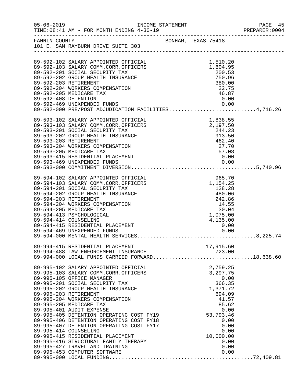|                      |                                                                                                                                                                                                                                                                                                                                                                                                                                                                                                                                                                                                                |  |                                                                                                                                                                  | PREPARER: 0004 |
|----------------------|----------------------------------------------------------------------------------------------------------------------------------------------------------------------------------------------------------------------------------------------------------------------------------------------------------------------------------------------------------------------------------------------------------------------------------------------------------------------------------------------------------------------------------------------------------------------------------------------------------------|--|------------------------------------------------------------------------------------------------------------------------------------------------------------------|----------------|
|                      | FANNIN COUNTY BONHAM, TEXAS 75418<br>101 E. SAM RAYBURN DRIVE SUITE 303                                                                                                                                                                                                                                                                                                                                                                                                                                                                                                                                        |  |                                                                                                                                                                  |                |
| 89-592-408 DETENTION | 89-592-102 SALARY APPOINTED OFFICIAL<br>89-592-103 SALARY COMM.CORR.OFFICERS<br>89-592-201 SOCIAL SECURITY TAX<br>89-592-202 GROUP HEALTH INSURANCE<br>89-592-203 RETIREMENT<br>89-592-204 WORKERS COMPENSATION<br>89-592-205 MEDICARE TAX<br>89-592-469 UNEXPENDED FUNDS<br>89-592-000 PRE/POST ADJUDICATION FACILITIES4,716.26                                                                                                                                                                                                                                                                               |  | 1,510.20<br>1,804.95<br>200.53<br>750.96<br>380.00<br>22.75<br>46.87<br>0.00                                                                                     |                |
|                      | 89-593-102 SALARY APPOINTED OFFICIAL<br>89-593-103 SALARY COMM.CORR.OFFICERS<br>89-593-201 SOCIAL SECURITY TAX<br>89-593-202 GROUP HEALTH INSURANCE<br>89-593-203 RETIREMENT<br>89-593-204 WORKERS COMPENSATION<br>89-593-205 MEDICARE TAX                                                                                                                                                                                                                                                                                                                                                                     |  | 1,838.55<br>2,197.50<br>244.23<br>913.50<br>462.40<br>27.70<br>57.08                                                                                             |                |
|                      | 89-594-102 SALARY APPOINTED OFFICIAL<br>89-594-103 SALARY COMM.CORR.OFFICERS<br>89-594-201 SOCIAL SECURITY TAX<br>89-594-202 GROUP HEALTH INSURANCE<br>89-594-203 RETIREMENT<br>89-594-204 WORKERS COMPENSATION<br>89-594-205 MEDICARE TAX<br>89-594-413 PSYCHOLOGICAL<br>89-594-414 COUNSELING                                                                                                                                                                                                                                                                                                                |  | 965.70<br>1,154.25<br>$480.06$<br>$242.86$<br>$14.55$<br>$30.04$<br>$1.975.00$<br>1,075.00<br>4,135.00                                                           |                |
|                      | 89-994-415 RESIDENTIAL PLACEMENT<br>89-994-488 LAW ENFORCEMENT INSURANCE<br>89-994-000 LOCAL FUNDS CARRIED FORWARD18,638.60                                                                                                                                                                                                                                                                                                                                                                                                                                                                                    |  | 17,915.60                                                                                                                                                        |                |
|                      | 89-995-102 SALARY APPOINTED OFFICIAL<br>89-995-103 SALARY COMM.CORR.OFFICERS<br>89-995-105 OFFICE MANAGER<br>89-995-201 SOCIAL SECURITY TAX<br>89-995-202 GROUP HEALTH INSURANCE<br>89-995-203 RETIREMENT<br>89-995-204 WORKERS COMPENSATION<br>89-995-205 MEDICARE TAX<br>89-995-401 AUDIT EXPENSE<br>89-995-405 DETENTION OPERATING COST FY19<br>89-995-406 DETENTION OPERATING COST FY18<br>89-995-407 DETENTION OPERATING COST FY17<br>89-995-414 COUNSELING<br>89-995-415 RESIDENTIAL PLACEMENT<br>89-995-416 STRUCTURAL FAMILY THERAPY<br>89-995-427 TRAVEL AND TRAINING<br>89-995-453 COMPUTER SOFTWARE |  | 2,759.25<br>3,297.75<br>0.00<br>366.35<br>1,371.72<br>694.09<br>41.57<br>85.62<br>0.00<br>53,793.46<br>0.00<br>0.00<br>0.00<br>10,000.00<br>0.00<br>0.00<br>0.00 |                |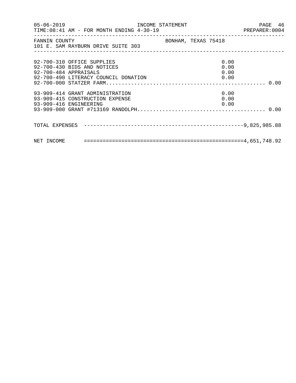| FANNIN COUNTY<br>101 E. SAM RAYBURN DRIVE SUITE 303                                          | BONHAM, TEXAS 75418  |  |
|----------------------------------------------------------------------------------------------|----------------------|--|
| 92-700-310 OFFICE SUPPLIES<br>92-700-430 BIDS AND NOTICES<br>92-700-484 APPRAISALS           | 0.00<br>0.00<br>0.00 |  |
| 93-909-414 GRANT ADMINISTRATION<br>93-909-415 CONSTRUCTION EXPENSE<br>93-909-416 ENGINEERING | 0.00<br>0.00<br>0.00 |  |
|                                                                                              |                      |  |
|                                                                                              |                      |  |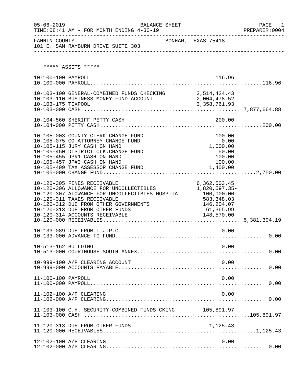| $05 - 06 - 2019$    |                                                                                                                                                                                                                                                                                   | BALANCE SHEET |                                                                                      | PAGE 1<br>PREPARER:0004 |
|---------------------|-----------------------------------------------------------------------------------------------------------------------------------------------------------------------------------------------------------------------------------------------------------------------------------|---------------|--------------------------------------------------------------------------------------|-------------------------|
| FANNIN COUNTY       | 101 E. SAM RAYBURN DRIVE SUITE 303                                                                                                                                                                                                                                                |               | BONHAM, TEXAS 75418                                                                  |                         |
|                     | ***** ASSETS *****                                                                                                                                                                                                                                                                |               |                                                                                      |                         |
| 10-100-100 PAYROLL  |                                                                                                                                                                                                                                                                                   |               | 116.96                                                                               |                         |
|                     | 10-103-100 GENERAL-COMBINED FUNDS CHECKING 2,514,424.43<br>10-103-110 BUSINESS MONEY FUND ACCOUNT                                                                                                                                                                                 |               | 2,004,478.52                                                                         |                         |
|                     |                                                                                                                                                                                                                                                                                   |               |                                                                                      |                         |
|                     | 10-105-003 COUNTY CLERK CHANGE FUND<br>10-105-075 CO.ATTORNEY CHANGE FUND<br>10-105-115 JURY CASH ON HAND<br>10-105-450 DISTRICT CLK.CHANGE FUND<br>10-105-455 JP#1 CASH ON HAND<br>10-105-457 JP#3 CASH ON HAND                                                                  |               | 100.00<br>0.00<br>1,000.00<br>50.00<br>100.00<br>100.00                              |                         |
|                     | 10-120-305 FINES RECEIVABLE<br>10-120-306 ALLOWANCE FOR UNCOLLECTIBLES<br>10-120-307 ALOWANCE FOR UNCOLLECTIBLES HOSPITA 100,000.00-<br>10-120-311 TAXES RECEIVABLE<br>10-120-312 DUE FROM OTHER GOVERNMENTS<br>10-120-313 DUE FROM OTHER FUNDS<br>10-120-314 ACCOUNTS RECEIVABLE |               | 6,362,503.45<br>1,820,597.35-<br>583,348.03<br>146,204.07<br>61,365.99<br>148,570.00 |                         |
|                     | 10-133-089 DUE FROM T.J.P.C.                                                                                                                                                                                                                                                      |               | 0.00                                                                                 |                         |
| 10-513-162 BUILDING |                                                                                                                                                                                                                                                                                   |               | 0.00                                                                                 |                         |
|                     | 10-999-100 A/P CLEARING ACCOUNT                                                                                                                                                                                                                                                   |               | 0.00                                                                                 |                         |
| 11-100-100 PAYROLL  |                                                                                                                                                                                                                                                                                   |               | 0.00                                                                                 |                         |
|                     | 11-102-100 A/P CLEARING                                                                                                                                                                                                                                                           |               | 0.00                                                                                 |                         |
|                     | 11-103-100 C.H. SECURITY-COMBINED FUNDS CKING 105,891.97                                                                                                                                                                                                                          |               |                                                                                      |                         |
|                     | 11-120-313 DUE FROM OTHER FUNDS                                                                                                                                                                                                                                                   |               | 1,125.43                                                                             |                         |
|                     | 12-102-100 A/P CLEARING                                                                                                                                                                                                                                                           |               | 0.00                                                                                 |                         |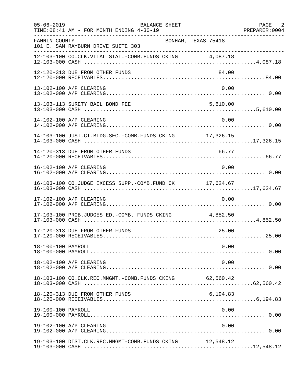| $05 - 06 - 2019$   | BALANCE SHEET<br>TIME: 08:41 AM - FOR MONTH ENDING 4-30-19<br>. _ _ _ _ _ _ _ _ _ _ _ _ _ _ _ |          | PAGE 2<br>PREPARER: 0004 |
|--------------------|-----------------------------------------------------------------------------------------------|----------|--------------------------|
| FANNIN COUNTY      | BONHAM, TEXAS 75418<br>101 E. SAM RAYBURN DRIVE SUITE 303                                     |          |                          |
|                    | 12-103-100 CO.CLK.VITAL STAT.-COMB.FUNDS CKING 4,087.18                                       |          |                          |
|                    | 12-120-313 DUE FROM OTHER FUNDS                                                               | 84.00    |                          |
|                    | 13-102-100 A/P CLEARING                                                                       | 0.00     |                          |
|                    | 13-103-113 SURETY BAIL BOND FEE                                                               | 5,610.00 |                          |
|                    | 14-102-100 A/P CLEARING                                                                       | 0.00     |                          |
|                    | 14-103-100 JUST.CT.BLDG.SEC.-COMB.FUNDS CKING 17,326.15                                       |          |                          |
|                    | 14-120-313 DUE FROM OTHER FUNDS                                                               | 66.77    |                          |
|                    | 16-102-100 A/P CLEARING                                                                       | 0.00     |                          |
|                    | 16-103-100 CO.JUDGE EXCESS SUPP.-COMB.FUND CK 17,624.67                                       |          |                          |
|                    | 17-102-100 A/P CLEARING                                                                       | 0.00     |                          |
|                    | 17-103-100 PROB.JUDGES ED.-COMB. FUNDS CKING 4,852.50                                         |          |                          |
|                    | 17-120-313 DUE FROM OTHER FUNDS                                                               | 25.00    |                          |
| 18-100-100 PAYROLL |                                                                                               | 0.00     |                          |
|                    | 18-102-100 A/P CLEARING                                                                       | 0.00     |                          |
|                    | 18-103-100 CO.CLK.REC.MNGMT.-COMB.FUNDS CKING 62,560.42                                       |          |                          |
|                    | 18-120-313 DUE FROM OTHER FUNDS                                                               | 6,194.83 |                          |
| 19-100-100 PAYROLL |                                                                                               | 0.00     |                          |
|                    | 19-102-100 A/P CLEARING                                                                       | 0.00     |                          |
|                    | 19-103-100 DIST.CLK.REC.MNGMT-COMB.FUNDS CKING 12,548.12                                      |          |                          |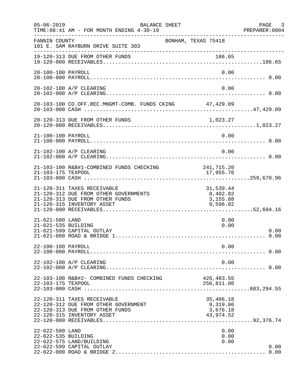| $05 - 06 - 2019$                       | BALANCE SHEET<br>TIME: 08:41 AM - FOR MONTH ENDING 4-30-19                                                                            | -----------------------------------            | PAGE 3<br>PREPARER: 0004 |
|----------------------------------------|---------------------------------------------------------------------------------------------------------------------------------------|------------------------------------------------|--------------------------|
| FANNIN COUNTY                          | 101 E. SAM RAYBURN DRIVE SUITE 303                                                                                                    | BONHAM, TEXAS 75418                            |                          |
|                                        | 19-120-313 DUE FROM OTHER FUNDS                                                                                                       | 186.65                                         |                          |
| 20-100-100 PAYROLL                     |                                                                                                                                       | 0.00                                           |                          |
|                                        | 20-102-100 A/P CLEARING                                                                                                               | 0.00                                           |                          |
|                                        | 20-103-100 CO.OFF.REC.MNGMT-COMB. FUNDS CKING 47,429.09                                                                               |                                                |                          |
|                                        | 20-120-313 DUE FROM OTHER FUNDS                                                                                                       | 1,023.27                                       |                          |
| 21-100-100 PAYROLL                     |                                                                                                                                       | 0.00                                           |                          |
|                                        | 21-102-100 A/P CLEARING                                                                                                               | 0.00                                           |                          |
| 21-103-175 TEXPOOL                     | 21-103-100 R&B#1-COMBINED FUNDS CHECKING 241,715.20                                                                                   | 17,955.76                                      |                          |
|                                        | 21-120-311 TAXES RECEIVABLE<br>21-120-312 DUE FROM OTHER GOVERNMENTS<br>21-120-313 DUE FROM OTHER FUNDS<br>21-120-315 INVENTORY ASSET | 31,539.44<br>8,402.82<br>3,155.88<br>9,596.02  |                          |
| 21-621-500 LAND<br>21-621-535 BUILDING | 21-621-599 CAPITAL OUTLAY                                                                                                             | 0.00<br>0.00                                   | 0.00<br>0.00             |
| 22-100-100 PAYROLL                     |                                                                                                                                       | 0.00                                           |                          |
|                                        | 22-102-100 A/P CLEARING                                                                                                               | 0.00                                           |                          |
| 22-103-175 TEXPOOL                     | 22-103-100 R&B#2- COMBINED FUNDS CHECKING                                                                                             | 426, 483.55<br>256,811.00                      |                          |
|                                        | 22-120-311 TAXES RECEIVABLE<br>22-120-312 DUE FROM OTHER GOVERNMENT<br>22-120-313 DUE FROM OTHER FUNDS<br>22-120-315 INVENTORY ASSET  | 35,406.18<br>9,319.86<br>3,676.18<br>43,974.52 |                          |
| 22-622-500 LAND<br>22-622-535 BUILDING | 22-622-575 LAND/BUILDING<br>22-622-599 CAPITAL OUTLAY                                                                                 | 0.00<br>0.00<br>0.00                           | 0.00<br>0.00             |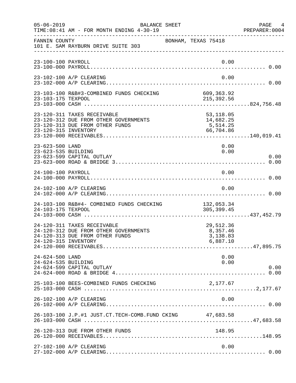| $05 - 06 - 2019$                       | BALANCE SHEET<br>TIME: 08:41 AM - FOR MONTH ENDING 4-30-19                                              |                                                  | PAGE<br>4<br>PREPARER: 0004 |
|----------------------------------------|---------------------------------------------------------------------------------------------------------|--------------------------------------------------|-----------------------------|
| FANNIN COUNTY                          | 101 E. SAM RAYBURN DRIVE SUITE 303                                                                      | BONHAM, TEXAS 75418                              |                             |
| 23-100-100 PAYROLL                     |                                                                                                         | 0.00                                             |                             |
|                                        | 23-102-100 A/P CLEARING                                                                                 | 0.00                                             |                             |
| 23-103-175 TEXPOOL                     | 23-103-100 R&B#3-COMBINED FUNDS CHECKING                                                                | 609,363.92<br>215,392.56                         |                             |
| 23-120-315 INVENTORY                   | 23-120-311 TAXES RECEIVABLE<br>23-120-312 DUE FROM OTHER GOVERNMENTS<br>23-120-313 DUE FROM OTHER FUNDS | 53, 118.05<br>14,682.25<br>5,514.25<br>66,704.86 |                             |
| 23-623-500 LAND<br>23-623-535 BUILDING | 23-623-599 CAPITAL OUTLAY                                                                               | 0.00<br>0.00                                     | 0.00                        |
| 24-100-100 PAYROLL                     |                                                                                                         | 0.00                                             |                             |
|                                        | 24-102-100 A/P CLEARING                                                                                 | 0.00                                             |                             |
| 24-103-175 TEXPOOL                     | 24-103-100 R&B#4- COMBINED FUNDS CHECKING                                                               | 132,053.34<br>305, 399.45                        |                             |
| 24-120-315 INVENTORY                   | 24-120-311 TAXES RECEIVABLE<br>24-120-312 DUE FROM OTHER GOVERNMENTS<br>24-120-313 DUE FROM OTHER FUNDS | 29,512.36<br>8,357.46<br>3,138.83<br>6,887.10    |                             |
| 24-624-500 LAND<br>24-624-535 BUILDING | 24-624-599 CAPITAL OUTLAY                                                                               | 0.00<br>0.00                                     | 0.00                        |
|                                        | 25-103-100 BEES-COMBINED FUNDS CHECKING                                                                 | 2,177.67                                         |                             |
|                                        | 26-102-100 A/P CLEARING                                                                                 | 0.00                                             |                             |
|                                        | 26-103-100 J.P.#1 JUST.CT.TECH-COMB.FUND CKING 47,683.58                                                |                                                  |                             |
|                                        | 26-120-313 DUE FROM OTHER FUNDS                                                                         | 148.95                                           |                             |
|                                        | 27-102-100 A/P CLEARING                                                                                 | 0.00                                             |                             |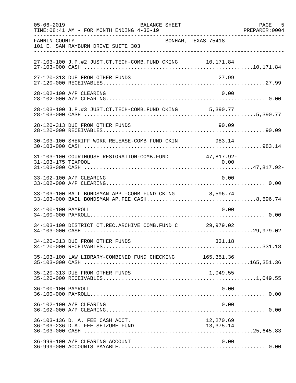| $05 - 06 - 2019$   | <b>BALANCE SHEET</b><br>TIME: 08:41 AM - FOR MONTH ENDING 4-30-19                                      |                    | PAGE<br>5<br>PREPARER: 0004 |
|--------------------|--------------------------------------------------------------------------------------------------------|--------------------|-----------------------------|
| FANNIN COUNTY      | BONHAM, TEXAS 75418<br>101 E. SAM RAYBURN DRIVE SUITE 303                                              |                    |                             |
|                    | 27-103-100 J.P.#2 JUST.CT.TECH-COMB.FUND CKING 10,171.84                                               |                    |                             |
|                    | 27-120-313 DUE FROM OTHER FUNDS                                                                        | 27.99              |                             |
|                    | 28-102-100 A/P CLEARING                                                                                | 0.00               |                             |
|                    | 28-103-100 J.P.#3 JUST.CT.TECH-COMB.FUND CKING 5,390.77                                                |                    |                             |
|                    | 28-120-313 DUE FROM OTHER FUNDS                                                                        | 90.09              |                             |
|                    | 30-103-100 SHERIFF WORK RELEASE-COMB FUND CKIN                                                         | 983.14             |                             |
| 31-103-175 TEXPOOL | 31-103-100 COURTHOUSE RESTORATION-COMB.FUND                                                            | 47,817.92-<br>0.00 |                             |
|                    | 33-102-100 A/P CLEARING                                                                                | 0.00               |                             |
|                    | 33-103-100 BAIL BONDSMAN APP.-COMB FUND CKING 8,596.74<br>33-103-000 BAIL BONDSMAN AP.FEE CASH8,596.74 |                    |                             |
| 34-100-100 PAYROLL |                                                                                                        | 0.00               |                             |
|                    | 34-103-100 DISTRICT CT.REC.ARCHIVE COMB.FUND C 29,979.02                                               |                    |                             |
|                    | 34-120-313 DUE FROM OTHER FUNDS                                                                        | 331.18             |                             |
|                    | 35-103-100 LAW LIBRARY-COMBINED FUND CHECKING 165,351.36                                               |                    |                             |
|                    | 35-120-313 DUE FROM OTHER FUNDS                                                                        | 1,049.55           |                             |
| 36-100-100 PAYROLL |                                                                                                        | 0.00               |                             |
|                    | 36-102-100 A/P CLEARING                                                                                | 0.00               |                             |
|                    | 36-103-136 D. A. FEE CASH ACCT.                                                                        | 12,270.69          |                             |
|                    | 36-999-100 A/P CLEARING ACCOUNT                                                                        | 0.00               |                             |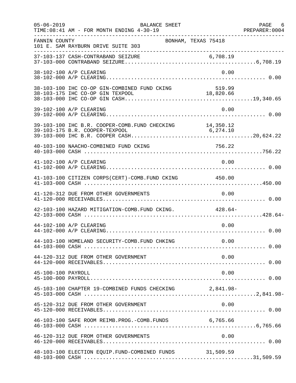| $05 - 06 - 2019$   | <b>BALANCE SHEET</b><br>TIME: 08:41 AM - FOR MONTH ENDING 4-30-19 |        | PAGE 6 |
|--------------------|-------------------------------------------------------------------|--------|--------|
| FANNIN COUNTY      | BONHAM, TEXAS 75418<br>101 E. SAM RAYBURN DRIVE SUITE 303         |        |        |
|                    |                                                                   |        |        |
|                    | 38-102-100 A/P CLEARING                                           | 0.00   |        |
|                    |                                                                   |        |        |
|                    | 39-102-100 A/P CLEARING                                           | 0.00   |        |
|                    | 39-103-100 IHC B.R. COOPER-COMB. FUND CHECKING 14,350.12          |        |        |
|                    | 40-103-100 NAACHO-COMBINED FUND CKING                             | 756.22 |        |
|                    | 41-102-100 A/P CLEARING                                           | 0.00   |        |
|                    | 41-103-100 CITIZEN CORPS(CERT)-COMB. FUND CKING 450.00            |        |        |
|                    | 41-120-312 DUE FROM OTHER GOVERNMENTS                             | 0.00   |        |
|                    | 42-103-100 HAZARD MITIGATION-COMB. FUND CKING. 428.64-            |        |        |
|                    | 44-102-100 A/P CLEARING                                           | 0.00   |        |
|                    | 44-103-100 HOMELAND SECURITY-COMB. FUND CHKING                    | 0.00   |        |
|                    | 44-120-312 DUE FROM OTHER GOVERNMENT                              | 0.00   |        |
| 45-100-100 PAYROLL |                                                                   | 0.00   |        |
|                    | 45-103-100 CHAPTER 19-COMBINED FUNDS CHECKING 2,841.98-           |        |        |
|                    | 45-120-312 DUE FROM OTHER GOVERNMENT                              | 0.00   |        |
|                    | 46-103-100 SAFE ROOM REIMB. PROG. - COMB. FUNDS 6,765.66          |        |        |
|                    | 46-120-312 DUE FROM OTHER GOVERNMENTS                             | 0.00   |        |
|                    | 48-103-100 ELECTION EQUIP. FUND-COMBINED FUNDS 31,509.59          |        |        |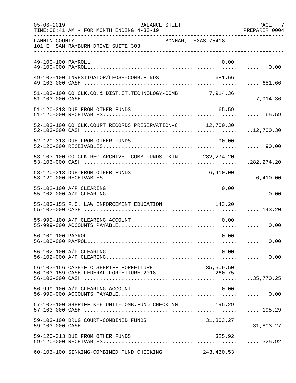| $05 - 06 - 2019$   | <b>BALANCE SHEET</b><br>TIME: 08:41 AM - FOR MONTH ENDING 4-30-19 |                     | PAGE 7<br>PREPARER: 0004 |
|--------------------|-------------------------------------------------------------------|---------------------|--------------------------|
| FANNIN COUNTY      | 101 E. SAM RAYBURN DRIVE SUITE 303                                | BONHAM, TEXAS 75418 |                          |
| 49-100-100 PAYROLL |                                                                   | 0.00                |                          |
|                    | 49-103-100 INVESTIGATOR/LEOSE-COMB.FUNDS                          | 681.66              |                          |
|                    | 51-103-100 CO.CLK.CO.& DIST.CT.TECHNOLOGY-COMB 7,914.36           |                     |                          |
|                    | 51-120-313 DUE FROM OTHER FUNDS                                   | 65.59               |                          |
|                    | 52-103-100 CO.CLK.COURT RECORDS PRESERVATION-C 12,700.30          |                     |                          |
|                    | 52-120-313 DUE FROM OTHER FUNDS                                   | 90.00               |                          |
|                    | 53-103-100 CO.CLK.REC.ARCHIVE -COMB.FUNDS CKIN 282,274.20         |                     |                          |
|                    | 53-120-313 DUE FROM OTHER FUNDS                                   | 6,410.00            |                          |
|                    | 55-102-100 A/P CLEARING                                           | 0.00                |                          |
|                    | 55-103-155 F.C. LAW ENFORCEMENT EDUCATION                         | 143.20              |                          |
|                    | 55-999-100 A/P CLEARING ACCOUNT                                   | 0.00                |                          |
| 56-100-100 PAYROLL |                                                                   | 0.00                |                          |
|                    | 56-102-100 A/P CLEARING                                           | 0.00                |                          |
|                    | 56-103-156 CASH-F C SHERIFF FORFEITURE                            | 35,509.50           |                          |
|                    | 56-999-100 A/P CLEARING ACCOUNT                                   | 0.00                |                          |
|                    | 57-103-100 SHERIFF K-9 UNIT-COMB.FUND CHECKING                    | 195.29              |                          |
|                    | 59-103-100 DRUG COURT-COMBINED FUNDS                              | 31,803.27           |                          |
|                    | 59-120-313 DUE FROM OTHER FUNDS                                   | 325.92              |                          |
|                    | 60-103-100 SINKING-COMBINED FUND CHECKING                         | 243,430.53          |                          |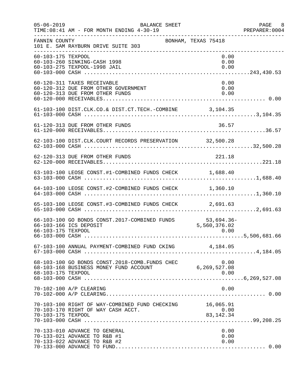| $05 - 06 - 2019$   | BALANCE SHEET<br>TIME: 08:41 AM - FOR MONTH ENDING 4-30-19                                             |                      | PAGE 8<br>PREPARER: 0004 |
|--------------------|--------------------------------------------------------------------------------------------------------|----------------------|--------------------------|
| FANNIN COUNTY      | BONHAM, TEXAS 75418<br>101 E. SAM RAYBURN DRIVE SUITE 303                                              |                      |                          |
| 60-103-175 TEXPOOL | 60-103-260 SINKING-CASH 1998<br>60-103-275 TEXPOOL-1998 JAIL                                           | 0.00<br>0.00<br>0.00 |                          |
|                    | 60-120-311 TAXES RECEIVABLE<br>60-120-312 DUE FROM OTHER GOVERNMENT<br>60-120-313 DUE FROM OTHER FUNDS | 0.00<br>0.00<br>0.00 |                          |
|                    | 61-103-100 DIST.CLK.CO.& DIST.CT.TECH.-COMBINE 3,104.35                                                |                      |                          |
|                    | 61-120-313 DUE FROM OTHER FUNDS                                                                        | 36.57                |                          |
|                    | 62-103-100 DIST.CLK.COURT RECORDS PRESERVATION 32,500.28                                               |                      |                          |
|                    | 62-120-313 DUE FROM OTHER FUNDS                                                                        | 221.18               |                          |
|                    | 63-103-100 LEOSE CONST.#1-COMBINED FUNDS CHECK 1,688.40                                                |                      |                          |
|                    | 64-103-100 LEOSE CONST.#2-COMBINED FUNDS CHECK 1,360.10                                                |                      |                          |
|                    | 65-103-100 LEOSE CONST.#3-COMBINED FUNDS CHECK 2,691.63                                                |                      |                          |
| 66-103-175 TEXPOOL | 66-103-100 GO BONDS CONST. 2017-COMBINED FUNDS 53,694.36-<br>66-103-166 ICS DEPOSIT                    | 5,560,376.02<br>0.00 |                          |
|                    | 67-103-100 ANNUAL PAYMENT-COMBINED FUND CKING $4,184.05$                                               |                      |                          |
| 68-103-175 TEXPOOL |                                                                                                        | 0.00                 |                          |
|                    | 70-102-100 A/P CLEARING                                                                                | 0.00                 |                          |
| 70-103-175 TEXPOOL | 70-103-100 RIGHT OF WAY-COMBINED FUND CHECKING 16,065.91<br>70-103-170 RIGHT OF WAY CASH ACCT.         | 0.00<br>83, 142. 34  |                          |
|                    | 70-133-010 ADVANCE TO GENERAL<br>70-133-021 ADVANCE TO R&B #1<br>70-133-022 ADVANCE TO R&B #2          | 0.00<br>0.00<br>0.00 |                          |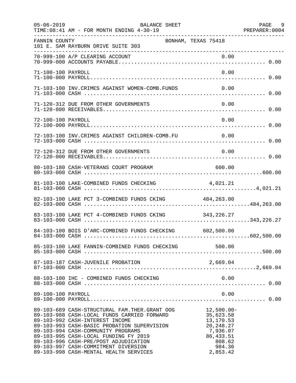| $05 - 06 - 2019$   | BALANCE SHEET<br>TIME: 08:41 AM - FOR MONTH ENDING 4-30-19                                                                                                                                                                                                                                                                                                                                 |                                                                                                                  | PAGE 9 |
|--------------------|--------------------------------------------------------------------------------------------------------------------------------------------------------------------------------------------------------------------------------------------------------------------------------------------------------------------------------------------------------------------------------------------|------------------------------------------------------------------------------------------------------------------|--------|
| FANNIN COUNTY      | BONHAM, TEXAS 75418<br>101 E. SAM RAYBURN DRIVE SUITE 303                                                                                                                                                                                                                                                                                                                                  |                                                                                                                  |        |
|                    |                                                                                                                                                                                                                                                                                                                                                                                            |                                                                                                                  |        |
| 71-100-100 PAYROLL |                                                                                                                                                                                                                                                                                                                                                                                            | 0.00                                                                                                             |        |
|                    | 71-103-100 INV. CRIMES AGAINST WOMEN-COMB. FUNDS                                                                                                                                                                                                                                                                                                                                           | 0.00                                                                                                             |        |
|                    | 71-120-312 DUE FROM OTHER GOVERNMENTS                                                                                                                                                                                                                                                                                                                                                      | 0.00                                                                                                             |        |
| 72-100-100 PAYROLL |                                                                                                                                                                                                                                                                                                                                                                                            | 0.00                                                                                                             |        |
|                    | 72-103-100 INV.CRIMES AGAINST CHILDREN-COMB.FU 0.00                                                                                                                                                                                                                                                                                                                                        |                                                                                                                  |        |
|                    | 72-120-312 DUE FROM OTHER GOVERNMENTS                                                                                                                                                                                                                                                                                                                                                      | 0.00                                                                                                             |        |
|                    | 80-103-180 CASH-VETERANS COURT PROGRAM                                                                                                                                                                                                                                                                                                                                                     | 600.00                                                                                                           |        |
|                    | 81-103-100 LAKE-COMBINED FUNDS CHECKING                                                                                                                                                                                                                                                                                                                                                    | 4,021.21                                                                                                         |        |
|                    | 82-103-100 LAKE PCT 3-COMBINED FUNDS CKING 484,263.00                                                                                                                                                                                                                                                                                                                                      |                                                                                                                  |        |
|                    | 83-103-100 LAKE PCT 4-COMBINED FUNDS CKING 343,226.27                                                                                                                                                                                                                                                                                                                                      |                                                                                                                  |        |
|                    | 84-103-100 BOIS D'ARC-COMBINED FUNDS CHECKING 602,500.00                                                                                                                                                                                                                                                                                                                                   |                                                                                                                  |        |
|                    | 85-103-100 LAKE FANNIN-COMBINED FUNDS CHECKING 500.00                                                                                                                                                                                                                                                                                                                                      |                                                                                                                  |        |
|                    | 87-103-187 CASH-JUVENILE PROBATION                                                                                                                                                                                                                                                                                                                                                         | 2,669.04                                                                                                         |        |
|                    |                                                                                                                                                                                                                                                                                                                                                                                            |                                                                                                                  |        |
| 89-100-100 PAYROLL |                                                                                                                                                                                                                                                                                                                                                                                            | 0.00                                                                                                             |        |
|                    | 89-103-689 CASH-STRUCTURAL FAM. THER. GRANT OOG<br>89-103-988 CASH-LOCAL FUNDS CARRIED FORWARD<br>89-103-992 CASH-INTEREST INCOME<br>89-103-993 CASH-BASIC PROBATION SUPERVISION<br>89-103-994 CASH-COMMUNITY PROGRAMS<br>89-103-995 CASH-LOCAL FUNDING FY 2019<br>89-103-996 CASH-PRE/POST ADJUDICATION<br>89-103-997 CASH-COMMITMENT DIVERSION<br>89-103-998 CASH-MENTAL HEALTH SERVICES | $12,500.00 -$<br>35,623.58<br>13,170.53<br>20, 248. 27<br>7,936.07<br>86, 433.51<br>808.62<br>984.36<br>2,853.42 |        |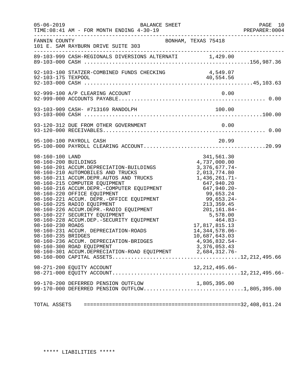|                                                                                   | $05 - 06 - 2019$<br>BALANCE SHEET<br>TIME: 08:41 AM - FOR MONTH ENDING 4-30-19                                                                                                                                                                                                                                                                                                                                                                                                                                                                                                                                                                                                           |                                                                                                                                                                                                                                                                                                               | PAGE 10<br>PREPARER:0004 |
|-----------------------------------------------------------------------------------|------------------------------------------------------------------------------------------------------------------------------------------------------------------------------------------------------------------------------------------------------------------------------------------------------------------------------------------------------------------------------------------------------------------------------------------------------------------------------------------------------------------------------------------------------------------------------------------------------------------------------------------------------------------------------------------|---------------------------------------------------------------------------------------------------------------------------------------------------------------------------------------------------------------------------------------------------------------------------------------------------------------|--------------------------|
| FANNIN COUNTY                                                                     | BONHAM, TEXAS 75418<br>101 E. SAM RAYBURN DRIVE SUITE 303                                                                                                                                                                                                                                                                                                                                                                                                                                                                                                                                                                                                                                |                                                                                                                                                                                                                                                                                                               |                          |
|                                                                                   |                                                                                                                                                                                                                                                                                                                                                                                                                                                                                                                                                                                                                                                                                          |                                                                                                                                                                                                                                                                                                               |                          |
|                                                                                   | 92-103-100 STATZER-COMBINED FUNDS CHECKING                                                                                                                                                                                                                                                                                                                                                                                                                                                                                                                                                                                                                                               | 4,549.07                                                                                                                                                                                                                                                                                                      |                          |
|                                                                                   | 92-999-100 A/P CLEARING ACCOUNT                                                                                                                                                                                                                                                                                                                                                                                                                                                                                                                                                                                                                                                          | 0.00                                                                                                                                                                                                                                                                                                          |                          |
|                                                                                   |                                                                                                                                                                                                                                                                                                                                                                                                                                                                                                                                                                                                                                                                                          |                                                                                                                                                                                                                                                                                                               |                          |
|                                                                                   | 93-120-312 DUE FROM OTHER GOVERNMENT                                                                                                                                                                                                                                                                                                                                                                                                                                                                                                                                                                                                                                                     | 0.00                                                                                                                                                                                                                                                                                                          |                          |
|                                                                                   | 95-100-100 PAYROLL CASH                                                                                                                                                                                                                                                                                                                                                                                                                                                                                                                                                                                                                                                                  | 20.99                                                                                                                                                                                                                                                                                                         |                          |
| 98-160-100 LAND<br>98-160-200 BUILDINGS<br>98-160-230 ROADS<br>98-160-235 BRIDGES | 98-160-201 ACCUM.DEPRECIATION-BUILDINGS<br>98-160-210 AUTOMOPILES AND EDICATE<br>98-160-210 AUTOMOBILES AND TRUCKS<br>98-160-211 ACCUM.DEPR.AUTOS AND TRUCKS<br>98-160-215 COMPUTER EQUIPMENT<br>98-160-215 COMPUTER EQUIPMENT<br>98-160-216 ACCUM.DEPR.-COMPUTER EQUIPMENT<br>98-160-220 OFFICE EQUIPMENT<br>98-160-221 ACCUM. DEPR.-OFFICE EQUIPMENT<br>98-160-225 RADIO EQUIPMENT<br>98-160-226 ACCUM.DEPR.-RADIO EQUIPMENT<br>98-160-227 SECURITY EQUIPMENT<br>98-160-228 ACCUM.DEP.-SECURITY EQUIPMENT<br>98-160-231 ACCUM. DEPRECIATION-ROADS<br>98-160-236 ACCUM. DEPRECIATION-BRIDGES<br>98-160-300 ROAD EQUIPMENT<br>98-160-301 ACCUM.DEPRECIATION-ROAD EQUIPMENT 2,684,312.76- | 341,561.30<br>4,737,000.00<br>3,376,677.74-<br>2,013,774.80<br>1,436,261.71-<br>647,940.20<br>$647,940.20 -$<br>99,653.24<br>$99,653.24$<br>$99,653.24-$<br>$213,359.45$<br>$201,161.84-$<br>$5,578.00$<br>$464.83-$<br>17,817,815.13<br>14, 344, 578.06-<br>10,687,643.03<br>4,936,832.54-<br>3, 376, 053.43 |                          |
|                                                                                   |                                                                                                                                                                                                                                                                                                                                                                                                                                                                                                                                                                                                                                                                                          |                                                                                                                                                                                                                                                                                                               |                          |
|                                                                                   | 99-170-200 DEFERRED PENSION OUTFLOW<br>99-170-000 DEFERRED PENSION OUTFLOW1,805,395.00                                                                                                                                                                                                                                                                                                                                                                                                                                                                                                                                                                                                   | 1,805,395.00                                                                                                                                                                                                                                                                                                  |                          |
|                                                                                   |                                                                                                                                                                                                                                                                                                                                                                                                                                                                                                                                                                                                                                                                                          |                                                                                                                                                                                                                                                                                                               |                          |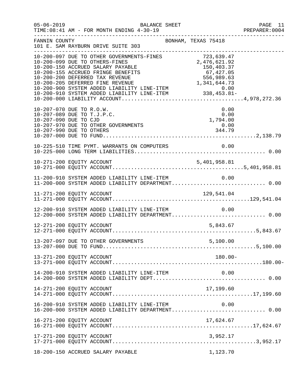| $05 - 06 - 2019$ | BALANCE SHEET<br>TIME: 08:41 AM - FOR MONTH ENDING 4-30-19                                                                                                                                                                               | PAGE 11<br>PREPARER:0004 |
|------------------|------------------------------------------------------------------------------------------------------------------------------------------------------------------------------------------------------------------------------------------|--------------------------|
| FANNIN COUNTY    | BONHAM, TEXAS 75418<br>101 E. SAM RAYBURN DRIVE SUITE 303                                                                                                                                                                                | _______________________  |
|                  | 10-200-097 DUE TO OTHER GOVERNMENTS-FINES<br>10-200-099 DUE TO OTHER GOVERNMENTS-FINES<br>10-200-150 ACCRUED SALARY PAYABLE<br>10-200-155 ACCRUED FRINGE BENEFITS<br>10-200-155 ACCRUED FRINGE BENEFITS<br>10-200-200 DEFERRED TAX REVEN |                          |
|                  | 0.00<br>10-207-070 DUE TO R.O.W.<br>10-207-089 DUE TO T.J.P.C.<br>0.00<br>0.00<br>1,794.00<br>10-207-090 DUE TO CJD<br>10-207-970 DUE TO OTHER GOVERNMENTS<br>0.00<br>344.79<br>10-207-990 DUE TO OTHERS                                 |                          |
|                  | 10-225-510 TIME PYMT. WARRANTS ON COMPUTERS<br>0.00                                                                                                                                                                                      |                          |
|                  |                                                                                                                                                                                                                                          |                          |
|                  | 11-200-910 SYSTEM ADDED LIABILITY LINE-ITEM $0.00$<br>11-200-000 SYSTEM ADDED LIABILITY DEPARTMENT0.00                                                                                                                                   |                          |
|                  |                                                                                                                                                                                                                                          |                          |
|                  | 12-200-910 SYSTEM ADDED LIABILITY LINE-ITEM<br>0.00<br>12-200-000 SYSTEM ADDED LIABILITY DEPARTMENT 0.00                                                                                                                                 |                          |
|                  | 12-271-200 EQUITY ACCOUNT<br>5,843.67                                                                                                                                                                                                    |                          |
|                  |                                                                                                                                                                                                                                          |                          |
|                  | 13-271-200 EQUITY ACCOUNT<br>$180.00 -$                                                                                                                                                                                                  |                          |
|                  | 14-200-910 SYSTEM ADDED LIABILITY LINE-ITEM<br>0.00                                                                                                                                                                                      |                          |
|                  | 14-271-200 EQUITY ACCOUNT<br>17,199.60                                                                                                                                                                                                   |                          |
|                  | 16-200-910 SYSTEM ADDED LIABILITY LINE-ITEM<br>0.00<br>16-200-000 SYSTEM ADDED LIABILITY DEPARTMENT 0.00                                                                                                                                 |                          |
|                  | 16-271-200 EQUITY ACCOUNT<br>17,624.67                                                                                                                                                                                                   |                          |
|                  |                                                                                                                                                                                                                                          |                          |
|                  | 18-200-150 ACCRUED SALARY PAYABLE<br>1,123.70                                                                                                                                                                                            |                          |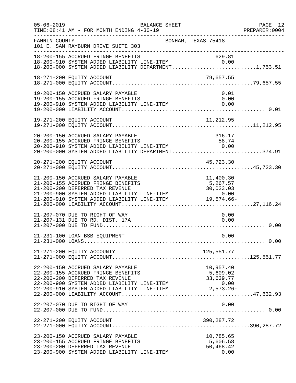| $05 - 06 - 2019$ | BALANCE SHEET<br>TIME: 08:41 AM - FOR MONTH ENDING 4-30-19                                                                                                                                                                                                                                                                        |                                                            | PAGE 12<br>PREPARER: 0004 |
|------------------|-----------------------------------------------------------------------------------------------------------------------------------------------------------------------------------------------------------------------------------------------------------------------------------------------------------------------------------|------------------------------------------------------------|---------------------------|
| FANNIN COUNTY    | BONHAM, TEXAS 75418<br>101 E. SAM RAYBURN DRIVE SUITE 303                                                                                                                                                                                                                                                                         |                                                            |                           |
|                  | 18-200-155 ACCRUED FRINGE BENEFITS 629.81<br>18-200-910 SYSTEM ADDED LIABILITY LINE-ITEM 0.00<br>18-200-000 SYSTEM ADDED LIABILITY DEPARTMENT1,753.51                                                                                                                                                                             |                                                            |                           |
|                  | 18-271-200 EQUITY ACCOUNT                                                                                                                                                                                                                                                                                                         | 79,657.55                                                  |                           |
|                  | 19-200-150 ACCRUED SALARY PAYABLE<br>19-200-155 ACCRUED FRINGE BENEFITS<br>19-200-910 SYSTEM ADDED LIABILITY LINE-ITEM                                                                                                                                                                                                            | 0.01<br>0.00<br>0.00                                       |                           |
|                  | 19-271-200 EQUITY ACCOUNT                                                                                                                                                                                                                                                                                                         | 11,212.95                                                  |                           |
|                  | 20-200-150 ACCRUED SALARY PAYABLE<br>20-200-155 ACCRUED FRINGE BENEFITS<br>20-200-910 SYSTEM ADDED LIABILITY LINE-ITEM 0.00<br>0.00 (1) 0.00 (1) 0.00 (1) 0.00 (1) 0.00 (1) 0.00 (1) 0.00 (1) 0.00 (1) 0.00 (1) 0.00 (1) 0.00 (1) 0.00 (1) 0.00 (1) 0.00 (1) 0.00 (1) 0.0<br>$20-200-000$ SYSTEM ADDED LIABILITY DEPARTMENT374.91 | 316.17                                                     |                           |
|                  | 20-271-200 EQUITY ACCOUNT                                                                                                                                                                                                                                                                                                         | 45,723.30                                                  |                           |
|                  | 21-200-150 ACCRUED SALARY PAYABLE<br>21-200-155 ACCRUED FRINGE BENEFITS<br>21-200-200 DEFERRED TAX REVENUE<br>21-200-900 SYSTEM ADDED LIABILITY LINE-ITEM<br>0.00 COLLEX ADDED LIABILITY LINE-ITEM 0.00<br>21-200-910 SYSTEM ADDED LIABILITY LINE-ITEM 19,574.66-                                                                 | $\frac{1}{2}$ , 400.30<br>5,267.57<br>30,022               |                           |
|                  | 21-207-070 DUE TO RIGHT OF WAY<br>21-207-131 DUE TO RD. DIST. 17A                                                                                                                                                                                                                                                                 | 0.00<br>0.00                                               |                           |
|                  | 21-231-100 LOAN BSB EQUIPMENT                                                                                                                                                                                                                                                                                                     | 0.00                                                       |                           |
|                  | 21-271-200 EQUITY ACCOUNTY                                                                                                                                                                                                                                                                                                        | 125,551.77                                                 |                           |
|                  | 22-200-150 ACCRUED SALARY PAYABLE<br>22-200-155 ACCRUED FRINGE BENEFITS<br>22-200-200 DEFERRED TAX REVENUE<br>22-200-900 SYSTEM ADDED LIABILITY LINE-ITEM<br>22-200-910 SYSTEM ADDED LIABILITY LINE-ITEM                                                                                                                          | 10,957.40<br>5,609.02<br>33,639.77<br>0.00<br>$2,573.26 -$ |                           |
|                  | 22-207-070 DUE TO RIGHT OF WAY                                                                                                                                                                                                                                                                                                    | 0.00                                                       |                           |
|                  | 22-271-200 EQUITY ACCOUNT                                                                                                                                                                                                                                                                                                         | 390,287.72                                                 |                           |
|                  | 23-200-150 ACCRUED SALARY PAYABLE<br>23-200-155 ACCRUED FRINGE BENEFITS<br>23-200-200 DEFERRED TAX REVENUE<br>23-200-900 SYSTEM ADDED LIABILITY LINE-ITEM                                                                                                                                                                         | 10,785.65<br>5,606.58<br>50,468.42<br>0.00                 |                           |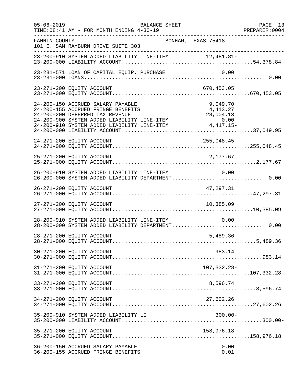| $05 - 06 - 2019$ | BALANCE SHEET<br>TIME: 08:41 AM - FOR MONTH ENDING 4-30-19                                               | PAGE 13<br>PREPARER:0004 |
|------------------|----------------------------------------------------------------------------------------------------------|--------------------------|
| FANNIN COUNTY    | BONHAM, TEXAS 75418<br>101 E. SAM RAYBURN DRIVE SUITE 303                                                |                          |
|                  | 23-200-910 SYSTEM ADDED LIABILITY LINE-ITEM 12,481.81-                                                   |                          |
|                  | 23-231-571 LOAN OF CAPITAL EQUIP. PURCHASE<br>0.00                                                       |                          |
|                  | 23-271-200 EQUITY ACCOUNT<br>670,453.05                                                                  |                          |
|                  | 24-200-150 ACCRUED SALARY PAYABLE<br>9,049.70<br>24-200-155 ACCRUED FRINGE BENEFITS<br>4,413.27          |                          |
|                  | 24-271-200 EQUITY ACCOUNT<br>255,048.45                                                                  |                          |
|                  | 25-271-200 EQUITY ACCOUNT<br>2,177.67                                                                    |                          |
|                  | 26-200-910 SYSTEM ADDED LIABILITY LINE-ITEM 0.00<br>26-200-000 SYSTEM ADDED LIABILITY DEPARTMENT 0.00    |                          |
|                  | 26-271-200 EQUITY ACCOUNT<br>47, 297.31                                                                  |                          |
|                  | 27-271-200 EQUITY ACCOUNT<br>10,385.09                                                                   |                          |
|                  | 28-200-910 SYSTEM ADDED LIABILITY LINE-ITEM<br>0.00<br>28-200-000 SYSTEM ADDED LIABILITY DEPARTMENT 0.00 |                          |
|                  | 28-271-200 EQUITY ACCOUNT<br>5,489.36                                                                    |                          |
|                  | 30-271-200 EQUITY ACCOUNT<br>983.14                                                                      |                          |
|                  | 31-271-200 EQUITY ACCOUNT<br>107,332.28-                                                                 |                          |
|                  | 33-271-200 EQUITY ACCOUNT<br>8,596.74                                                                    |                          |
|                  | 34-271-200 EQUITY ACCOUNT<br>27,602.26                                                                   |                          |
|                  | $300.00 -$<br>35-200-910 SYSTEM ADDED LIABILITY LI                                                       |                          |
|                  | 35-271-200 EQUITY ACCOUNT<br>158,976.18                                                                  |                          |
|                  | 36-200-150 ACCRUED SALARY PAYABLE<br>0.00<br>36-200-155 ACCRUED FRINGE BENEFITS<br>0.01                  |                          |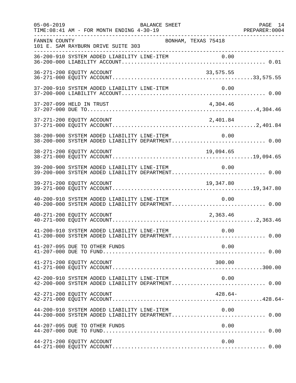| $05 - 06 - 2019$ | BALANCE SHEET<br>TIME: 08:41 AM - FOR MONTH ENDING 4-30-19                                               | PAGE 14<br>PREPARER: 0004 |
|------------------|----------------------------------------------------------------------------------------------------------|---------------------------|
| FANNIN COUNTY    | BONHAM, TEXAS 75418<br>101 E. SAM RAYBURN DRIVE SUITE 303                                                |                           |
|                  |                                                                                                          |                           |
|                  | 36-271-200 EQUITY ACCOUNT<br>33,575.55                                                                   |                           |
|                  | 37-200-910 SYSTEM ADDED LIABILITY LINE-ITEM<br>0.00                                                      |                           |
|                  | 37-207-099 HELD IN TRUST<br>4,304.46                                                                     |                           |
|                  | 2,401.84<br>37-271-200 EQUITY ACCOUNT                                                                    |                           |
|                  | 38-200-900 SYSTEM ADDED LIABILITY LINE-ITEM 0.00<br>38-200-000 SYSTEM ADDED LIABILITY DEPARTMENT 0.00    |                           |
|                  |                                                                                                          |                           |
|                  | 39-200-900 SYSTEM ADDED LIABILITY LINE-ITEM<br>0.00<br>39-200-000 SYSTEM ADDED LIABILITY DEPARTMENT 0.00 |                           |
|                  | 39-271-200 EQUITY ACCOUNT<br>19,347.80                                                                   |                           |
|                  | 40-200-910 SYSTEM ADDED LIABILITY LINE-ITEM<br>0.00<br>40-200-000 SYSTEM ADDED LIABILITY DEPARTMENT 0.00 |                           |
|                  | 40-271-200 EQUITY ACCOUNT<br>2,363.46                                                                    |                           |
|                  | 41-200-910 SYSTEM ADDED LIABILITY LINE-ITEM<br>0.00<br>41-200-000 SYSTEM ADDED LIABILITY DEPARTMENT 0.00 |                           |
|                  | 41-207-095 DUE TO OTHER FUNDS<br>0.00                                                                    |                           |
|                  | 300.00<br>41-271-200 EQUITY ACCOUNT                                                                      |                           |
|                  | 42-200-910 SYSTEM ADDED LIABILITY LINE-ITEM<br>0.00                                                      |                           |
|                  | 42-271-200 EQUITY ACCOUNT<br>$428.64-$                                                                   |                           |
|                  | 44-200-910 SYSTEM ADDED LIABILITY LINE-ITEM<br>0.00<br>44-200-000 SYSTEM ADDED LIABILITY DEPARTMENT 0.00 |                           |
|                  | 44-207-095 DUE TO OTHER FUNDS<br>0.00                                                                    |                           |
|                  | 44-271-200 EQUITY ACCOUNT<br>0.00                                                                        |                           |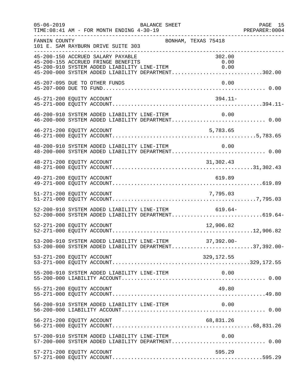| $05 - 06 - 2019$ | BALANCE SHEET<br>TIME: 08:41 AM - FOR MONTH ENDING 4-30-19                                                                                                                                             | PAGE 15 |
|------------------|--------------------------------------------------------------------------------------------------------------------------------------------------------------------------------------------------------|---------|
| FANNIN COUNTY    | BONHAM, TEXAS 75418<br>101 E. SAM RAYBURN DRIVE SUITE 303                                                                                                                                              |         |
|                  | 45-200-150 ACCRUED SALARY PAYABLE<br>302.00<br>45-200-155 ACCRUED FRINGE BENEFITS<br>0.00<br>45-200-910 SYSTEM ADDED LIABILITY LINE-ITEM<br>0.00<br>45-200-000 SYSTEM ADDED LIABILITY DEPARTMENT302.00 |         |
|                  | 45-207-095 DUE TO OTHER FUNDS<br>0.00                                                                                                                                                                  |         |
|                  | 45-271-200 EQUITY ACCOUNT<br>$394.11-$                                                                                                                                                                 |         |
|                  | 46-200-910 SYSTEM ADDED LIABILITY LINE-ITEM 0.00<br>46-200-000 SYSTEM ADDED LIABILITY DEPARTMENT 0.00                                                                                                  |         |
|                  | 46-271-200 EQUITY ACCOUNT<br>5,783.65                                                                                                                                                                  |         |
|                  | 48-200-910 SYSTEM ADDED LIABILITY LINE-ITEM<br>0.00<br>48-200-000 SYSTEM ADDED LIABILITY DEPARTMENT 0.00                                                                                               |         |
|                  | 31,302.43<br>48-271-200 EQUITY ACCOUNT                                                                                                                                                                 |         |
|                  | 49-271-200 EQUITY ACCOUNT<br>619.89                                                                                                                                                                    |         |
|                  |                                                                                                                                                                                                        |         |
|                  | 52-200-910 SYSTEM ADDED LIABILITY LINE-ITEM 619.64-<br>52-200-000 SYSTEM ADDED LIABILITY DEPARTMENT619.64-                                                                                             |         |
|                  | 12,906.82<br>52-271-200 EQUITY ACCOUNT                                                                                                                                                                 |         |
|                  | 53-200-910 SYSTEM ADDED LIABILITY LINE-ITEM 37,392.00-<br>53-200-000 SYSTEM ADDED LIABILITY DEPARTMENT37,392.00-                                                                                       |         |
|                  | 53-271-200 EQUITY ACCOUNT<br>329,172.55                                                                                                                                                                |         |
|                  | 55-200-910 SYSTEM ADDED LIABILITY LINE-ITEM<br>0.00                                                                                                                                                    |         |
|                  | 55-271-200 EQUITY ACCOUNT<br>49.80                                                                                                                                                                     |         |
|                  | 56-200-910 SYSTEM ADDED LIABILITY LINE-ITEM<br>0.00                                                                                                                                                    |         |
|                  | 56-271-200 EQUITY ACCOUNT<br>68,831.26                                                                                                                                                                 |         |
|                  | 57-200-910 SYSTEM ADDED LIABILITY LINE-ITEM<br>0.00<br>57-200-000 SYSTEM ADDED LIABILITY DEPARTMENT 0.00                                                                                               |         |
|                  | 57-271-200 EQUITY ACCOUNT<br>595.29                                                                                                                                                                    |         |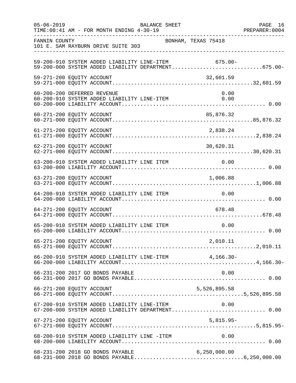| $05 - 06 - 2019$ | BALANCE SHEET<br>TIME: 08:41 AM - FOR MONTH ENDING 4-30-19                                                 |                     | PAGE 16<br>PREPARER: 0004 |
|------------------|------------------------------------------------------------------------------------------------------------|---------------------|---------------------------|
| FANNIN COUNTY    | 101 E. SAM RAYBURN DRIVE SUITE 303                                                                         | BONHAM, TEXAS 75418 |                           |
|                  | 59-200-910 SYSTEM ADDED LIABILITY LINE-ITEM 675.00-<br>59-200-000 SYSTEM ADDED LIABILITY DEPARTMENT675.00- |                     |                           |
|                  | 59-271-200 EQUITY ACCOUNT                                                                                  | 32,601.59           |                           |
|                  | 60-200-200 DEFERRED REVENUE<br>60-200-910 SYSTEM ADDED LIABILITY LINE-ITEM                                 | 0.00<br>0.00        |                           |
|                  |                                                                                                            |                     |                           |
|                  | 61-271-200 EQUITY ACCOUNT                                                                                  | 2,838.24            |                           |
|                  | 62-271-200 EQUITY ACCOUNT                                                                                  | 30,620.31           |                           |
|                  |                                                                                                            |                     |                           |
|                  |                                                                                                            |                     |                           |
|                  | 64-200-910 SYSTEM ADDED LIABILITY LINE ITEM                                                                | 0.00                |                           |
|                  | 64-271-200 EQUITY ACCOUNT                                                                                  | 678.48              |                           |
|                  | 65-200-910 SYSTEM ADDED LIABILITY LINE ITEM                                                                | 0.00                |                           |
|                  |                                                                                                            |                     |                           |
|                  | 66-200-910 SYSTEM ADDED LIABILITY LINE-ITEM 4,166.30-                                                      |                     |                           |
|                  | 66-231-200 2017 GO BONDS PAYABLE                                                                           | 0.00                |                           |
|                  | 66-271-200 EQUITY ACCOUNT                                                                                  | 5,526,895.58        |                           |
|                  | 67-200-910 SYSTEM ADDED LIABILITY LINE-ITEM 0.00<br>67-200-000 SYSTEM ADDED LIABILITY DEPARTMENT 0.00      |                     |                           |
|                  | 67-271-200 EQUITY ACCOUNT                                                                                  | $5,815.95-$         |                           |
|                  | 68-200-910 SYSTEM ADDED LIABILITY LINE -ITEM                                                               | 0.00                |                           |
|                  | 68-231-200 2018 GO BONDS PAYABLE                                                                           | 6, 250, 000.00      |                           |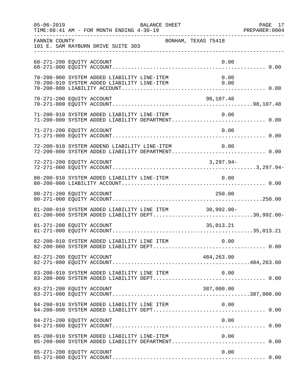| $05 - 06 - 2019$          | BALANCE SHEET                                                                                              |                     | PAGE 17 |
|---------------------------|------------------------------------------------------------------------------------------------------------|---------------------|---------|
| FANNIN COUNTY             | 101 E. SAM RAYBURN DRIVE SUITE 303<br>-----------------------------                                        | BONHAM, TEXAS 75418 |         |
| 68-271-200 EQUITY ACCOUNT |                                                                                                            | 0.00                |         |
|                           | 70-200-900 SYSTEM ADDED LIABILITY LINE-ITEM<br>70-200-910 SYSTEM ADDED LIABILITY LINE-ITEM                 | 0.00<br>0.00        |         |
| 70-271-200 EQUITY ACCOUNT |                                                                                                            | 98,107.48           |         |
|                           | 71-200-910 SYSTEM ADDED LIABILITY LINE-ITEM 0.00<br>71-200-000 SYSTEM ADDED LIABILITY DEPARTMENT 0.00      | 0.00                |         |
| 71-271-200 EQUITY ACCOUNT |                                                                                                            | 0.00                |         |
|                           | 72-200-910 SYSTEM ADDEND LIABILITY LINE-ITEM<br>72-200-000 SYSTEM ADDED LIABILITY DEPARTMENT 0.00          | 0.00                |         |
| 72-271-200 EQUITY ACCOUNT |                                                                                                            | $3,297.94-$         |         |
|                           |                                                                                                            |                     |         |
| 80-271-200 EQUITY ACCOUNT |                                                                                                            | 250.00              |         |
|                           | 81-200-910 SYSTEM ADDED LIABILITY LINE ITEM 30,992.00-<br>81-200-000 SYSTEM ADDED LIABILITY DEPT30,992.00- |                     |         |
| 81-271-200 EQUITY ACCOUNT |                                                                                                            | 35,013.21           |         |
|                           |                                                                                                            |                     |         |
| 82-271-200 EQUITY ACCOUNT |                                                                                                            | 484,263.00          |         |
|                           | 83-200-910 SYSTEM ADDED LIABILITY LINE ITEM                                                                | 0.00                |         |
| 83-271-200 EQUITY ACCOUNT |                                                                                                            | 387,000.00          |         |
|                           | 84-200-910 SYSTEM ADDED LIABILITY LINE ITEM                                                                | 0.00                |         |
| 84-271-200 EQUITY ACCOUNT |                                                                                                            | 0.00                |         |
|                           | 85-200-910 SYSTEM ADDED LIABILITY LINE-ITEM                                                                | 0.00                |         |
| 85-271-200 EQUITY ACCOUNT |                                                                                                            | 0.00                |         |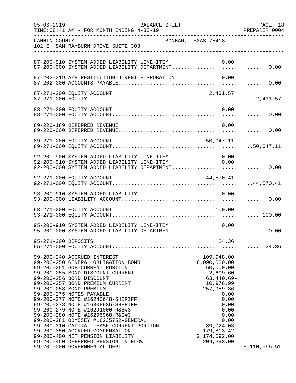| $05 - 06 - 2019$ | BALANCE SHEET<br>TIME: 08:41 AM - FOR MONTH ENDING 4-30-19                                                                                                                                                                                                                                                                                                                                                                                                                                           |                                                                                                           | PAGE 18 |
|------------------|------------------------------------------------------------------------------------------------------------------------------------------------------------------------------------------------------------------------------------------------------------------------------------------------------------------------------------------------------------------------------------------------------------------------------------------------------------------------------------------------------|-----------------------------------------------------------------------------------------------------------|---------|
| FANNIN COUNTY    | BONHAM, TEXAS 75418<br>101 E. SAM RAYBURN DRIVE SUITE 303                                                                                                                                                                                                                                                                                                                                                                                                                                            |                                                                                                           |         |
|                  | 87-200-910 SYSTEM ADDED LIABILITY LINE-ITEM                                                                                                                                                                                                                                                                                                                                                                                                                                                          | 0.00                                                                                                      |         |
|                  |                                                                                                                                                                                                                                                                                                                                                                                                                                                                                                      |                                                                                                           |         |
|                  |                                                                                                                                                                                                                                                                                                                                                                                                                                                                                                      |                                                                                                           |         |
|                  | 88-271-200 EQUITY ACCOUNT                                                                                                                                                                                                                                                                                                                                                                                                                                                                            | 0.00                                                                                                      |         |
|                  | 89-220-189 DEFERRED REVENUE                                                                                                                                                                                                                                                                                                                                                                                                                                                                          | 0.00                                                                                                      |         |
|                  | 89-271-200 EQUITY ACCOUNT                                                                                                                                                                                                                                                                                                                                                                                                                                                                            | 50,047.11                                                                                                 |         |
|                  | 92-200-900 SYSTEM ADDED LIABILITY LINE-ITEM 0.00<br>92-200-910 SYSTEM ADDED LIABILITY LINE-ITEM 0.00<br>92-200-000 SYSTEM ADDED LIABILITY DEPARTMENT 0.00                                                                                                                                                                                                                                                                                                                                            |                                                                                                           |         |
|                  | 92-271-200 EQUITY ACCOUNT                                                                                                                                                                                                                                                                                                                                                                                                                                                                            | 44,570.41                                                                                                 |         |
|                  | 93-200-910 SYSTEM ADDED LIABILITY                                                                                                                                                                                                                                                                                                                                                                                                                                                                    | 0.00                                                                                                      |         |
|                  | 93-271-200 EQUITY ACCOUNT                                                                                                                                                                                                                                                                                                                                                                                                                                                                            | 100.00                                                                                                    |         |
|                  | 95-200-910 SYSTEM ADDED LIABILITY LINE-ITEM<br>95-200-000 SYSTEM ADDED LIABILITY DEPARTMENT 0.00                                                                                                                                                                                                                                                                                                                                                                                                     | 0.00                                                                                                      |         |
|                  |                                                                                                                                                                                                                                                                                                                                                                                                                                                                                                      |                                                                                                           |         |
|                  | 99-200-250 GENERAL OBLIGATION BOND<br>99-200-250 GENERAL OBLIGATION BOND<br>99-200-251 GOB-CURRENT PORTION<br>99-200-255 BOND DISCOUNT CURRENT<br>99-200-256 BOND DISCOUNT<br>99-200-257 BOND PREMIUM CURRENT<br>99-200-258 BOND PREMIUM<br>99-200-<br>99-200-275 NOTES PAYABLE<br>99-200-275 NOTES PAYABLE<br>99-200-277 NOTE #16240648-SHERIFF<br>99-200-279 NOTE #16308936-SHERIFF<br>99-200-279 NOTE #16398936-SHERIFF<br>99-200-280 NOTE #1629100-R&B#3<br>99-200-280 NOTE #162915968-R&B#3<br> | 109,948.00<br>6,090,000.00<br>60,000.00<br>$2,699.60-$<br>$63,440.69-$<br>10,976.99<br>257,959.36<br>0.00 |         |